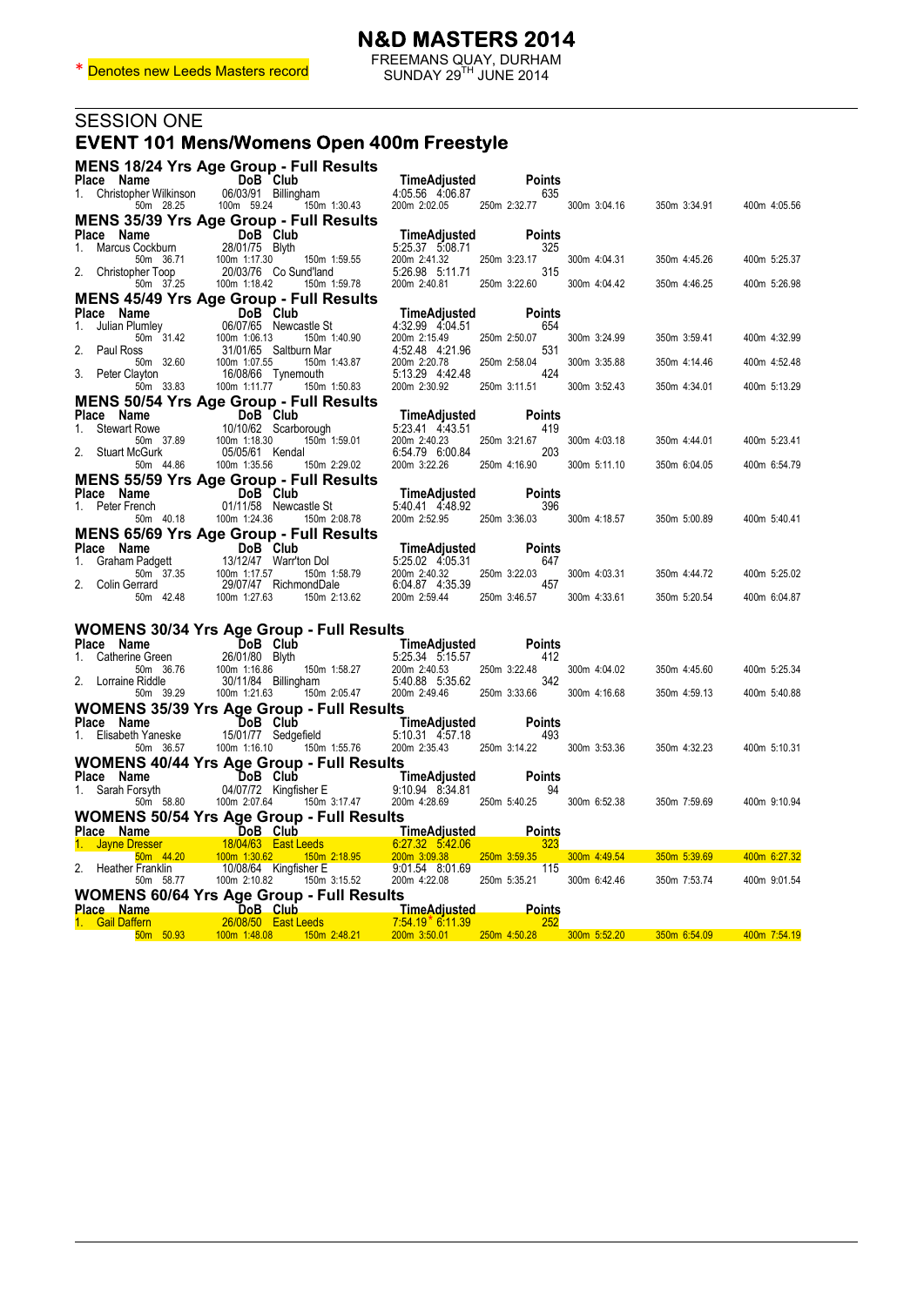|                                        | FREEMANS QUAY, DURHAM<br>SUNDAY 29 <sup>TH</sup> JUNE 2014 SUNDAY 29 <sup>TH</sup> JUNE 2014                                                                                                                                               |                                                                                                                                   |                      |              |              |              |
|----------------------------------------|--------------------------------------------------------------------------------------------------------------------------------------------------------------------------------------------------------------------------------------------|-----------------------------------------------------------------------------------------------------------------------------------|----------------------|--------------|--------------|--------------|
| SESSION ONE                            |                                                                                                                                                                                                                                            |                                                                                                                                   |                      |              |              |              |
|                                        | <b>EVENT 101 Mens/Womens Open 400m Freestyle</b>                                                                                                                                                                                           |                                                                                                                                   |                      |              |              |              |
|                                        |                                                                                                                                                                                                                                            |                                                                                                                                   |                      |              |              |              |
|                                        | <b>MENS 18/24 Yrs Age Group - Full Results</b>                                                                                                                                                                                             |                                                                                                                                   |                      |              |              |              |
| Place Name<br>1. Christopher Wilkinson | DoB Club<br>06/03/91 Billingham                                                                                                                                                                                                            | <b>TimeAdjusted</b><br>4.05.56 4.06.87                                                                                            | Points<br>635        |              |              |              |
|                                        | 50m 28.25 100m 59.24 150m 1:30.43                                                                                                                                                                                                          | 200m 2:02.05                                                                                                                      | 250m 2:32.77         | 300m 3:04.16 | 350m 3:34.91 | 400m 4:05.56 |
|                                        | <b>MENS 35/39 Yrs Age Group - Full Results</b>                                                                                                                                                                                             |                                                                                                                                   |                      |              |              |              |
|                                        |                                                                                                                                                                                                                                            | TimeAdjusted                                                                                                                      | <b>Points</b>        |              |              |              |
| 50m 36.71                              | 100m 1:17.30<br>150m 1:59.55                                                                                                                                                                                                               | 5:25.37 5:08.71<br>200m 2:41.32                                                                                                   | 325<br>250m 3:23.17  | 300m 4:04.31 | 350m 4:45.26 | 400m 5:25.37 |
| 2. Christopher Toop                    | bher Toop 20/03/76 C<br>50m 37.25 100m 1:18.42<br>20/03/76 Co Sund'land                                                                                                                                                                    | 5:26.98 5:11.71                                                                                                                   | 315                  |              |              |              |
|                                        | 150m 1:59.78                                                                                                                                                                                                                               | 200m 2:40.81                                                                                                                      | 250m 3:22.60         | 300m 4:04.42 | 350m 4:46.25 | 400m 5:26.98 |
|                                        | <b>MENS 45/49 Yrs Age Group - Full Results</b>                                                                                                                                                                                             |                                                                                                                                   |                      |              |              |              |
|                                        | <b>Place Name</b><br>1. Julian Plumley<br>1. Julian Plumley<br>50m 31.42<br>2. Paul Ross 31/01/65 Saltbur<br>1.0. 50m 32.60 100m 1:07.55<br>06/07/65 Newcastle St                                                                          | TimeAdjusted<br>4:32.99 4:04.51                                                                                                   | <b>Points</b><br>654 |              |              |              |
|                                        | 150m 1:40.90                                                                                                                                                                                                                               | 200m 2:15.49                                                                                                                      | 250m 2:50.07         | 300m 3:24.99 | 350m 3:59.41 | 400m 4:32.99 |
|                                        | 31/01/65 Saltburn Mar                                                                                                                                                                                                                      | 4:52.48 4:21.96                                                                                                                   | 531                  |              |              |              |
| 3. Peter Clayton                       | 150m 1:43.87<br>16/08/66 Tynemouth                                                                                                                                                                                                         | 200m 2:20.78<br>5:13.29  4:42.48  424                                                                                             | 250m 2:58.04         | 300m 3:35.88 | 350m 4:14.46 | 400m 4:52.48 |
| 50m 33.83                              | 100m 1:11.77 150m 1:50.83                                                                                                                                                                                                                  | 200m 2:30.92                                                                                                                      | 250m 3:11.51         | 300m 3:52.43 | 350m 4:34.01 | 400m 5:13.29 |
|                                        | <b>MENS 50/54 Yrs Age Group - Full Results</b>                                                                                                                                                                                             |                                                                                                                                   |                      |              |              |              |
| Place Name                             | <b>DoB</b> Club<br>10/10/62 Scarborough<br>37.89 100m 1:18.30 150m 1                                                                                                                                                                       | TimeAdjusted                                                                                                                      | <b>Points</b>        |              |              |              |
| 1. Stewart Rowe<br>50m 37.89           | 150m 1:59.01                                                                                                                                                                                                                               | 5:23.41 4:43.51<br>200m 2:40.23                                                                                                   | 419<br>250m 3:21.67  | 300m 4:03.18 | 350m 4:44.01 | 400m 5:23.41 |
| 2. Stuart McGurk                       | 05/05/61 Kendal                                                                                                                                                                                                                            | 6:54.79 6:00.84                                                                                                                   | 203                  |              |              |              |
| 50m 44.86                              | 100m 1:35.56 150m 2:29.02                                                                                                                                                                                                                  | 200m 3:22.26                                                                                                                      | 250m 4:16.90         | 300m 5:11.10 | 350m 6:04.05 | 400m 6:54.79 |
|                                        | <b>MENS 55/59 Yrs Age Group - Full Results</b>                                                                                                                                                                                             |                                                                                                                                   |                      |              |              |              |
|                                        | 01/11/58 Newcastle St                                                                                                                                                                                                                      | TimeAdjusted Po<br>5:40.41  4:48.92                                                                                               | <b>Points</b><br>396 |              |              |              |
| 50m  40.18                             | 100m 1:24.36 150m 2:08.78                                                                                                                                                                                                                  | 200m 2:52.95 250m 3:36.03                                                                                                         |                      | 300m 4:18.57 | 350m 5:00.89 | 400m 5:40.41 |
|                                        | <b>MENS 65/69 Yrs Age Group - Full Results</b>                                                                                                                                                                                             |                                                                                                                                   |                      |              |              |              |
|                                        | Place Name DoB Club<br>1. Graham Padgett 13/12/47 Warr'ton Dol 5:25.02 4:05.31 Place Name DoB Club<br>1. Graham Padgett 13/12/47 Warr'ton Dol 5:25.02 4:05.31 647<br>2. Colin Gerrard 29/07/47 RichmondDale 6:04.87 4:35.39 457<br>50m 42. |                                                                                                                                   | <b>Points</b>        |              |              |              |
|                                        |                                                                                                                                                                                                                                            |                                                                                                                                   | 647                  |              |              |              |
|                                        |                                                                                                                                                                                                                                            |                                                                                                                                   | 457                  | 300m 4:03.31 | 350m 4:44.72 | 400m 5:25.02 |
|                                        |                                                                                                                                                                                                                                            |                                                                                                                                   |                      | 300m 4:33.61 | 350m 5:20.54 | 400m 6:04.87 |
|                                        |                                                                                                                                                                                                                                            |                                                                                                                                   |                      |              |              |              |
|                                        | <b>WOMENS 30/34 Yrs Age Group - Full Results</b>                                                                                                                                                                                           |                                                                                                                                   |                      |              |              |              |
| Place Name                             | <b>DoB</b> Club<br>26/01/80 Bluth                                                                                                                                                                                                          |                                                                                                                                   | <b>Points</b>        |              |              |              |
| 1. Catherine Green                     | 26/01/80 Blyth                                                                                                                                                                                                                             |                                                                                                                                   | 412                  |              |              |              |
| 50m 36.76<br>2. Lorraine Riddle        | 100m 1:16.86<br>30/11/84 Billingham                                                                                                                                                                                                        |                                                                                                                                   | 250m 3:22.48<br>342  | 300m 4:04.02 | 350m 4:45.60 | 400m 5:25.34 |
| 50m 39.29                              | 150m 2:05.47<br>100m 1:21.63                                                                                                                                                                                                               | TimeAdjusted<br>5:25.34 5:15.57<br>150m 1:58.27 200m 2:40.53 250m 3:<br>pham 5:40.88 5:35.62<br>150m 2:05.47 200m 2:49.46 250m 3: | 250m 3:33.66         | 300m 4:16.68 | 350m 4:59.13 | 400m 5:40.88 |
|                                        | <b>WOMENS 35/39 Yrs Age Group - Full Results</b>                                                                                                                                                                                           |                                                                                                                                   |                      |              |              |              |
| Place Name                             | DoB Club                                                                                                                                                                                                                                   | <b>TimeAdjusted</b><br>eld 5:10.31 4:57.18                                                                                        | <b>Points</b>        |              |              |              |
| 1. Elisabeth Yaneske                   | 15/01/77 Sedgefield                                                                                                                                                                                                                        | 5:10.31 4:57.18                                                                                                                   | 493                  |              |              |              |
|                                        | 50m 36.57   100m 1:16.10   150m 1:55.76   200m 2:35.43   250m 3:14.22   300m 3:53.36<br><b>WOMENS 40/44 Yrs Age Group - Full Results</b>                                                                                                   |                                                                                                                                   |                      |              | 350m 4:32.23 | 400m 5:10.31 |
| Place Name                             | DoB Club                                                                                                                                                                                                                                   | <b>TimeAdjusted</b>                                                                                                               | <b>Points</b>        |              |              |              |
| 1. Sarah Forsyth                       | 04/07/72 Kingfisher E                                                                                                                                                                                                                      | 9:10.94 8:34.81                                                                                                                   | 94                   |              |              |              |
| 50m 58.80                              | 100m 2:07.64<br>150m 3:17.47                                                                                                                                                                                                               | 200m 4:28.69                                                                                                                      | 250m 5:40.25         | 300m 6:52.38 | 350m 7:59.69 | 400m 9:10.94 |
|                                        | WOMENS 50/54 Yrs Age Group - Full Results                                                                                                                                                                                                  |                                                                                                                                   |                      |              |              |              |
| Place Name                             | DoB Club                                                                                                                                                                                                                                   | <b>TimeAdjusted</b>                                                                                                               | Points               |              |              |              |
| 1. Jayne Dresser<br>50m 44.20          | 18/04/63 East Leeds<br>150m 2:18.95<br>100m 1:30.62                                                                                                                                                                                        | 6:27.32 5:42.06<br>200m 3:09.38                                                                                                   | 323<br>250m 3:59.35  | 300m 4:49.54 | 350m 5:39.69 | 400m 6:27.32 |
| 2.<br>Heather Franklin                 | 10/08/64 Kingfisher E                                                                                                                                                                                                                      | 9:01.54 8:01.69                                                                                                                   | 115                  |              |              |              |
| 50m 58.77                              | 100m 2:10.82<br>150m 3:15.52                                                                                                                                                                                                               | 200m 4:22.08                                                                                                                      | 250m 5:35.21         | 300m 6:42.46 | 350m 7:53.74 | 400m 9:01.54 |

**WOMENS 60/64 Yrs Age Group - Full Results Place Name DoB Club TimeAdjusted Points** 1. Gail Daffern 26/08/50 East Leeds 7:54.19\* 6:11.39 252 50m 50.93 100m 1:48.08 150m 2:48.21 200m 3:50.01 250m 4:50.28 300m 5:52.20 350m 6:54.09 400m 7:54.19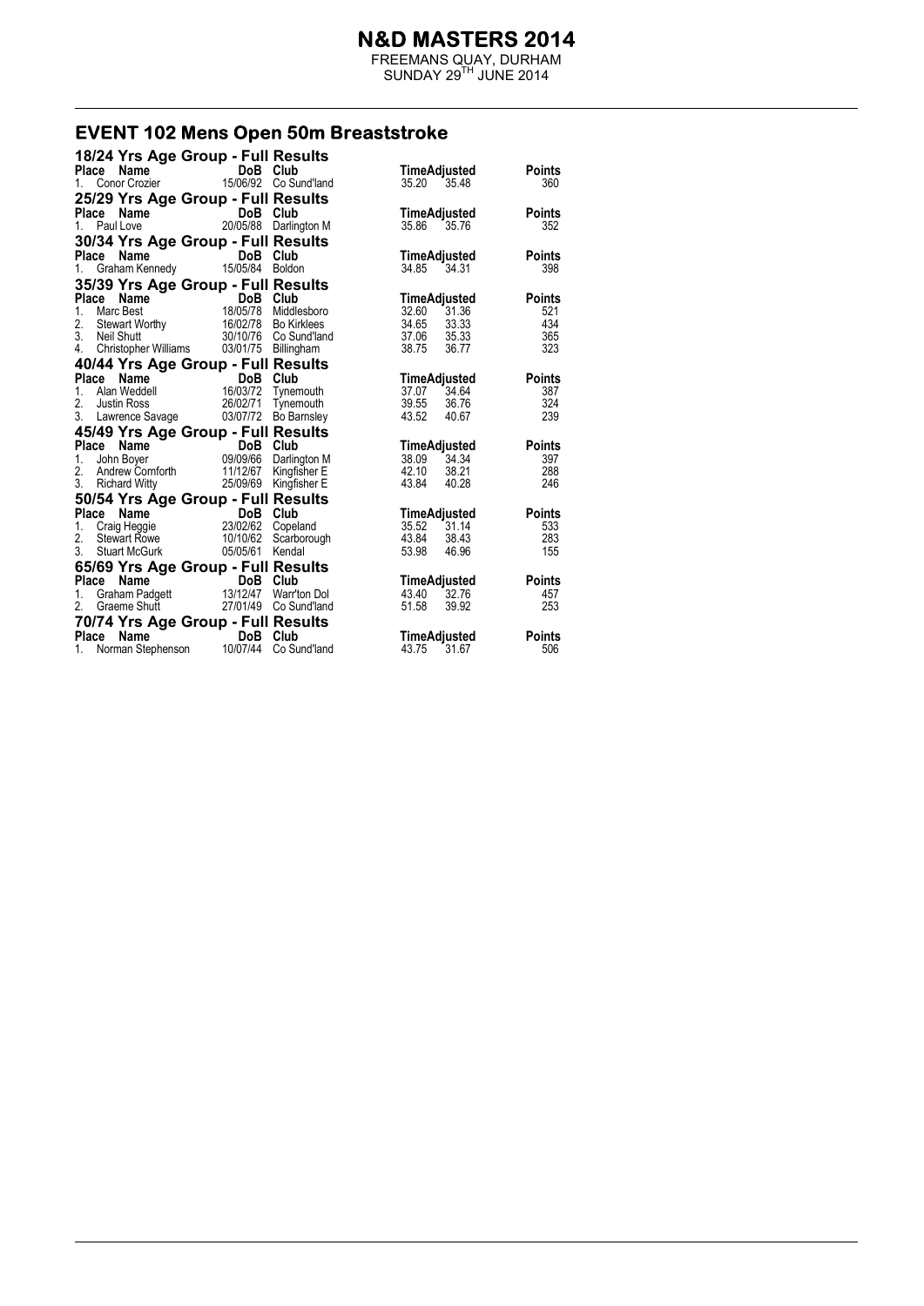FREEMANS QUAY, DURHAM  $SUNDAY 29<sup>TH</sup> JUNE 2014$ 

# **EVENT 102 Mens Open 50m Breaststroke**

| 18/24 Yrs Age Group - Full Results       |                                                                                          |                      |                                      |
|------------------------------------------|------------------------------------------------------------------------------------------|----------------------|--------------------------------------|
| <b>Name</b><br><b>Place</b>              | DoB                                                                                      | Club                 | <b>Points</b><br><b>TimeAdjusted</b> |
| Conor Crozier<br>1.                      | 15/06/92 Co Sund'land                                                                    |                      | 360<br>35.20<br>35.48                |
| 25/29 Yrs Age Group - Full Results       |                                                                                          |                      |                                      |
| Place                                    | <b>DoB</b>                                                                               | Club                 | TimeAdjusted<br><b>Points</b>        |
| <b>ce Name</b><br>Paul Love<br>1.        | 20/05/88                                                                                 | Darlington M         | 35.86 35.76<br>352                   |
| 30/34 Yrs Age Group - Full Results       |                                                                                          |                      |                                      |
| Place Name                               | DoB Club                                                                                 |                      | TimeAdjusted<br><b>Points</b>        |
| 1. Graham Kennedy                        | 15/05/84 Boldon                                                                          |                      | 34.31<br>398<br>34.85                |
|                                          |                                                                                          |                      |                                      |
| 35/39 Yrs Age Group - Full Results       |                                                                                          |                      |                                      |
| Place<br>Name                            | <b>DoB</b> Club<br>18/05/78 Middlesboro<br>16/02/78 Bo Kirklees<br>30/10/76 Co Sund'land |                      | TimeAdjusted<br><b>Points</b>        |
| 1.<br>Marc Best                          |                                                                                          |                      | 32.60<br>521<br>31.36                |
| Stewart Worthy<br>Neil Shutt<br>2.<br>3. |                                                                                          |                      | 34.65 33.33<br>37.06 35.33<br>434    |
| Neil Shutt<br>4.                         |                                                                                          |                      | 365<br>38.75<br>323<br>36.77         |
|                                          | Christopher Williams  03/01/75  Billingham                                               |                      |                                      |
| 40/44 Yrs Age Group - Full Results       |                                                                                          |                      |                                      |
| Place Name                               | DoB Club<br><b>DoB</b> Club<br>16/03/72 Tynemouth                                        |                      | TimeAdjusted<br><b>Points</b>        |
| 1.<br>Alan Weddell                       |                                                                                          |                      | 387<br>37.07 34.64                   |
| 2.<br><b>Justin Ross</b>                 | 26/02/71                                                                                 | Tynemouth            | 39.55<br>324<br>36.76                |
| 3. Lawrence Savage 03/07/72 Bo Barnsley  |                                                                                          |                      | 43.52<br>239<br>40.67                |
| 45/49 Yrs Age Group - Full Results       |                                                                                          |                      |                                      |
| Place Name                               | DoB Club<br><b>DoB Club</b><br>09/09/66 Darlington M                                     |                      | <b>TimeAdjusted</b><br><b>Points</b> |
| 1.<br>John Boyer                         |                                                                                          |                      | 34.34<br>397<br>38.09                |
| 2.                                       | Andrew Cornforth 11/12/67 Kingfisher E                                                   |                      | 42.10<br>288<br>38.21                |
| 3.<br><b>Richard Witty</b>               | 25/09/69                                                                                 | Kingfisher E         | 43.84<br>40.28<br>246                |
| 50/54 Yrs Age Group - Full Results       |                                                                                          |                      |                                      |
| Place                                    | DoB Club                                                                                 |                      | TimeAdjusted<br><b>Points</b>        |
| 1.                                       |                                                                                          |                      | 35.52 31.14<br>533                   |
| Stewart Rowe<br>2.                       |                                                                                          | 10/10/62 Scarborough | 43.84<br>283<br>38.43                |
| 3.<br>Stuart McGurk                      | 05/05/61                                                                                 | Kendal               | 53.98<br>46.96<br>155                |
| 65/69 Yrs Age Group - Full Results       |                                                                                          |                      |                                      |
| Place                                    |                                                                                          |                      | TimeAdjusted<br><b>Points</b>        |
| 1.                                       |                                                                                          |                      | 32.76<br>43.40<br>457                |
| 2.                                       |                                                                                          |                      | 51.58<br>253<br>39.92                |
| 70/74 Yrs Age Group - Full Results       |                                                                                          |                      |                                      |
| Place<br>Name                            | DoB Club<br>$\mathcal{L} = \mathcal{L} \mathcal{L}$                                      |                      | TimeAdjusted<br><b>Points</b>        |
| $1_{-}$<br>Norman Stephenson             | 10/07/44                                                                                 | Co Sund'land         | 43.75<br>31.67<br>506                |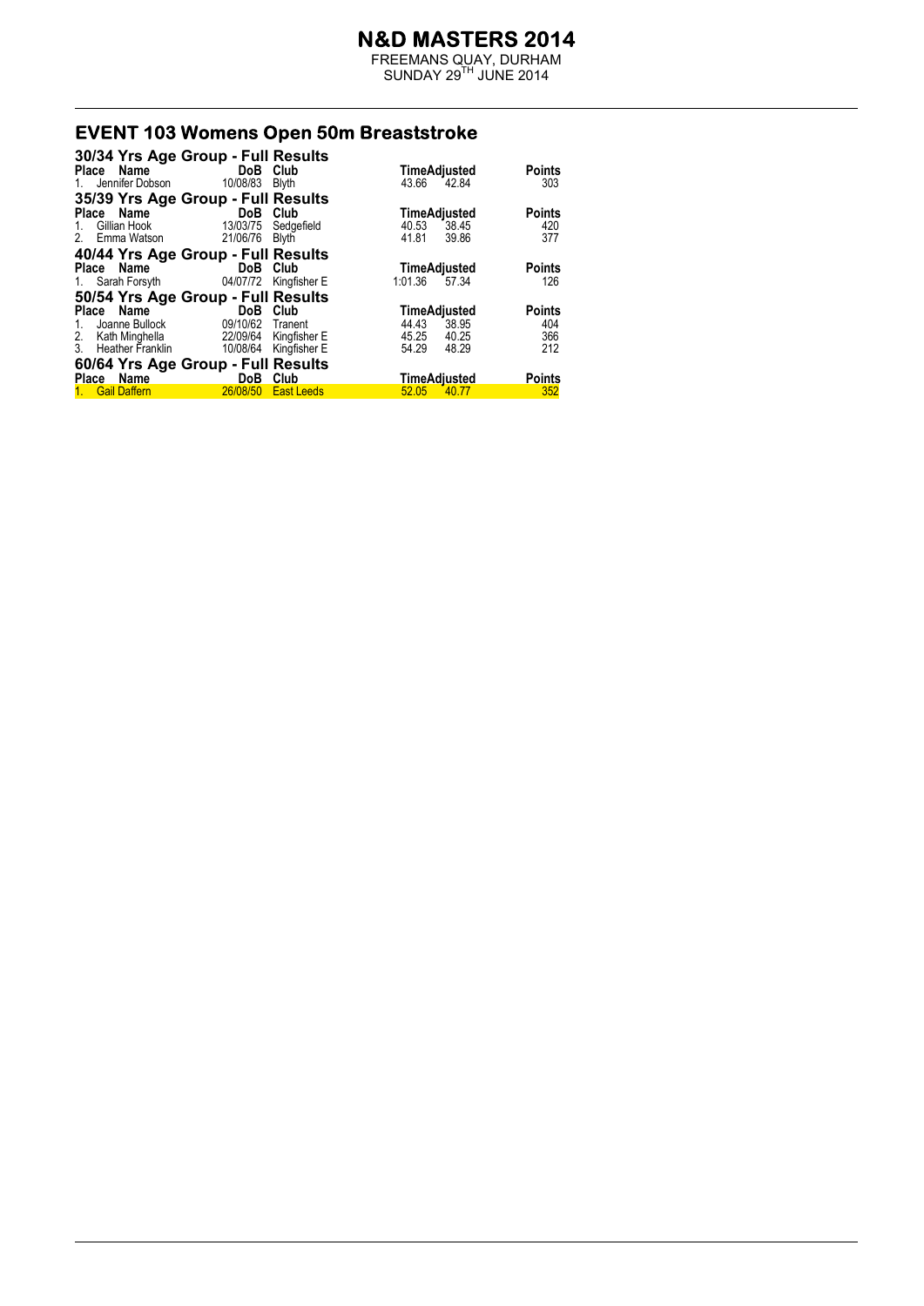FREEMANS QUAY, DURHAM  $SUNDAY 29<sup>TH</sup> JUNE 2014$ 

# **EVENT 103 Womens Open 50m Breaststroke**

| 30/34 Yrs Age Group - Full Results |                       |                   |                     |               |
|------------------------------------|-----------------------|-------------------|---------------------|---------------|
| Place Name                         | DoB Club              |                   | TimeAdjusted        | <b>Points</b> |
| 1. Jennifer Dobson 10/08/83        |                       | Blyth             | 43.66 42.84         | 303           |
| 35/39 Yrs Age Group - Full Results |                       |                   |                     |               |
| Place Name                         | <b>Example 19 DoB</b> | Club              | TimeAdjusted        | <b>Points</b> |
| 1. Gillian Hook                    | 13/03/75              | Sedgefield        | 40.53<br>38.45      | 420           |
| 2. Emma Watson                     | 21/06/76              | Blyth             | 41.81<br>39.86      | 377           |
| 40/44 Yrs Age Group - Full Results |                       |                   |                     |               |
| Place Name                         | DoB                   | Club              | TimeAdjusted        | <b>Points</b> |
| 1. Sarah Forsyth                   | 04/07/72              | Kingfisher E      | 1:01.36 57.34       | 126           |
| 50/54 Yrs Age Group - Full Results |                       |                   |                     |               |
| Place Name                         | DoB                   | Club              | TimeAdjusted        | <b>Points</b> |
| Joanne Bullock<br>$1_{-}$          | 09/10/62 Tranent      |                   | 44.43<br>38.95      | 404           |
| 2. Kath Minghella                  | 22/09/64              | Kingfisher E      | 45.25<br>40.25      | 366           |
| 3. Heather Franklin                | 10/08/64              | Kingfisher E      | 54.29<br>48.29      | 212           |
| 60/64 Yrs Age Group - Full Results |                       |                   |                     |               |
| Place Name                         | DoB                   | Club              | <u>TimeAdjusted</u> | <b>Points</b> |
| 1. Gail Daffern                    | 26/08/50              | <b>East Leeds</b> | 52.05<br>40.77      | 352           |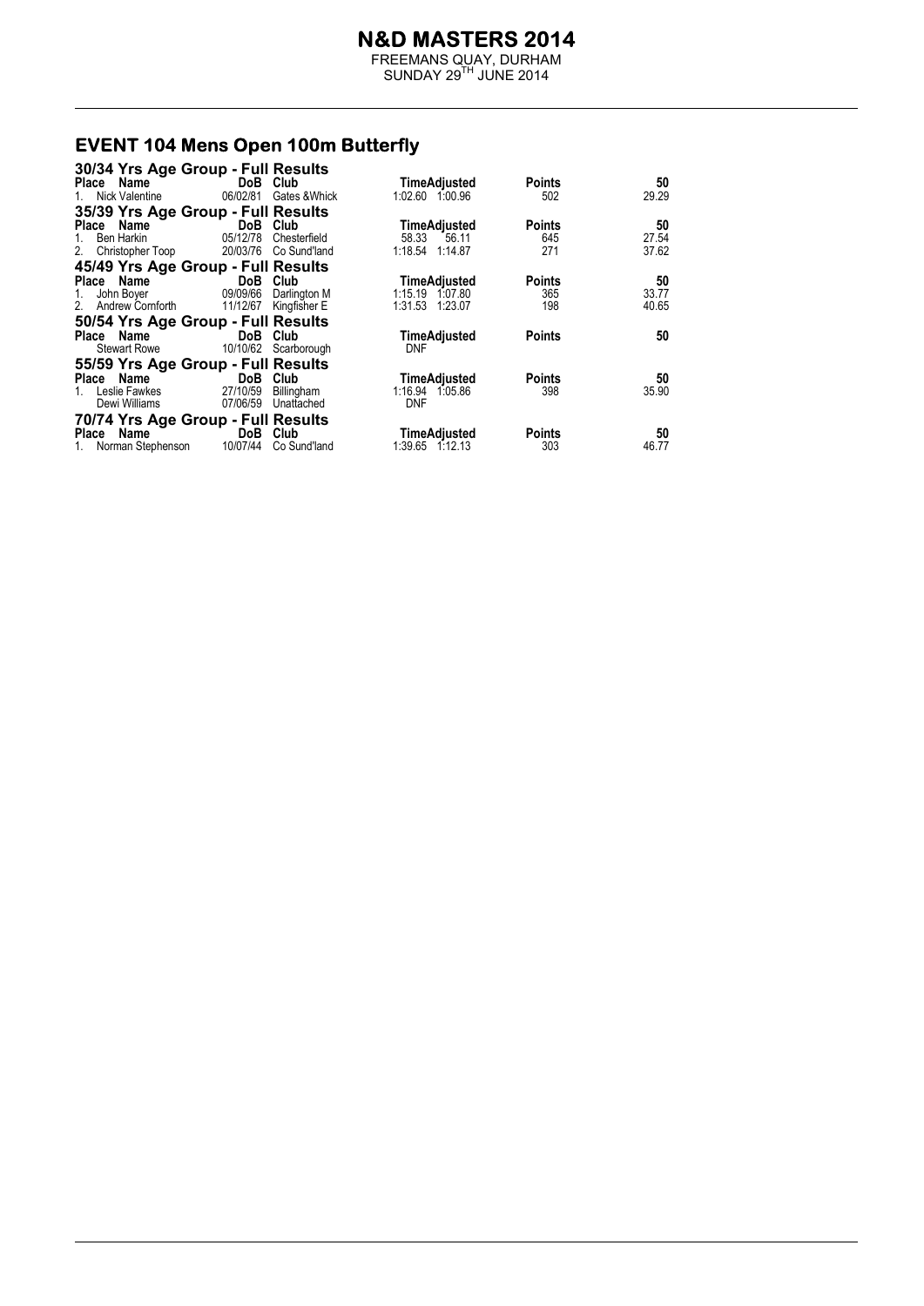FREEMANS QUAY, DURHAM  $SUNDAY 29<sup>TH</sup> JUNE 2014$ 

# **EVENT 104 Mens Open 100m Butterfly**<br>30/34 Yrs Age Group - Full Results

| 30/34 Yrs Age Group - Full Results |                       |                        |                     |               |       |
|------------------------------------|-----------------------|------------------------|---------------------|---------------|-------|
| Place Name                         | DoB Club              |                        | TimeAdjusted        | <b>Points</b> | 50    |
| Nick Valentine                     |                       | 06/02/81 Gates & Whick | 1:02.60 1:00.96     | 502           | 29.29 |
| 35/39 Yrs Age Group - Full Results |                       |                        |                     |               |       |
| Name<br>Place                      | DoB Club              |                        | TimeAdjusted        | <b>Points</b> | 50    |
| Ben Harkin<br>1.                   | 05/12/78              | Chesterfield           | 58.33 56.11         | 645           | 27.54 |
| 2. Christopher Toop                | 20/03/76 Co Sund'land |                        | 1:18.54 1:14.87     | 271           | 37.62 |
| 45/49 Yrs Age Group - Full Results |                       |                        |                     |               |       |
| Place Name                         | DoB Club              |                        | <b>TimeAdjusted</b> | <b>Points</b> | 50    |
| John Boyer<br>1.                   | 09/09/66              | Darlington M           | 1:15.19 1:07.80     | 365           | 33.77 |
| 2. Andrew Cornforth                | 11/12/67 Kingfisher E |                        | 1:31.53 1:23.07     | 198           | 40.65 |
| 50/54 Yrs Age Group - Full Results |                       |                        |                     |               |       |
| Place Name                         | DoB Club              |                        | TimeAdjusted        | <b>Points</b> | 50    |
| Stewart Rowe                       | 10/10/62 Scarborough  |                        | <b>DNF</b>          |               |       |
| 55/59 Yrs Age Group - Full Results |                       |                        |                     |               |       |
| Place Name                         | DoB Club              |                        | TimeAdjusted        | <b>Points</b> | 50    |
| Leslie Fawkes<br>$1_{-}$           | 27/10/59              | Billingham             | 1:16.94 1:05.86     | 398           | 35.90 |
| Dewi Williams                      | 07/06/59 Unattached   |                        | <b>DNF</b>          |               |       |
| 70/74 Yrs Age Group - Full Results |                       |                        |                     |               |       |
| Place Name                         | DoB Club              |                        | TimeAdjusted        | <b>Points</b> | 50    |
| 1. Norman Stephenson 10/07/44      |                       | Co Sund'land           | 1:39.65<br>1:12.13  | 303           | 46.77 |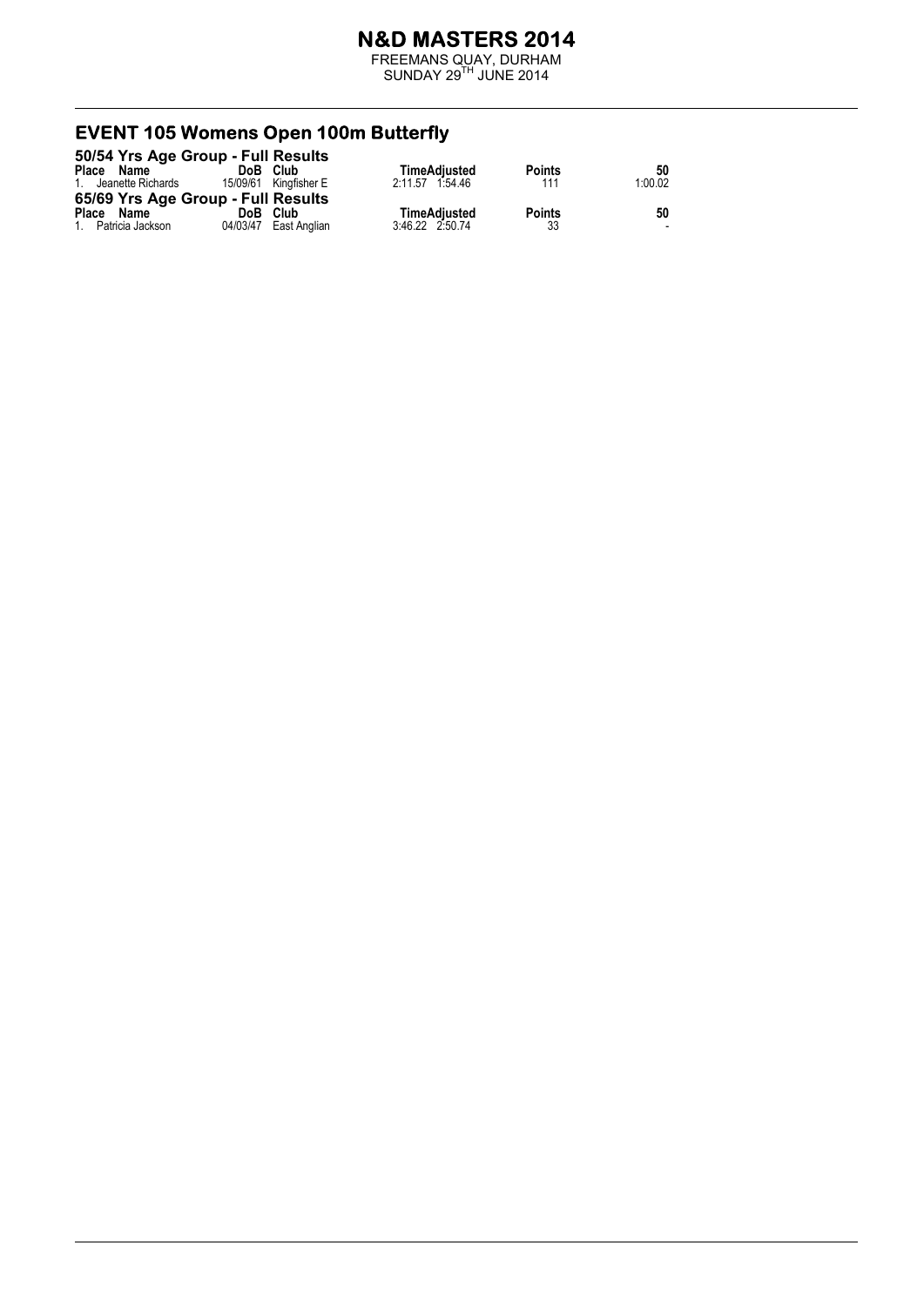FREEMANS QUAY, DURHAM  $SUNDAY 29<sup>TH</sup> JUNE 2014$ 

# **EVENT 105 Womens Open 100m Butterfly**<br>50/54 Yrs Age Group - Full Results

|                      | 50/54 Yrs Age Group - Full Results |                 |               |         |
|----------------------|------------------------------------|-----------------|---------------|---------|
| Place<br>Name        | Club<br>DoB                        | TimeAdiusted    | <b>Points</b> | 50      |
| 1. Jeanette Richards | 15/09/61 Kingfisher E              | 2:11.57 1:54.46 | 111           | 1:00.02 |
|                      | 65/69 Yrs Age Group - Full Results |                 |               |         |
| Place Name           | DoB Club                           | TimeAdjusted    | <b>Points</b> | 50      |
| 1. Patricia Jackson  | 04/03/47 East Anglian              | 3:46.22 2:50.74 | 33            | -       |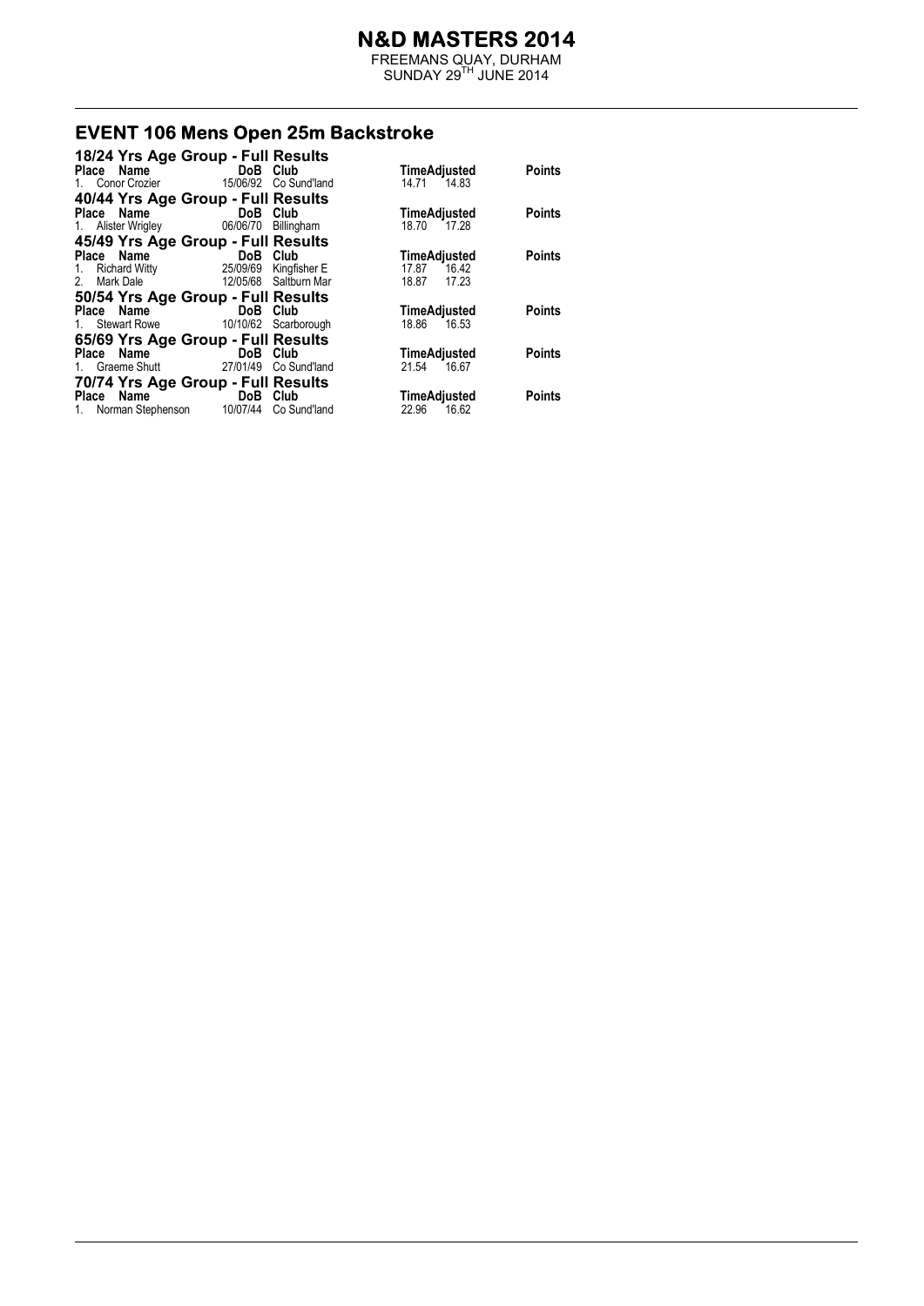FREEMANS QUAY, DURHAM  $SUNDAY 29<sup>TH</sup> JUNE 2014$ 

#### **EVENT 106 Mens Open 25m Backstroke**

| 18/24 Yrs Age Group - Full Results                      |                            |                          |                                |               |
|---------------------------------------------------------|----------------------------|--------------------------|--------------------------------|---------------|
| Place Name                                              | <b>Example 19 DoB</b> Club |                          | TimeAdjusted                   | <b>Points</b> |
| 1. Conor Crozier                                        |                            | 15/06/92 Co Sund'land    | 14.71 14.83                    |               |
| 40/44 Yrs Age Group - Full Results                      |                            |                          |                                |               |
| Place Name                                              | <b>Example 19 DoB</b> Club |                          | TimeAdjusted                   | <b>Points</b> |
| 1. Alister Wrigley                                      | 06/06/70 Billingham        |                          | 18.70<br>17.28                 |               |
| 45/49 Yrs Age Group - Full Results                      |                            |                          |                                |               |
| Place Name                                              | <b>Example 19 DoB</b> Club |                          | TimeAdjusted                   | <b>Points</b> |
| 1. Richard Witty 25/09/69 Kingfisher E                  |                            |                          | 17.87 16.42                    |               |
| Mark Dale<br>2.                                         |                            | 12/05/68 Saltburn Mar    | 17.23<br>18.87                 |               |
| 50/54 Yrs Age Group - Full Results                      |                            |                          |                                |               |
| Place Name                                              | DoB Club                   |                          | <b>TimeAdjusted</b>            | <b>Points</b> |
| 1. Stewart Rowe 10/10/62 Scarborough                    |                            |                          | 18.86 16.53                    |               |
| 65/69 Yrs Age Group - Full Results                      |                            |                          |                                |               |
| Place Name                                              | DoB Club                   |                          | <b>TimeAdjusted</b>            | <b>Points</b> |
| 1. Graeme Shutt                                         |                            | 27/01/49    Co Sund'land | 21.54<br>16.67                 |               |
| 70/74 Yrs Age Group - Full Results                      |                            |                          |                                |               |
|                                                         |                            |                          |                                |               |
|                                                         |                            |                          |                                | <b>Points</b> |
| Place Name DoB Club<br>Norman Stephenson 10/07/44<br>1. |                            | Co Sund'land             | TimeAdjusted<br>22.96<br>16.62 |               |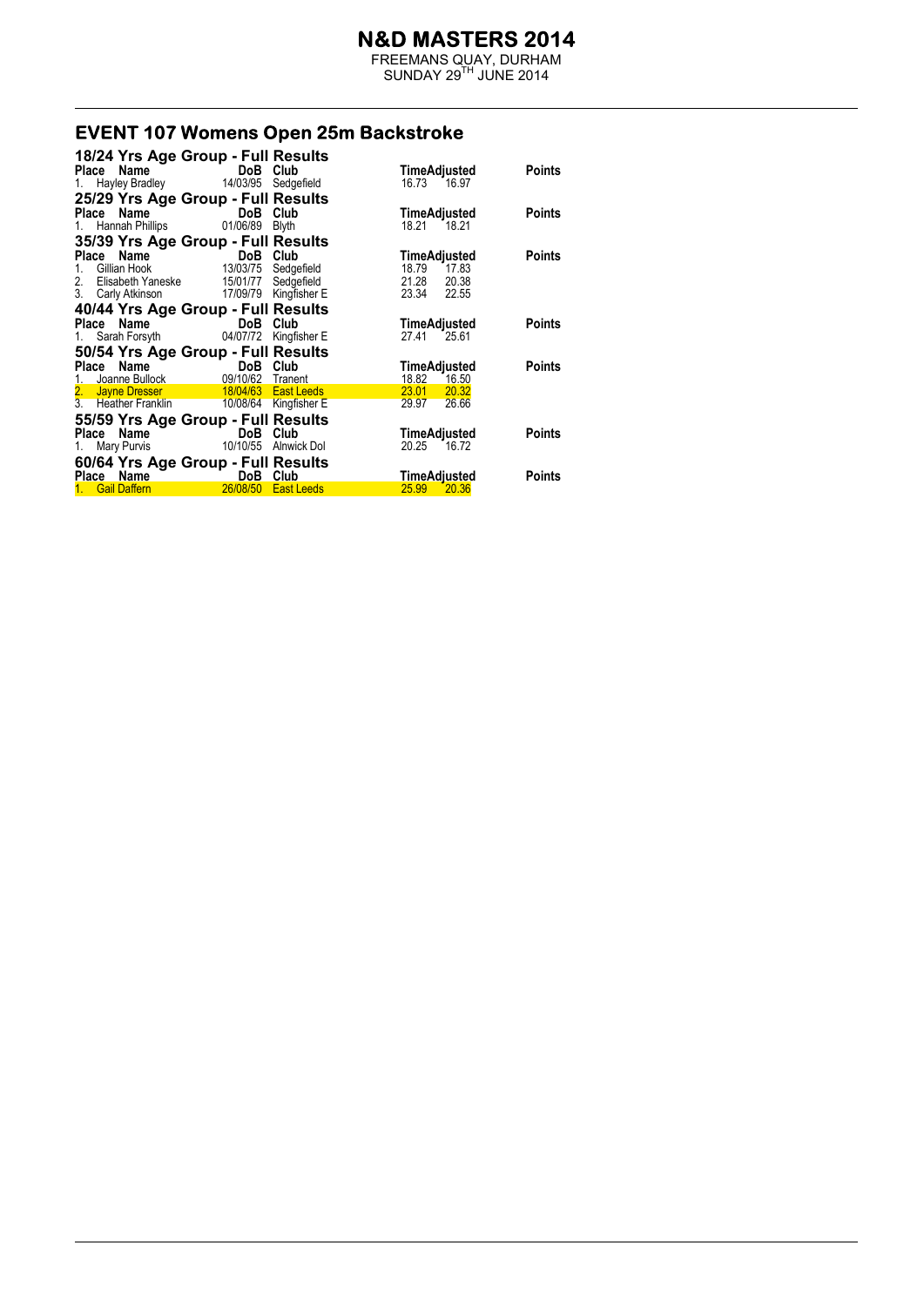FREEMANS QUAY, DURHAM  $SUNDAY 29<sup>TH</sup> JUNE 2014$ 

#### **EVENT 107 Womens Open 25m Backstroke**

| 18/24 Yrs Age Group - Full Results                                                                                        |                     |                       |                     |               |
|---------------------------------------------------------------------------------------------------------------------------|---------------------|-----------------------|---------------------|---------------|
| Place Name                                                                                                                | DoB Club            |                       | TimeAdjusted        | Points        |
| 1. Hayley Bradley                                                                                                         | 14/03/95 Sedgefield |                       | 16.73 16.97         |               |
| 25/29 Yrs Age Group - Full Results                                                                                        |                     |                       |                     |               |
| Place Name                                                                                                                | DoB Club            |                       | TimeAdjusted        | Points        |
| 1. Hannah Phillips                                                                                                        | 01/06/89            | <b>Blyth</b>          | 18.21<br>18.21      |               |
| 35/39 Yrs Age Group - Full Results                                                                                        |                     |                       |                     |               |
| Place Name                                                                                                                | <b>DoB</b> Club     |                       | TimeAdjusted        | <b>Points</b> |
| Gillian Hook<br>1.                                                                                                        | 13/03/75 Sedgefield |                       | 18.79<br>17.83      |               |
| 2. Elisabeth Yaneske 15/01/77 Sedgefield                                                                                  |                     |                       | 21.28<br>20.38      |               |
| 3. Carly Atkinson 17/09/79 Kingfisher E                                                                                   |                     |                       | 23.34<br>22.55      |               |
| 40/44 Yrs Age Group - Full Results                                                                                        |                     |                       |                     |               |
| Place Name                                                                                                                | DoB Club            |                       | TimeAdjusted        | Points        |
| 1. Sarah Forsyth                                                                                                          | 04/07/72            | Kingfisher E          | 27.41<br>25.61      |               |
| 50/54 Yrs Age Group - Full Results                                                                                        |                     |                       |                     |               |
| Place Name                                                                                                                | DoB Club            |                       | TimeAdjusted        | Points        |
| Joanne Bullock <b>Communist Communist Communist Communist Communist Communist Communist Communist Communist Communist</b> | 09/10/62 Tranent    |                       | 18.82<br>16.50      |               |
| 2. Jayne Dresser<br>3. Heather Franklin                                                                                   |                     | 18/04/63 East Leeds   | 23.01<br>20.32      |               |
|                                                                                                                           |                     | 10/08/64 Kingfisher E | 29.97<br>26.66      |               |
| 55/59 Yrs Age Group - Full Results                                                                                        |                     |                       |                     |               |
| Place Name                                                                                                                | DoB                 | Club                  | TimeAdjusted        | <b>Points</b> |
| Mary Purvis<br>1.                                                                                                         | 10/10/55            | Alnwick Dol           | 20.25<br>16.72      |               |
| 60/64 Yrs Age Group - Full Results                                                                                        |                     |                       |                     |               |
| Place Name                                                                                                                | DoB                 | Club                  | <u>TimeAdjusted</u> | <b>Points</b> |
| <b>Gail Daffern</b>                                                                                                       | 26/08/50            | <b>East Leeds</b>     | 25.99<br>20.36      |               |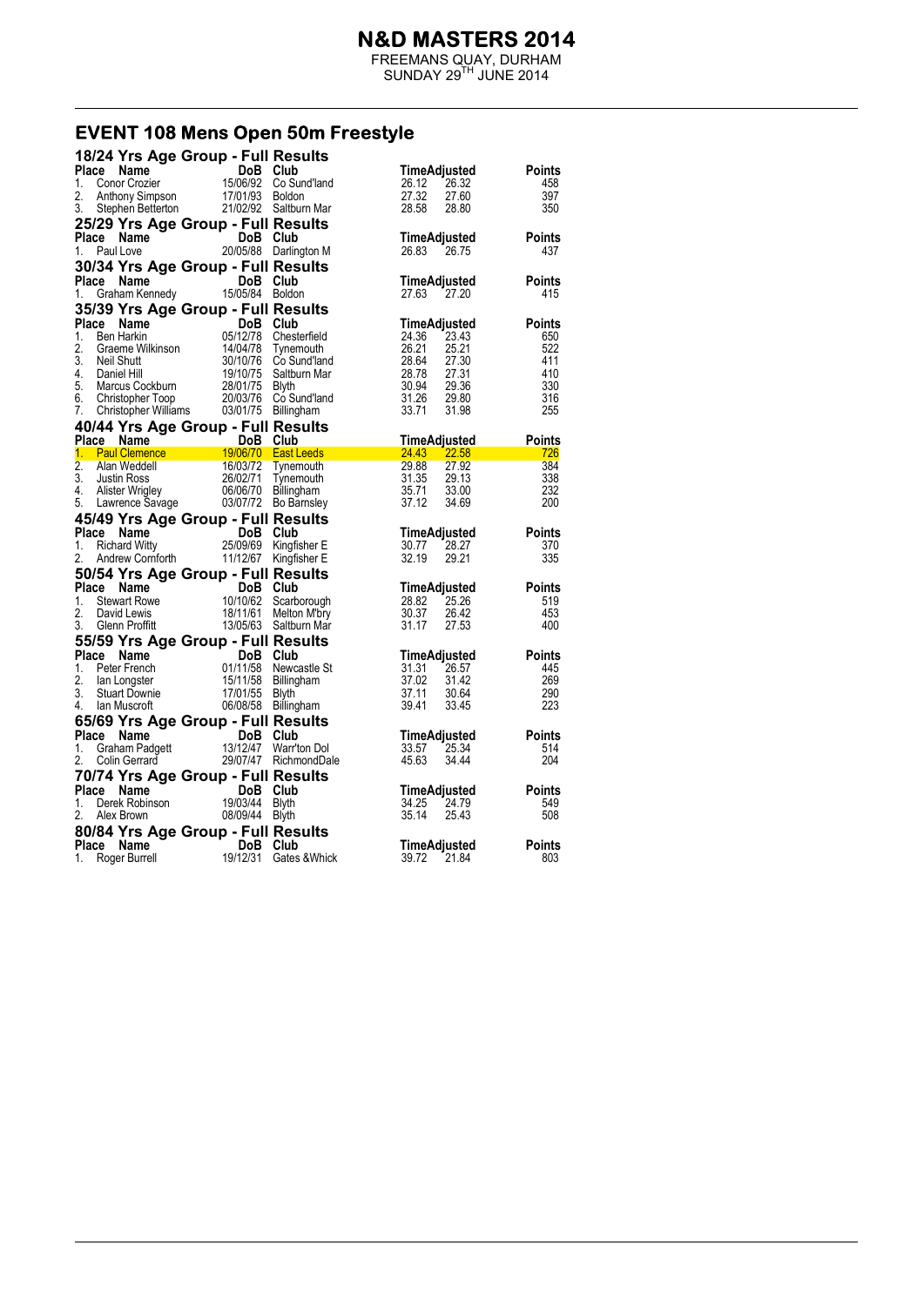FREEMANS QUAY, DURHAM  $SUNDAY 29<sup>TH</sup> JUNE 2014$ 

#### EVENT 108 Mens Open 50m Freestyle

| 18/24 Yrs Age Group - Full Results                                                                            |                                                                                                                                                                                                                                          |                       |                                       |                      |
|---------------------------------------------------------------------------------------------------------------|------------------------------------------------------------------------------------------------------------------------------------------------------------------------------------------------------------------------------------------|-----------------------|---------------------------------------|----------------------|
| Place<br>Name                                                                                                 | 15/06/92 Co Sun<br>15/06/92 Co Sun<br>17/01/93 Boldon                                                                                                                                                                                    |                       | TimeAdjusted                          | Points               |
| Conor Crozier<br>1.                                                                                           |                                                                                                                                                                                                                                          | Co Sund'land          | 26.32<br>26.12                        | 458                  |
| 2.<br>Anthony Simpson                                                                                         |                                                                                                                                                                                                                                          |                       | 27.32<br>27.60                        | 397                  |
| 3.<br>Stephen Betterton                                                                                       | 21/02/92 Saltburn Mar                                                                                                                                                                                                                    |                       | 28.58<br>28.80                        | 350                  |
| 25/29 Yrs Age Group - Full Results                                                                            |                                                                                                                                                                                                                                          |                       |                                       |                      |
| Place Name                                                                                                    | DoB Club                                                                                                                                                                                                                                 |                       | TimeAdjusted                          | Points               |
| Paul Love<br>1.                                                                                               |                                                                                                                                                                                                                                          | 20/05/88 Darlington M | 26.83<br>26.75                        | 437                  |
| 30/34 Yrs Age Group - Full Results                                                                            |                                                                                                                                                                                                                                          |                       |                                       |                      |
| Place<br>Name                                                                                                 | DoB Club                                                                                                                                                                                                                                 |                       | <b>TimeAdjusted</b>                   | <b>Points</b>        |
| 1.                                                                                                            | Graham Kennedy 15/05/84 Boldon                                                                                                                                                                                                           |                       | 27.63<br>27.20                        | 415                  |
| 35/39 Yrs Age Group - Full Results                                                                            |                                                                                                                                                                                                                                          |                       |                                       |                      |
| Place                                                                                                         | Compared to the Marine Compared to the Captive Chapter of the Chapter School Chapter Neil Shutter Neil Shutter<br>Sen Harkin String 14/04/78 Tynem<br>Neil Shutt<br>Daniel Hill 30/10/76 Co Sun<br>Daniel Hill 11/10/75 Salyth<br>Marcus |                       |                                       | <b>Points</b>        |
| 1.                                                                                                            |                                                                                                                                                                                                                                          | Chesterfield          | <b>TimeAdjusted</b><br>23.43<br>24.36 | 650                  |
| 2.                                                                                                            |                                                                                                                                                                                                                                          | Tynemouth             | 26.21<br>25.21                        | 522                  |
| 3.                                                                                                            |                                                                                                                                                                                                                                          | Co Sund'Iand          | 28.64<br>27.30                        | 411                  |
| 4.                                                                                                            |                                                                                                                                                                                                                                          | Saltburn Mar          | 28.78<br>27.31                        | 410                  |
| 5.                                                                                                            |                                                                                                                                                                                                                                          |                       | 30.94<br>29.36                        | 330                  |
| 6.<br>Christopher Toop                                                                                        | 20/03/76                                                                                                                                                                                                                                 | Co Sund'Iand          | 31.26<br>29.80                        | 316                  |
| 7.                                                                                                            | Christopher Toop 20/03/76 Co Sund'la<br>Christopher Williams 03/01/75 Billingham                                                                                                                                                         |                       | 33.71<br>31.98                        | 255                  |
| 40/44 Yrs Age Group - Full Results                                                                            |                                                                                                                                                                                                                                          |                       |                                       |                      |
|                                                                                                               |                                                                                                                                                                                                                                          |                       | <b>TimeAdjusted</b>                   | Points               |
| <b>Place Name Car COOB Club</b><br>1. Paul Clemence 19/06/70 East Leeds<br>2. Alan Woddell 16/03/72 Typemouth |                                                                                                                                                                                                                                          |                       | <u>a je predsjednj</u><br>24.43 22.58 | 726                  |
| $\overline{2}$ .<br>Alan Weddell                                                                              | 16/03/72                                                                                                                                                                                                                                 | Tynemouth             | 29.88<br>27.92                        | 384                  |
| 3.<br><b>Justin Ross</b>                                                                                      |                                                                                                                                                                                                                                          | Tynemouth             | 31.35<br>29.13                        | 338                  |
| 4.<br>Alister Wrigley                                                                                         | 26/02/71<br>06/06/70                                                                                                                                                                                                                     | Billingham            | 33.00<br>35.71                        | 232                  |
| 5.<br>Lawrence Savage 03/07/72 Bo Barnsley                                                                    |                                                                                                                                                                                                                                          |                       | 37.12<br>34.69                        | 200                  |
|                                                                                                               |                                                                                                                                                                                                                                          |                       |                                       |                      |
|                                                                                                               |                                                                                                                                                                                                                                          |                       |                                       |                      |
| 45/49 Yrs Age Group - Full Results                                                                            |                                                                                                                                                                                                                                          |                       |                                       |                      |
| Place<br>Name                                                                                                 |                                                                                                                                                                                                                                          |                       | TimeAdjusted                          | Points               |
| 1.<br><b>Richard Witty</b>                                                                                    |                                                                                                                                                                                                                                          |                       | 28.27<br>30.77                        | 370                  |
| 2.<br>Andrew Cornforth                                                                                        | DoB Club<br>25/09/69 Kingfisher E<br>11/12/67 Kingfisher E                                                                                                                                                                               |                       | 32.19<br>29.21                        | 335                  |
| 50/54 Yrs Age Group - Full Results                                                                            |                                                                                                                                                                                                                                          |                       |                                       |                      |
| Place Name                                                                                                    |                                                                                                                                                                                                                                          |                       | TimeAdjusted                          | <b>Points</b>        |
| 1.<br><b>Stewart Rowe</b>                                                                                     |                                                                                                                                                                                                                                          |                       | 25.26<br>28.82                        | 519                  |
| 2.<br>David Lewis                                                                                             | DoB Club<br>10/10/62 Scarborough<br>18/11/61 Melton Mibro<br>18/11/61                                                                                                                                                                    | Melton M'bry          | 30.37<br>26.42                        | 453                  |
| 3.<br>Glenn Proffitt                                                                                          |                                                                                                                                                                                                                                          | 13/05/63 Saltburn Mar | 31.17<br>27.53                        | 400                  |
| 55/59 Yrs Age Group - Full Results                                                                            |                                                                                                                                                                                                                                          |                       |                                       |                      |
| Place Name                                                                                                    | DoB Club                                                                                                                                                                                                                                 |                       | TimeAdjusted                          | Points               |
| 1.<br>Peter French                                                                                            |                                                                                                                                                                                                                                          | 01/11/58 Newcastle St | 31.31<br>26.57                        | 445                  |
| 2.<br>lan Longster                                                                                            | 15/11/58 Billingham                                                                                                                                                                                                                      |                       | 37.02<br>31.42                        | 269                  |
| 3.<br><b>Stuart Downie</b>                                                                                    | 17/01/55                                                                                                                                                                                                                                 | Blyth                 | 37.11<br>30.64                        | 290                  |
| 4.<br>lan Muscroft                                                                                            | 06/08/58 Billingham                                                                                                                                                                                                                      |                       | 39.41<br>33.45                        | 223                  |
| 65/69 Yrs Age Group - Full Results                                                                            |                                                                                                                                                                                                                                          |                       |                                       |                      |
| Place Name                                                                                                    | DoB Club                                                                                                                                                                                                                                 |                       | TimeAdjusted                          | Points               |
| Graham Padgett<br>1.                                                                                          | 13/12/47                                                                                                                                                                                                                                 | Warr'ton Dol          | 33.57<br>25.34                        | 514                  |
| 2.<br>Colin Gerrard                                                                                           |                                                                                                                                                                                                                                          | 29/07/47 RichmondDale | 45.63<br>34.44                        | 204                  |
| 70/74 Yrs Age Group - Full Results                                                                            |                                                                                                                                                                                                                                          |                       |                                       |                      |
| Place Name                                                                                                    | DoB Club                                                                                                                                                                                                                                 |                       | TimeAdjusted                          | Points               |
| Derek Robinson<br>1.                                                                                          | 19/03/44                                                                                                                                                                                                                                 | <b>Blyth</b>          | 34.25<br>24.79                        | 549                  |
| 2.<br>Alex Brown                                                                                              | 08/09/44                                                                                                                                                                                                                                 | Blyth                 | 35.14<br>25.43                        | 508                  |
| 80/84 Yrs Age Group - Full Results                                                                            |                                                                                                                                                                                                                                          |                       |                                       |                      |
| Place Name<br>Roger Burrell                                                                                   | DoB Club<br>19/12/31                                                                                                                                                                                                                     | Gates & Whick         | TimeAdjusted<br>39.72<br>21.84        | <b>Points</b><br>803 |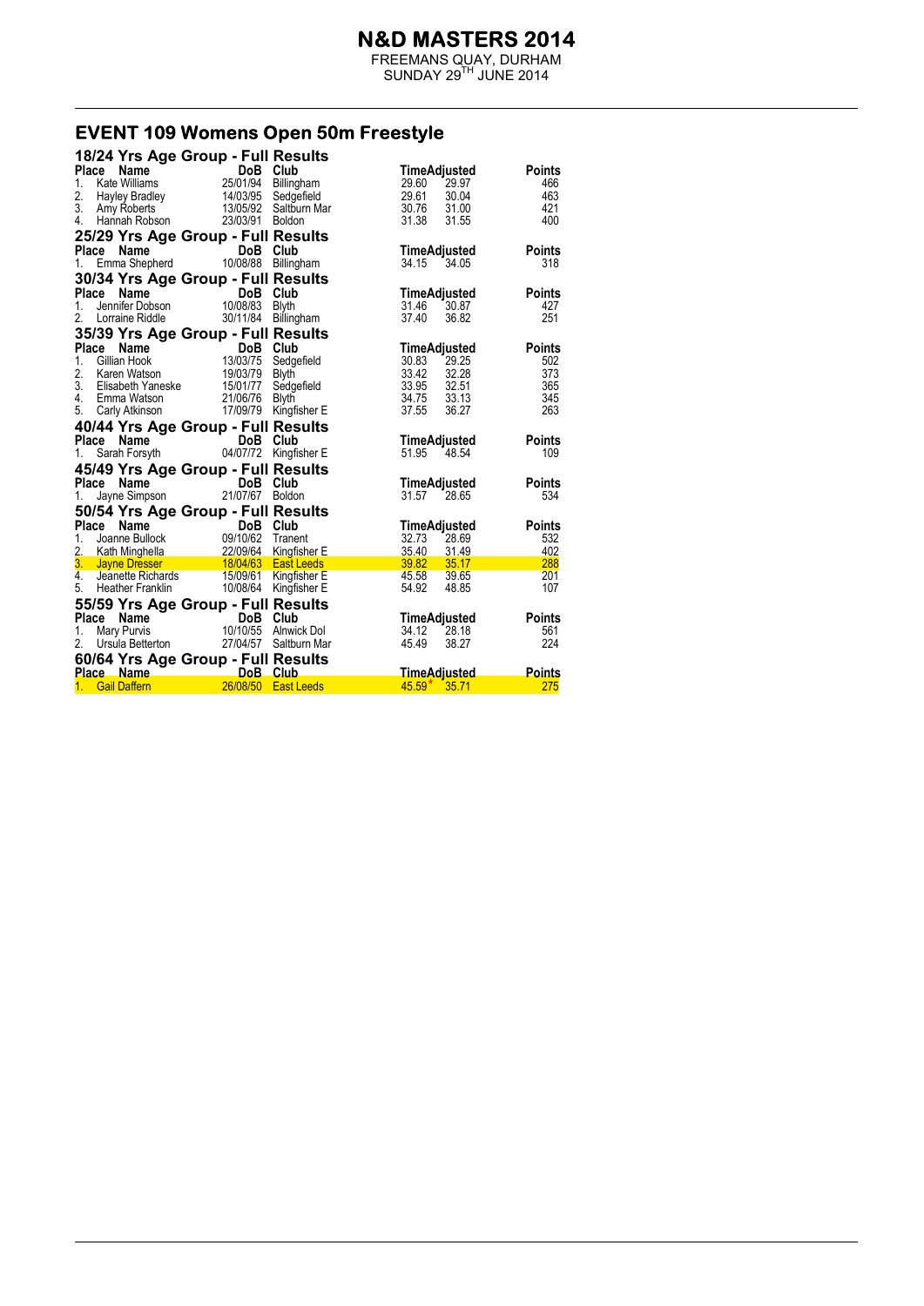FREEMANS QUAY, DURHAM  $SUNDAY 29<sup>TH</sup> JUNE 2014$ 

# EVENT 109 Womens Open 50m Freestyle

|                                                      | 18/24 Yrs Age Group - Full Results                       |                       |                                     |                      |
|------------------------------------------------------|----------------------------------------------------------|-----------------------|-------------------------------------|----------------------|
| <b>Name</b><br>Place                                 | DoB Club<br>25/01/94 Billingham                          |                       | TimeAdjusted                        | <b>Points</b>        |
| 1.<br>Kate Williams                                  |                                                          |                       | 29.97<br>29.60                      | 466                  |
| 2.<br>Hayley Bradley                                 | 14/03/95                                                 | Sedgefield            | 29.61<br>30.04                      | 463                  |
| 3. Amy Roberts                                       |                                                          | 13/05/92 Saltburn Mar | 30.76<br>31.00                      | 421                  |
| 4. Hannah Robson                                     | 23/03/91 Boldon                                          |                       | 31.38<br>31.55                      | 400                  |
| 25/29 Yrs Age Group - Full Results                   |                                                          |                       |                                     |                      |
| Place Name                                           | DoB Club                                                 |                       | <b>TimeAdjusted</b>                 | <b>Points</b>        |
| Emma Shepherd 10/08/88 Billingham<br>1.              |                                                          |                       | 34.15 34.05                         | 318                  |
| 30/34 Yrs Age Group - Full Results                   |                                                          |                       |                                     |                      |
| Place Name                                           | DoB Club                                                 |                       | TimeAdjusted                        | <b>Points</b>        |
| <b>ce Name DoB</b><br>Jennifer Dobson 10/08/83<br>1. |                                                          | Blvth                 | 31.46<br>30.87                      | 427                  |
| 2.<br>Lorraine Riddle                                | 30/11/84                                                 | Billingham            | 37.40<br>36.82                      | 251                  |
| 35/39 Yrs Age Group - Full Results                   |                                                          |                       |                                     |                      |
| <b>Place</b><br>Name                                 | <b>DoB Club</b><br>13/03/75 Sedgefield<br>19/03/79 Blyth |                       | TimeAdjusted                        | <b>Points</b>        |
| Gillian Hook<br>1.                                   |                                                          |                       | 30.83<br>29.25                      | 502                  |
| 2.<br>Karen Watson                                   |                                                          |                       | 33.42<br>32.28                      | 373                  |
| 3. Elisabeth Yaneske 15/01/77                        |                                                          | Sedgefield            | 33.95 32.51                         | 365                  |
| 4.<br>Emma Watson                                    | 21/06/76                                                 | Blyth                 | 34.75 33.13                         | 345                  |
| 5. Carly Atkinson                                    |                                                          | 17/09/79 Kingfisher E | 37.55<br>36.27                      | 263                  |
|                                                      |                                                          |                       |                                     |                      |
|                                                      |                                                          |                       |                                     |                      |
| 40/44 Yrs Age Group - Full Results<br>Place          |                                                          |                       | TimeAdjusted                        | <b>Points</b>        |
| 1.                                                   |                                                          |                       | 51.95 48.54                         | 109                  |
|                                                      |                                                          |                       |                                     |                      |
| 45/49 Yrs Age Group - Full Results<br>Place Name     | DoB Club                                                 |                       |                                     | <b>Points</b>        |
| 1.                                                   |                                                          | <b>Boldon</b>         | TimeAdjusted<br>31.57<br>28.65      | 534                  |
| Jayne Simpson                                        | $\overline{C}$ DoB<br>n 21/07/67                         |                       |                                     |                      |
| 50/54 Yrs Age Group - Full Results                   |                                                          |                       |                                     |                      |
| Place Name<br>1.                                     | DoB Club                                                 |                       | TimeAdjusted<br>32.73<br>28.69      | <b>Points</b><br>532 |
|                                                      |                                                          |                       | 35.40<br>31.49                      | 402                  |
|                                                      |                                                          |                       | 39.82<br>35.17                      | 288                  |
|                                                      |                                                          |                       | 39.65                               | 201                  |
| 5.<br>Heather Franklin                               |                                                          | 10/08/64 Kingfisher E | $\frac{45.58}{1}$<br>54.92<br>48.85 | 107                  |
|                                                      |                                                          |                       |                                     |                      |
| 55/59 Yrs Age Group - Full Results<br>Place<br>Name  |                                                          |                       | TimeAdjusted                        | <b>Points</b>        |
| Mary Purvis<br>1.                                    | DoB Club<br>10/10/55 Alnwick Dol                         |                       | 34.12<br>28.18                      | 561                  |
| 2. Ursula Betterton                                  |                                                          | 27/04/57 Saltburn Mar | 45.49<br>38.27                      | 224                  |
|                                                      |                                                          |                       |                                     |                      |
| 60/64 Yrs Age Group - Full Results<br>Place Name     | <b>DoB</b> Club<br>26/08/50                              |                       | <u>TimeAdjusted</u>                 | Points               |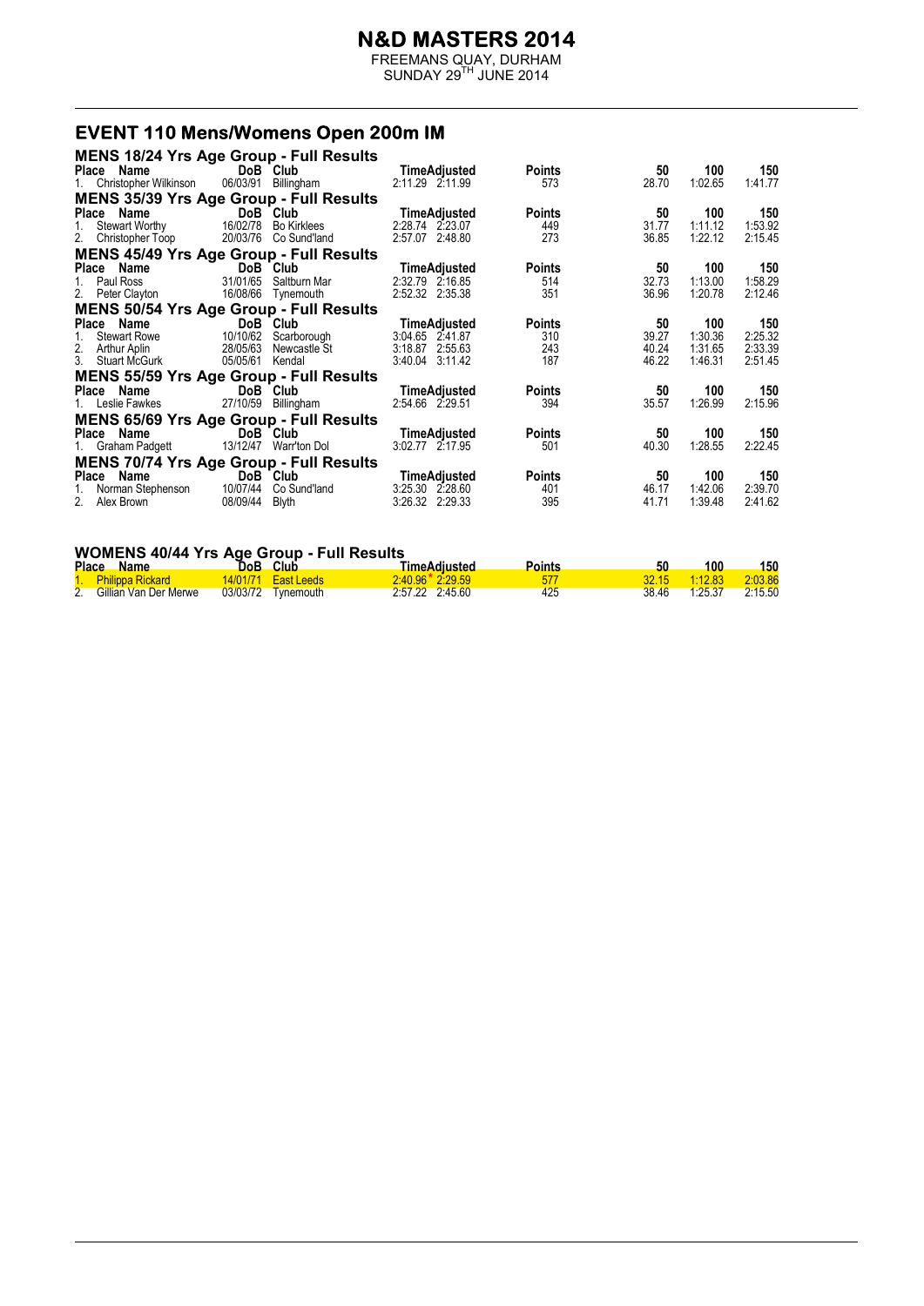FREEMANS QUAY, DURHAM  $SUNDAY 29<sup>TH</sup> JUNE 2014$ 

#### **EVENT 110 Mens/Womens Open 200m IM**

| <b>MENS 18/24 Yrs Age Group - Full Results</b> |                 |                       |                     |               |       |         |         |
|------------------------------------------------|-----------------|-----------------------|---------------------|---------------|-------|---------|---------|
| Place Name                                     |                 | DoB Club              | TimeAdjusted        | <b>Points</b> | 50    | 100     | 150     |
| 1. Christopher Wilkinson                       |                 | 06/03/91 Billingham   | 2:11.29 2:11.99     | 573           | 28.70 | 1:02.65 | 1:41.77 |
| MENS 35/39 Yrs Age Group - Full Results        |                 |                       |                     |               |       |         |         |
| Place Name                                     | DoB Club        |                       | TimeAdjusted        | <b>Points</b> | 50    | 100     | 150     |
| 1. Stewart Worthy                              |                 | 16/02/78 Bo Kirklees  | 2:28.74 2:23.07     | 449           | 31.77 | 1:11.12 | 1:53.92 |
| 2. Christopher Toop                            |                 | 20/03/76 Co Sund'land | 2:57.07 2:48.80     | 273           | 36.85 | 1:22.12 | 2:15.45 |
| <b>MENS 45/49 Yrs Age Group - Full Results</b> |                 |                       |                     |               |       |         |         |
| Place Name                                     | DoB Club        |                       | TimeAdjusted        | <b>Points</b> | 50    | 100     | 150     |
| 1. Paul Ross                                   |                 | 31/01/65 Saltburn Mar | 2:32.79 2:16.85     | 514           | 32.73 | 1:13.00 | 1:58.29 |
| 2. Peter Clayton                               |                 | 16/08/66 Tynemouth    | 2:52.32 2:35.38     | 351           | 36.96 | 1:20.78 | 2:12.46 |
| <b>MENS 50/54 Yrs Age Group - Full Results</b> |                 |                       |                     |               |       |         |         |
| Place Name                                     |                 | DoB Club              | <b>TimeAdjusted</b> | <b>Points</b> | 50    | 100     | 150     |
| 1. Stewart Rowe                                |                 | 10/10/62 Scarborough  | 3:04.65 2:41.87     | 310           | 39.27 | 1:30.36 | 2:25.32 |
| 2. Arthur Aplin                                |                 | 28/05/63 Newcastle St | 3:18.87 2:55.63     | 243           | 40.24 | 1:31.65 | 2:33.39 |
| 3. Stuart McGurk                               | 05/05/61 Kendal |                       | 3:40.04 3:11.42     | 187           | 46.22 | 1:46.31 | 2:51.45 |
| <b>MENS 55/59 Yrs Age Group - Full Results</b> |                 |                       |                     |               |       |         |         |
| Place Name                                     | DoB Club        |                       | TimeAdjusted        | <b>Points</b> | 50    | 100     | 150     |
| 1. Leslie Fawkes                               |                 | 27/10/59 Billingham   | 2:54.66 2:29.51     | 394           | 35.57 | 1:26.99 | 2:15.96 |
| <b>MENS 65/69 Yrs Age Group - Full Results</b> |                 |                       |                     |               |       |         |         |
| Place Name                                     |                 | DoB Club              | TimeAdjusted        | <b>Points</b> | 50    | 100     | 150     |
| 1. Graham Padgett                              |                 | 13/12/47 Warr'ton Dol | 3:02.77 2:17.95     | 501           | 40.30 | 1:28.55 | 2:22.45 |
| <b>MENS 70/74 Yrs Age Group - Full Results</b> |                 |                       |                     |               |       |         |         |
| Place Name                                     |                 | DoB Club              | TimeAdjusted        | <b>Points</b> | 50    | 100     | 150     |
| 1. Norman Stephenson                           |                 | 10/07/44 Co Sund'land | 3:25.30 2:28.60     | 401           | 46.17 | 1:42.06 | 2:39.70 |
| 2. Alex Brown                                  | 08/09/44 Blyth  |                       | 3:26.32 2:29.33     | 395           | 41.71 | 1:39.48 | 2:41.62 |
|                                                |                 |                       |                     |               |       |         |         |

#### **WOMENS 40/44 Yrs Age Group - Full Results**

|                | <b>Place</b><br><b>Name</b> |          | DoB Club                   | <u>TimeAdiusted</u>   | Points |       | 100     | 150        |
|----------------|-----------------------------|----------|----------------------------|-----------------------|--------|-------|---------|------------|
|                | 1. Philippa Rickard         |          | <b>14/01/71</b> East Leeds | $2.40.96$ $*$ 2.29.59 |        |       | 1:12.83 | $-2:03.86$ |
| 2 <sub>1</sub> | Gillian Van Der Merwe       | 03/03/72 | Tynemouth                  | 2:57.22 2:45.60       | 425    | 38.46 | 1.25.37 | 2:15.50    |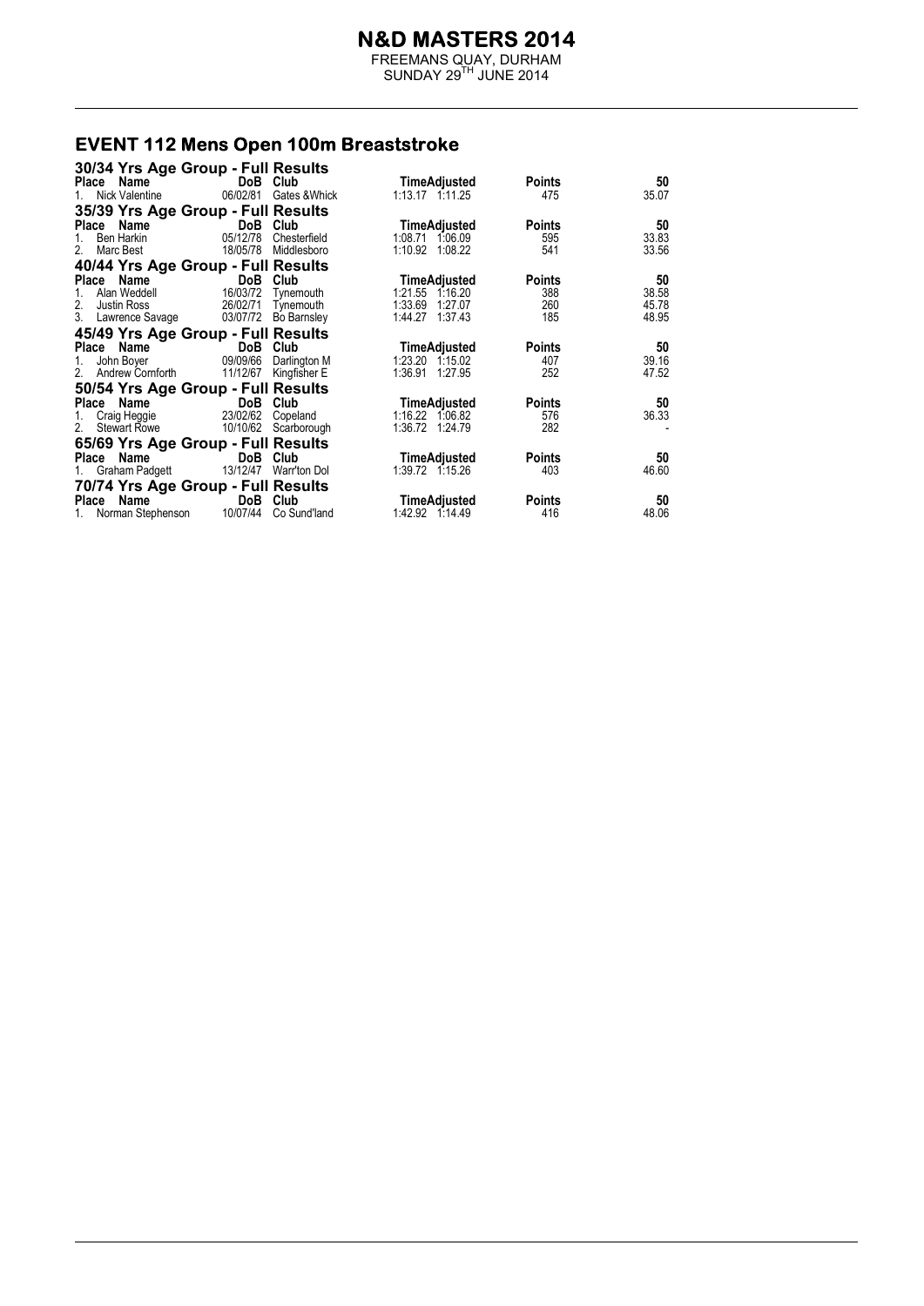FREEMANS QUAY, DURHAM  $SUNDAY 29<sup>TH</sup> JUNE 2014$ 

#### **EVENT 112 Mens Open 100m Breaststroke**

| 30/34 Yrs Age Group - Full Results         |                    |                        |                 |               |       |
|--------------------------------------------|--------------------|------------------------|-----------------|---------------|-------|
| Name<br>Place                              | DoB Club           |                        | TimeAdjusted    | <b>Points</b> | 50    |
| Nick Valentine                             |                    | 06/02/81 Gates & Whick | 1:13.17 1:11.25 | 475           | 35.07 |
| 35/39 Yrs Age Group - Full Results         |                    |                        |                 |               |       |
| Name<br>Place                              | DoB Club           |                        | TimeAdjusted    | <b>Points</b> | 50    |
| Ben Harkin                                 | 05/12/78           | Chesterfield           | 1:08.71 1:06.09 | 595           | 33.83 |
| Marc Best<br>2.                            |                    | 18/05/78 Middlesboro   | 1:10.92 1:08.22 | 541           | 33.56 |
| 40/44 Yrs Age Group - Full Results         |                    |                        |                 |               |       |
| Place Name                                 | <b>DoB</b> Club    |                        | TimeAdjusted    | <b>Points</b> | 50    |
| Alan Weddell<br>1.                         | 16/03/72 Tynemouth |                        | 1:21.55 1.16.20 | 388           | 38.58 |
| 2.<br>Justin Ross                          | 26/02/71           | Tynemouth              | 1:33.69 1:27.07 | 260           | 45.78 |
| 3. Lawrence Savage 03/07/72                |                    | <b>Bo Barnsley</b>     | 1:44.27 1:37.43 | 185           | 48.95 |
| 45/49 Yrs Age Group - Full Results         |                    |                        |                 |               |       |
| Place Name                                 | DoB Club           |                        | TimeAdjusted    | <b>Points</b> | 50    |
| John Boyer<br>1.                           | 09/09/66           | Darlington M           | 1:23.20 1:15.02 | 407           | 39.16 |
| 2. Andrew Cornforth                        | 11/12/67           | Kingfisher E           | 1:36.91 1:27.95 | 252           | 47.52 |
| 50/54 Yrs Age Group - Full Results         |                    |                        |                 |               |       |
| Place Name                                 | DoB Club           |                        | TimeAdjusted    | <b>Points</b> | 50    |
| Craig Heggie<br>1.                         | 23/02/62 Copeland  |                        | 1:16.22 1:06.82 | 576           | 36.33 |
| 2.<br>Stewart Rowe                         |                    | 10/10/62 Scarborough   | 1:36.72 1:24.79 | 282           |       |
| 65/69 Yrs Age Group - Full Results         |                    |                        |                 |               |       |
| Place Name                                 | DoB Club           |                        | TimeAdjusted    | <b>Points</b> | 50    |
| Graham Padgett<br>1.                       | 13/12/47           | Warr'ton Dol           | 1:39.72 1:15.26 | 403           | 46.60 |
| 70/74 Yrs Age Group - Full Results         |                    |                        |                 |               |       |
| Place Name                                 | DoB Club           |                        | TimeAdjusted    | <b>Points</b> | 50    |
| 1. Norman Stephenson 10/07/44 Co Sund'land |                    |                        | 1:42.92 1:14.49 | 416           | 48.06 |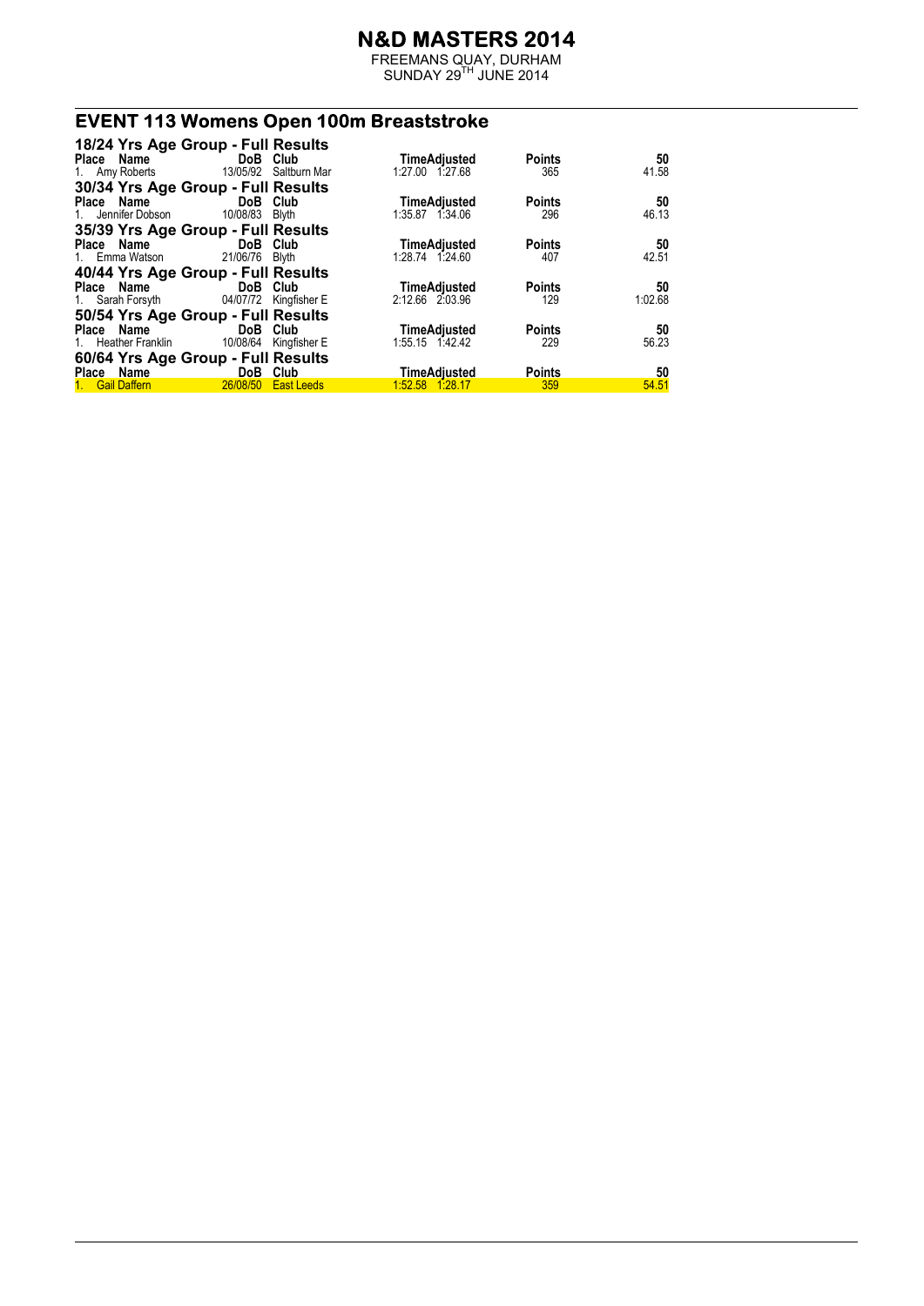FREEMANS QUAY, DURHAM  $SUNDAY 29<sup>TH</sup> JUNE 2014$ 

# **EVENT 113 Womens Open 100m Breaststroke**

|                             | 18/24 Yrs Age Group - Full Results        |                     |               |         |
|-----------------------------|-------------------------------------------|---------------------|---------------|---------|
| Place Name                  | <b>Example 19 DoB</b> Club                | TimeAdjusted        | <b>Points</b> | 50      |
|                             | 1. Amy Roberts 13/05/92 Saltburn Mar      | 1:27.00 1:27.68     | 365           | 41.58   |
|                             | 30/34 Yrs Age Group - Full Results        |                     |               |         |
|                             | Place Name DoB Club                       | TimeAdjusted        | <b>Points</b> | 50      |
| 1. Jennifer Dobson 10/08/83 | Blyth                                     | 1:35.87 1:34.06     | 296           | 46.13   |
|                             | 35/39 Yrs Age Group - Full Results        |                     |               |         |
| Place Name                  | <b>Example 19 DoB</b> Club                | <b>TimeAdjusted</b> | <b>Points</b> | 50      |
| 1. Emma Watson              | 21/06/76 Blyth                            | 1:28.74 1:24.60     | 407           | 42.51   |
|                             | 40/44 Yrs Age Group - Full Results        |                     |               |         |
| Place Name                  | <b>Example 19 DoB</b> Club                | <b>TimeAdjusted</b> | <b>Points</b> | 50      |
|                             | 1. Sarah Forsyth 04/07/72 Kingfisher E    | 2:12.66 2:03.96     | 129           | 1:02.68 |
|                             | 50/54 Yrs Age Group - Full Results        |                     |               |         |
|                             | Place Name DoB Club                       | <b>TimeAdjusted</b> | <b>Points</b> | 50      |
|                             | 1. Heather Franklin 10/08/64 Kingfisher E | 1:55.15 1:42.42     | 229           | 56.23   |
|                             | 60/64 Yrs Age Group - Full Results        |                     |               |         |
| Place Name                  | DoB Club                                  | <b>TimeAdjusted</b> | <b>Points</b> | 50      |
| 1. Gail Daffern             | 26/08/50 East Leeds                       | 1:52.58 1:28.17     | 359           | 54.51   |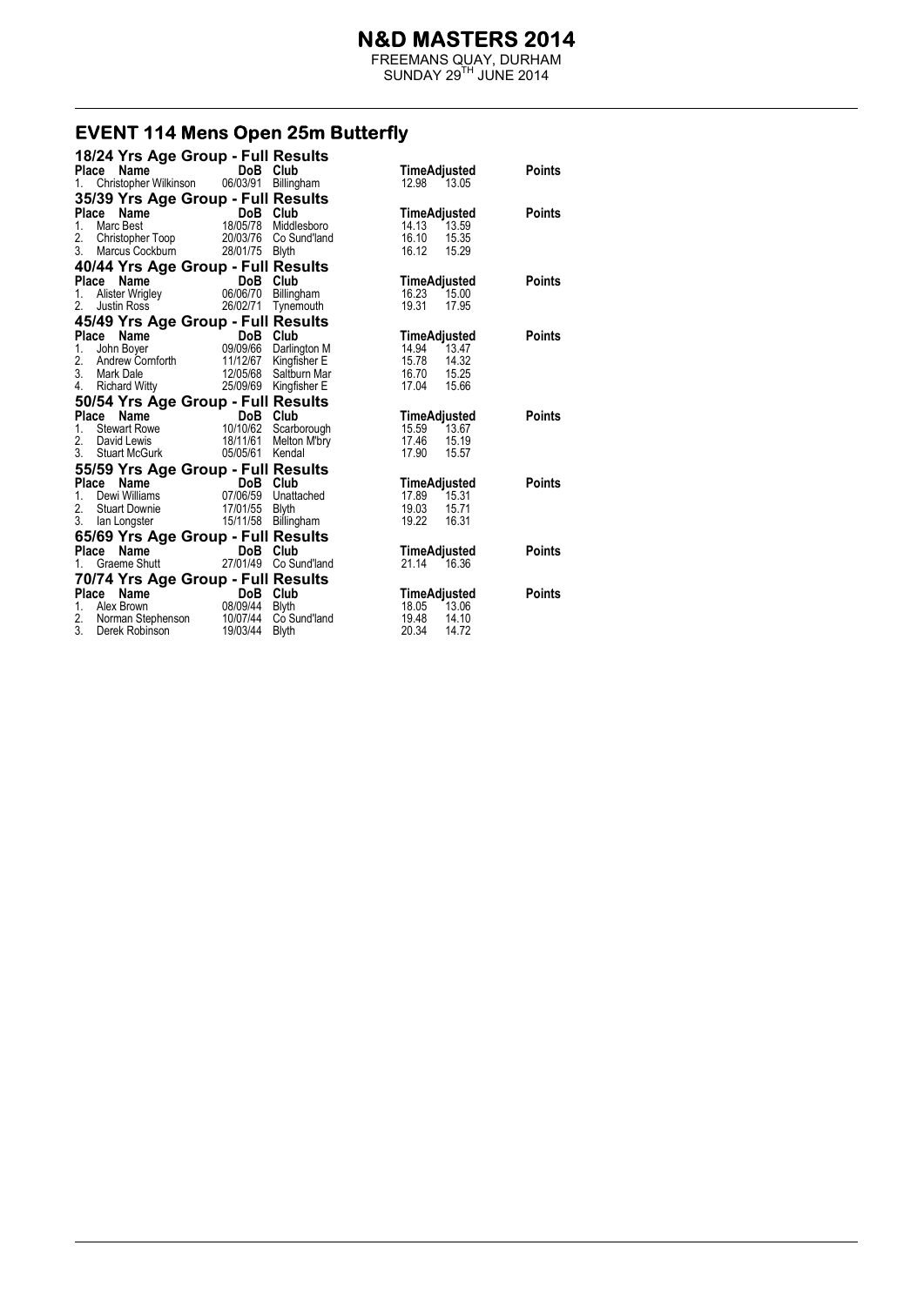FREEMANS QUAY, DURHAM  $SUNDAY 29<sup>TH</sup> JUNE 2014$ 

#### **EVENT 114 Mens Open 25m Butterfly**

| 18/24 Yrs Age Group - Full Results                |                                    |                              |                                  |               |
|---------------------------------------------------|------------------------------------|------------------------------|----------------------------------|---------------|
| Name<br><b>Place</b>                              | DoB Club                           |                              | TimeAdjusted                     | Points        |
| Christopher Wilkinson 06/03/91 Billingham<br>1.   |                                    |                              | 12.98 13.05                      |               |
| 35/39 Yrs Age Group - Full Results                |                                    |                              |                                  |               |
| Place<br>Name                                     | DoB Club                           |                              | TimeAdjusted                     | Points        |
| $1_{-}$<br>Marc Best                              | <b>DoB</b><br>18/05/78             | Middlesboro                  | 14.13<br>13.59                   |               |
| 2.<br>Christopher Toop                            | 20/03/76                           | Co Sund'land                 | 16.10<br>15.35                   |               |
| 3.<br>Marcus Cockburn                             | 28/01/75                           | <b>Blyth</b>                 | 16.12<br>15.29                   |               |
| 40/44 Yrs Age Group - Full Results                |                                    |                              |                                  |               |
| Place Name                                        | DoB Club<br><b>DoB</b><br>06/06/70 |                              | TimeAdjusted                     | <b>Points</b> |
| Alister Wrigley<br>1.                             |                                    | Billingham                   | 16.23<br>15.00                   |               |
| 2.<br>Justin Ross                                 | 26/02/71                           | Tynemouth                    | 19.31<br>17.95                   |               |
| 45/49 Yrs Age Group - Full Results                |                                    |                              |                                  |               |
| Place<br>Name                                     | DoB                                | Club                         | TimeAdjusted                     | <b>Points</b> |
| 1.<br>John Boyer                                  | 09/09/66                           | Darlington M                 | 14.94<br>13.47                   |               |
| 2.<br>Andrew Cornforth<br>3.<br>Mark Dale         | 11/12/67<br>12/05/68               | Kingfisher E<br>Saltburn Mar | 15.78<br>14.32<br>16.70<br>15.25 |               |
| 4.<br>Richard Witty                               | 25/09/69                           | Kingfisher E                 | 17.04<br>15.66                   |               |
|                                                   |                                    |                              |                                  |               |
|                                                   |                                    |                              |                                  |               |
| 50/54 Yrs Age Group - Full Results                |                                    |                              |                                  |               |
| Place<br>Name                                     | DoB Club                           |                              | TimeAdjusted                     | <b>Points</b> |
| $1_{-}$<br><b>Stewart Rowe</b>                    | 10/10/62                           | Scarborough                  | 15.59<br>13.67                   |               |
| 2.<br>David Lewis                                 | 18/11/61                           | Melton M'bry                 | 17.46<br>15.19                   |               |
| 3.<br><b>Stuart McGurk</b>                        | 05/05/61                           | Kendal                       | 17.90<br>15.57                   |               |
| 55/59 Yrs Age Group - Full Results                |                                    |                              |                                  |               |
| Place<br>Name                                     | DoB Club                           |                              | TimeAdjusted                     | <b>Points</b> |
| Dewi Williams<br>1.<br>2.<br><b>Stuart Downie</b> | 07/06/59<br>17/01/55               | Unattached                   | 17.89<br>15.31<br>19.03<br>15.71 |               |
| 3.<br>lan Longster                                | 15/11/58                           | <b>Blyth</b><br>Billingham   | 19.22<br>16.31                   |               |
|                                                   |                                    |                              |                                  |               |
| 65/69 Yrs Age Group - Full Results<br>Place       | DoB                                | Club                         |                                  | <b>Points</b> |
| Name<br>Graeme Shutt                              | 27/01/49                           | Co Sund'land                 | TimeAdjusted<br>21.14<br>16.36   |               |
|                                                   |                                    |                              |                                  |               |
| 70/74 Yrs Age Group - Full Results                |                                    |                              |                                  |               |
| Place Name<br>Alex Brown<br>1.                    | DoB Club<br>08/09/44               | <b>Blyth</b>                 | TimeAdjusted<br>18.05<br>13.06   | <b>Points</b> |
| 2.<br>Norman Stephenson<br>3.                     | 10/07/44<br>19/03/44               | Co Sund'land                 | 19.48<br>14.10                   |               |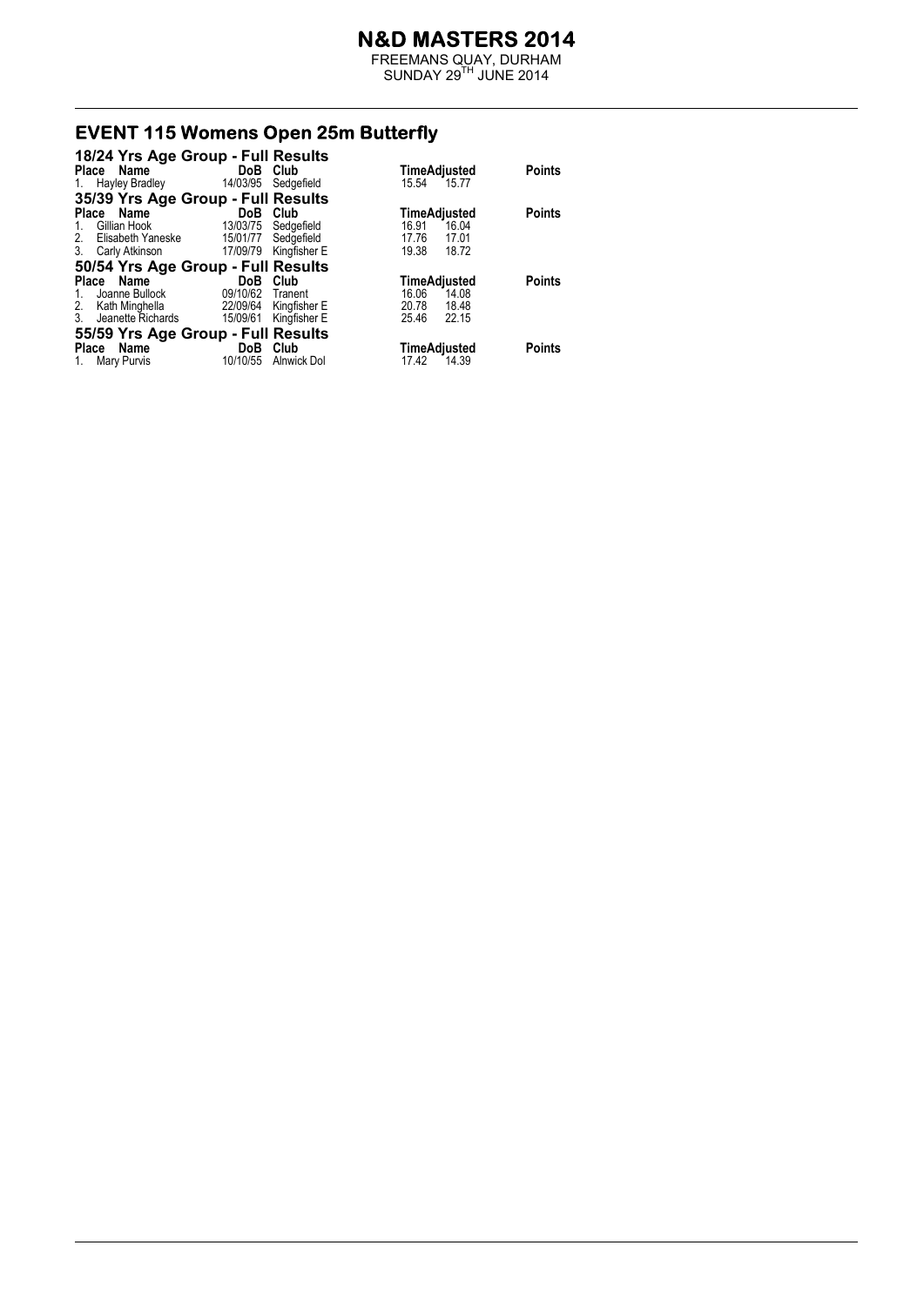FREEMANS QUAY, DURHAM  $SUNDAY 29<sup>TH</sup> JUNE 2014$ 

# **EVENT 115 Womens Open 25m Butterfly**<br>18/24 Yrs Age Group - Full Results

| 18/24 Yrs Age Group - Full Results |          |              |       |              |               |
|------------------------------------|----------|--------------|-------|--------------|---------------|
| <b>Place</b><br>Name               | DoB Club |              |       | TimeAdjusted | <b>Points</b> |
| Hayley Bradley<br>1.               | 14/03/95 | Sedgefield   | 15.54 | 15.77        |               |
| 35/39 Yrs Age Group - Full Results |          |              |       |              |               |
| Name<br>Place                      | DoB      | Club         |       | TimeAdjusted | <b>Points</b> |
| Gillian Hook<br>1.                 | 13/03/75 | Sedgefield   | 16.91 | 16.04        |               |
| Elisabeth Yaneske<br>2.            | 15/01/77 | Sedgefield   | 17.76 | 17.01        |               |
| 3. Carly Atkinson                  | 17/09/79 | Kingfisher E | 19.38 | 18.72        |               |
| 50/54 Yrs Age Group - Full Results |          |              |       |              |               |
| Place Name                         | DoB.     | Club         |       | TimeAdjusted | <b>Points</b> |
| Joanne Bullock<br>1.               | 09/10/62 | Tranent      | 16.06 | 14.08        |               |
| 2. Kath Minghella                  | 22/09/64 | Kingfisher E | 20.78 | 18.48        |               |
| 3. Jeanette Richards               | 15/09/61 | Kingfisher E | 25.46 | 22.15        |               |
| 55/59 Yrs Age Group - Full Results |          |              |       |              |               |
| Name<br><b>Place</b>               | DoB      | Club         |       | TimeAdjusted | <b>Points</b> |
| Mary Purvis<br>1.                  | 10/10/55 | Alnwick Dol  | 17.42 | 14.39        |               |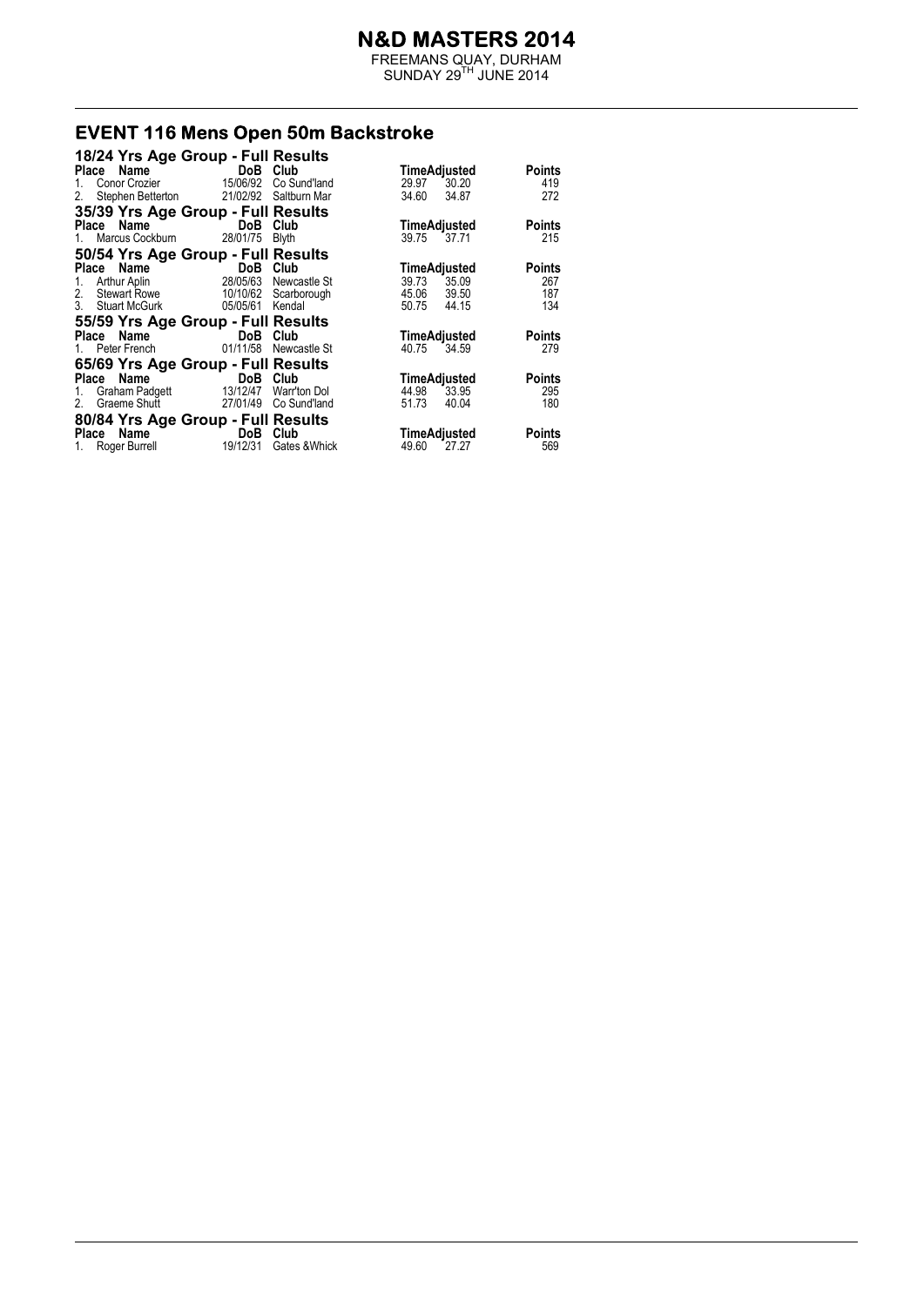FREEMANS QUAY, DURHAM  $SUNDAY 29<sup>TH</sup> JUNE 2014$ 

# **EVENT 116 Mens Open 50m Backstroke**<br>18/24 Yrs Age Group - Full Results

| 18/24 Yrs Age Group - Full Results    |                                         |               |                                      |  |
|---------------------------------------|-----------------------------------------|---------------|--------------------------------------|--|
| Place Name                            | DoB Club                                |               | TimeAdjusted<br>Points               |  |
| 1.                                    | Conor Crozier 15/06/92                  | Co Sund'land  | 29.97 30.20<br>419                   |  |
| 2.                                    | Stephen Betterton 21/02/92 Saltburn Mar |               | 34.60<br>34.87<br>272                |  |
| 35/39 Yrs Age Group - Full Results    |                                         |               |                                      |  |
| Place Name DoB Club                   |                                         |               | <b>Points</b><br><b>TimeAdjusted</b> |  |
| 1. Marcus Cockburn 28/01/75 Blyth     |                                         |               | 215<br>39.75 37.71                   |  |
| 50/54 Yrs Age Group - Full Results    |                                         |               |                                      |  |
| Place Name                            | <b>Example 12 DoB</b> Club              |               | <b>Points</b><br>TimeAdjusted        |  |
| 1. Arthur Aplin 28/05/63 Newcastle St |                                         |               | 39.73 35.09<br>267                   |  |
| 2. Stewart Rowe 10/10/62 Scarborough  |                                         |               | 45.06 39.50<br>187                   |  |
| 3. Stuart McGurk                      | 05/05/61 Kendal                         |               | 134<br>50.75 44.15                   |  |
| 55/59 Yrs Age Group - Full Results    |                                         |               |                                      |  |
| Place Name                            | DoB Club                                |               | TimeAdjusted<br><b>Points</b>        |  |
| 1. Peter French                       | 01/11/58                                | Newcastle St  | 40.75<br>279<br>34.59                |  |
| 65/69 Yrs Age Group - Full Results    |                                         |               |                                      |  |
| Place Name                            | <b>Example 19 DoB</b> Club              |               | <b>Points</b><br>TimeAdjusted        |  |
| 1. Graham Padgett 13/12/47            |                                         | Warr'ton Dol  | 44.98 33.95<br>295                   |  |
| 2. Graeme Shutt 27/01/49 Co Sund'land |                                         |               | 51.73<br>40.04<br>180                |  |
| 80/84 Yrs Age Group - Full Results    |                                         |               |                                      |  |
| Place Name                            | <b>Example 19 DoB</b> Club              |               | <b>Points</b><br>TimeAdjusted        |  |
| 1. Roger Burrell 19/12/31             |                                         | Gates & Whick | 49.60 27.27<br>569                   |  |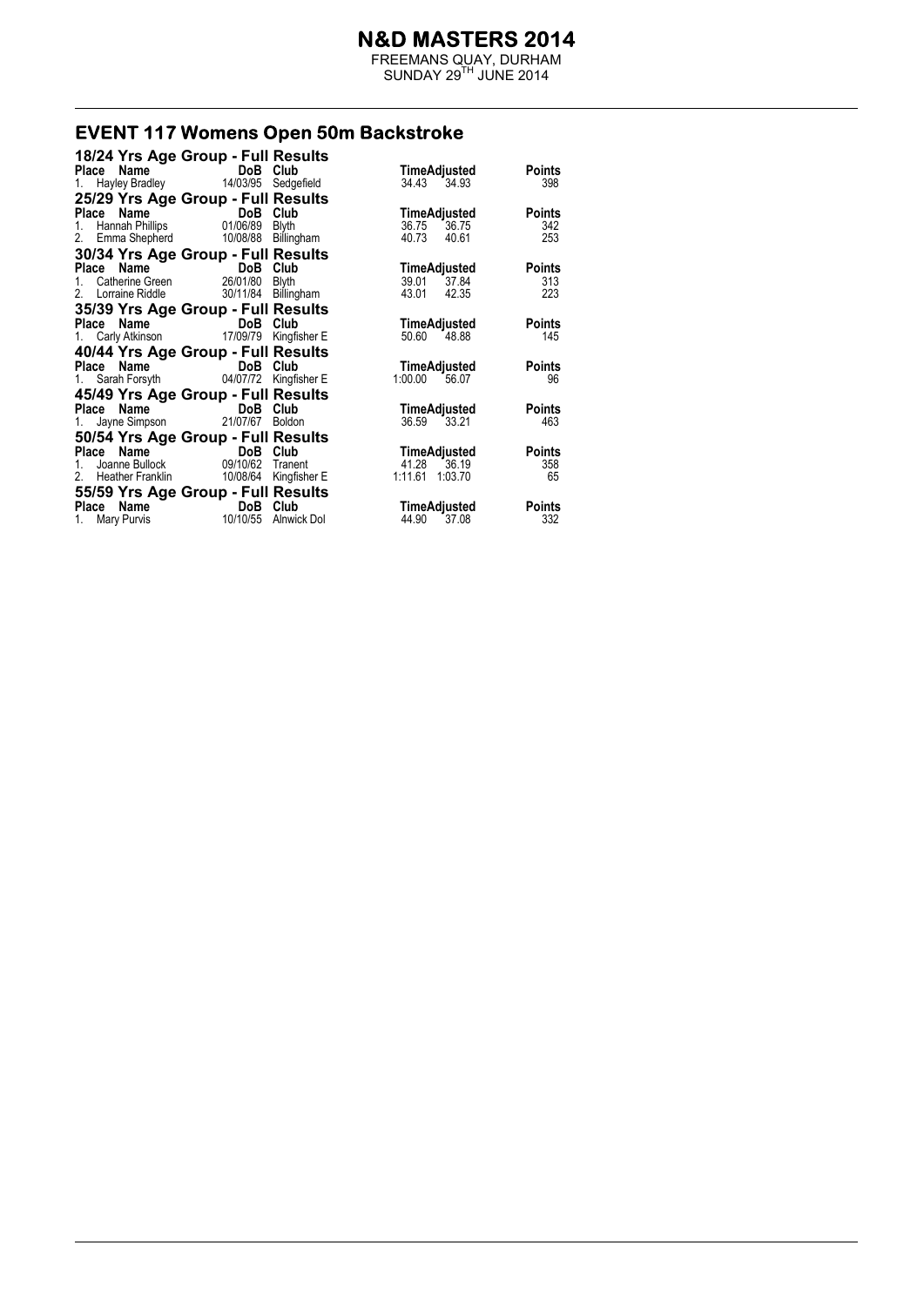FREEMANS QUAY, DURHAM  $SUNDAY 29<sup>TH</sup> JUNE 2014$ 

# **EVENT 117 Womens Open 50m Backstroke**

| 18/24 Yrs Age Group - Full Results                        |                                     |             |                               |
|-----------------------------------------------------------|-------------------------------------|-------------|-------------------------------|
| Place Name                                                | DoB Club                            |             | TimeAdjusted<br><b>Points</b> |
| 1. Hayley Bradley 14/03/95 Sedgefield                     |                                     |             | 34.43 34.93<br>398            |
| 25/29 Yrs Age Group - Full Results                        |                                     |             |                               |
|                                                           |                                     |             | <b>Points</b><br>TimeAdjusted |
|                                                           |                                     |             | 36.75<br>36.75<br>342         |
| 2. Emma Shepherd 10/08/88 Billingham                      |                                     |             | 253<br>40.73<br>40.61         |
| 30/34 Yrs Age Group - Full Results                        |                                     |             |                               |
| <b>Place Name</b><br>1. Catherine Green<br>26/01/80 Blyth |                                     |             | <b>Points</b><br>TimeAdjusted |
|                                                           |                                     |             | 39.01 37.84<br>313            |
| 2.                                                        | Lorraine Riddle 30/11/84 Billingham |             | 223<br>43.01<br>42.35         |
| 35/39 Yrs Age Group - Full Results                        |                                     |             |                               |
| Place Name DoB Club                                       |                                     |             | <b>Points</b><br>TimeAdjusted |
| 1. Carly Atkinson 17/09/79 Kingfisher E                   |                                     |             | 145<br>50.60 48.88            |
| 40/44 Yrs Age Group - Full Results                        |                                     |             |                               |
| Place Name DoB Club                                       |                                     |             | <b>Points</b><br>TimeAdjusted |
| 1. Sarah Forsyth 04/07/72 Kingfisher E                    |                                     |             | 1:00.00 56.07<br>96           |
| 45/49 Yrs Age Group - Full Results                        |                                     |             |                               |
| Place Name DoB Club                                       |                                     |             | <b>Points</b><br>TimeAdjusted |
| 1. Jayne Simpson 21/07/67 Boldon                          |                                     |             | 36.59<br>33.21<br>463         |
| 50/54 Yrs Age Group - Full Results                        |                                     |             |                               |
|                                                           |                                     |             | <b>Points</b><br>TimeAdjusted |
| Place Name<br>1. Joanne Bullock 09/10/62 Traner           |                                     | Tranent     | 41.28<br>358<br>36.19         |
| 2. Heather Franklin 10/08/64 Kingfisher E                 |                                     |             | 1:11.61<br>1:03.70<br>65      |
| 55/59 Yrs Age Group - Full Results                        |                                     |             |                               |
| Place Name DoB Club                                       |                                     |             | <b>Points</b><br>TimeAdjusted |
| 1. Mary Purvis                                            | 10/10/55                            | Alnwick Dol | 44.90<br>37.08<br>332         |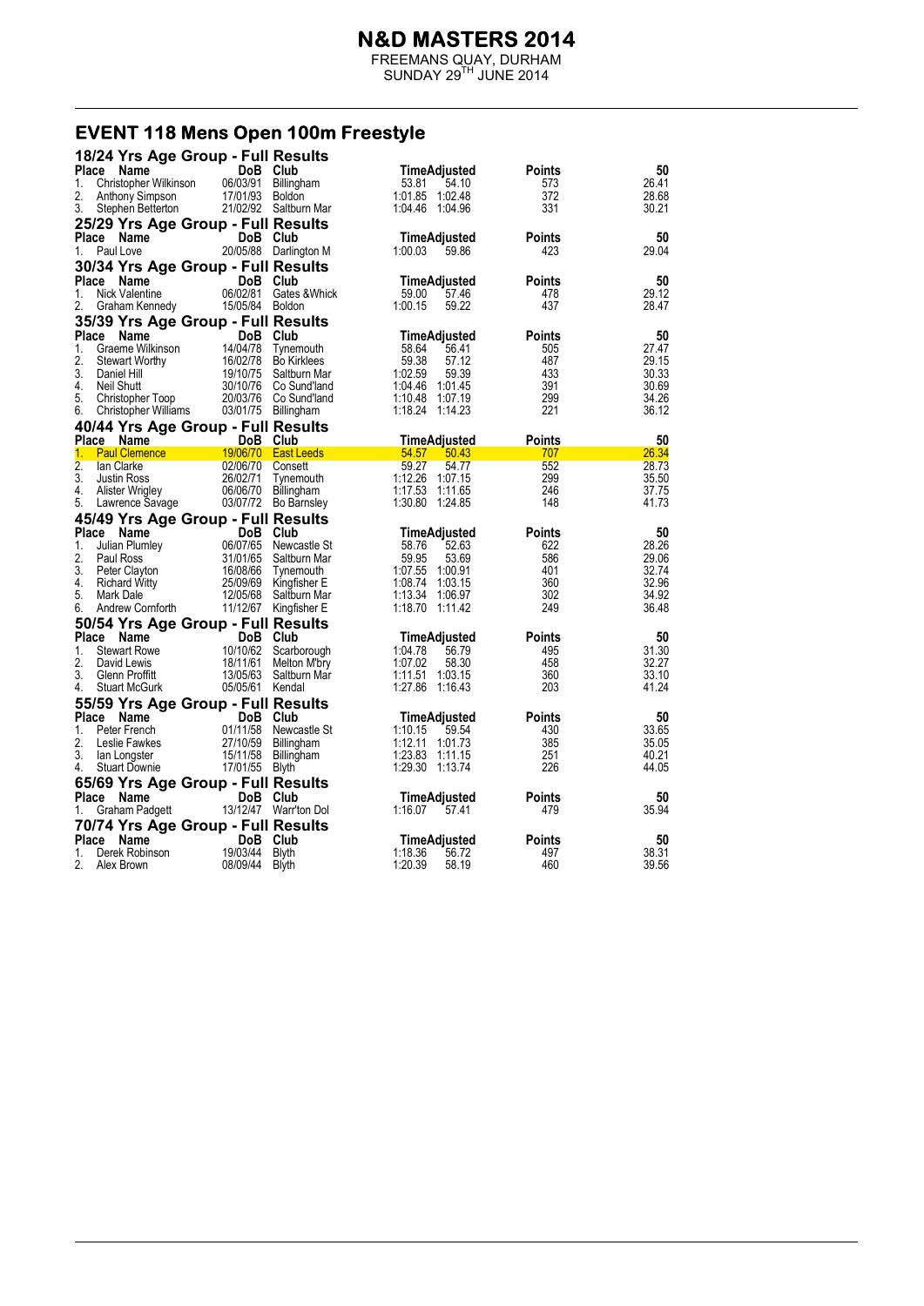FREEMANS QUAY, DURHAM  $SUNDAY 29<sup>TH</sup> JUNE 2014$ 

#### EVENT 118 Mens Open 100m Freestyle

|              | 18/24 Yrs Age Group - Full Results               |                      |                                           |                                      |                      |                |
|--------------|--------------------------------------------------|----------------------|-------------------------------------------|--------------------------------------|----------------------|----------------|
| Place        | Name                                             |                      | DoB Club                                  | TimeAdjusted                         | Points               | 50             |
| 1.           | Christopher Wilkinson                            | 06/03/91             | Billingham                                | 53.81<br>54.10                       | 573                  | 26.41          |
| 2.           | Anthony Simpson                                  | 17/01/93 Boldon      |                                           | 1:01.85 1:02.48                      | 372                  | 28.68          |
| 3.           | Stephen Betterton                                |                      | 21/02/92 Saltburn Mar                     | 1:04.46 1:04.96                      | 331                  | 30.21          |
|              | 25/29 Yrs Age Group - Full Results               |                      |                                           |                                      |                      |                |
|              | Place Name                                       |                      | DoB Club                                  | TimeAdjusted                         | <b>Points</b>        | 50             |
| 1.           | Paul Love                                        |                      | 20/05/88 Darlington M                     | 1:00.03<br>59.86                     | 423                  | 29.04          |
|              | 30/34 Yrs Age Group - Full Results               |                      |                                           |                                      |                      |                |
|              | Place<br>Name                                    |                      | DoB Club                                  | <b>TimeAdjusted</b>                  | <b>Points</b>        | 50             |
| 1.           | Nick Valentine                                   | 06/02/81             | Gates & Whick                             | 57.46<br>59.00                       | 478                  | 29.12          |
| 2.           | Graham Kennedy                                   | 15/05/84 Boldon      |                                           | 1:00.15<br>59.22                     | 437                  | 28.47          |
|              | 35/39 Yrs Age Group - Full Results               |                      |                                           |                                      |                      |                |
|              | Place<br>Name                                    | DoB Club             |                                           | TimeAdjusted                         | <b>Points</b>        | 50             |
| 1.           | Graeme Wilkinson                                 |                      | 14/04/78 Tynemouth                        | 58.64<br>56.41                       | 505                  | 27.47          |
| 2.           | Stewart Worthy                                   |                      | 16/02/78 Bo Kirklees                      | 59.38<br>57.12                       | 487                  | 29.15          |
| 3.           | Daniel Hill                                      | 19/10/75             | Saltburn Mar                              | 1:02.59<br>59.39                     | 433                  | 30.33          |
| 4.           | Neil Shutt                                       |                      | 30/10/76 Co Sund'land                     | 1:04.46 1:01.45                      | 391                  | 30.69          |
| 5.           | Christopher Toop                                 |                      | 20/03/76 Co Sund'land                     | 1:10.48 1:07.19                      | 299                  | 34.26          |
| 6.           | Christopher Williams                             |                      | 03/01/75 Billingham                       | 1:18.24 1:14.23                      | 221                  | 36.12          |
|              | 40/44 Yrs Age Group - Full Results               |                      |                                           |                                      |                      |                |
|              | Place Name                                       |                      | DoB Club                                  | TimeAdjusted                         | <b>Points</b>        | 50             |
| 1.           | <b>Paul Clemence</b>                             |                      | 19/06/70 East Leeds                       | 54.57<br>50.43                       | 707                  | 26.34          |
| 2.           | lan Clarke                                       | 02/06/70 Consett     |                                           | 59.27<br>54.77                       | 552                  | 28.73          |
| 3.           | <b>Justin Ross</b>                               | 26/02/71             | Tynemouth                                 | 1:12.26 1:07.15                      | 299                  | 35.50          |
| 4.<br>5.     | Alister Wrigley<br>Lawrence Savage               | 06/06/70             | <b>Billingham</b><br>03/07/72 Bo Barnsley | 1:17.53 1:11.65<br>1:30.80 1:24.85   | 246<br>148           | 37.75<br>41.73 |
|              |                                                  |                      |                                           |                                      |                      |                |
|              |                                                  |                      |                                           |                                      |                      |                |
|              | 45/49 Yrs Age Group - Full Results               |                      |                                           |                                      |                      |                |
|              | Place Name                                       |                      | DoB Club                                  | TimeAdjusted                         | <b>Points</b>        | 50             |
| 1.           | Julian Plumley                                   |                      | 06/07/65 Newcastle St                     | 58.76<br>52.63                       | 622                  | 28.26          |
| 2.           | Paul Ross                                        | 31/01/65             | Saltburn Mar                              | 59.95<br>53.69                       | 586                  | 29.06          |
| 3.           | Peter Clayton                                    | 16/08/66             | Tynemouth                                 | 1:07.55 1:00.91                      | 401                  | 32.74          |
| 4.           | <b>Richard Witty</b>                             | 25/09/69             | Kingfisher E                              | 1:08.74 1:03.15                      | 360                  | 32.96          |
| 5.<br>6.     | Mark Dale<br>Andrew Cornforth                    | 12/05/68<br>11/12/67 | Saltburn Mar<br>Kingfisher E              | 1:13.34 1:06.97<br>1:18.70 1:11.42   | 302<br>249           | 34.92<br>36.48 |
|              |                                                  |                      |                                           |                                      |                      |                |
|              | 50/54 Yrs Age Group - Full Results               |                      |                                           |                                      |                      |                |
| Place<br>1.  | <b>Name</b><br><b>Stewart Rowe</b>               |                      | DoB Club                                  | TimeAdjusted<br>1:04.78<br>56.79     | <b>Points</b><br>495 | 50             |
| 2.           | David Lewis                                      | 18/11/61             | 10/10/62 Scarborough<br>Melton M'bry      | 1:07.02<br>58.30                     | 458                  | 31.30<br>32.27 |
| 3.           | Glenn Proffitt                                   | 13/05/63             | Saltburn Mar                              | 1:11.51 1:03.15                      | 360                  | 33.10          |
| 4.           | <b>Stuart McGurk</b>                             | 05/05/61 Kendal      |                                           | 1:27.86 1:16.43                      | 203                  | 41.24          |
|              |                                                  |                      |                                           |                                      |                      |                |
|              | 55/59 Yrs Age Group - Full Results<br>Place Name | DoB Club             |                                           | TimeAdjusted                         | <b>Points</b>        | 50             |
| 1.           | Peter French                                     |                      | 01/11/58 Newcastle St                     | 1:10.15<br>59.54                     | 430                  | 33.65          |
| 2.           | Leslie Fawkes                                    | 27/10/59             | <b>Billingham</b>                         | 1:12.11 1:01.73                      | 385                  | 35.05          |
| 3.           | lan Longster                                     |                      | 15/11/58 Billingham                       | 1:23.83 1:11.15                      | 251                  | 40.21          |
| 4.           | <b>Stuart Downie</b>                             | 17/01/55             | Blyth                                     | 1:29.30 1:13.74                      | 226                  | 44.05          |
|              | 65/69 Yrs Age Group - Full Results               |                      |                                           |                                      |                      |                |
| <b>Place</b> | Name                                             |                      | DoB Club                                  | TimeAdjusted                         | <b>Points</b>        | 50             |
| 1.           | Graham Padgett                                   |                      | 13/12/47 Warr'ton Dol                     | 1:16.07<br>57.41                     | 479                  | 35.94          |
|              | 70/74 Yrs Age Group - Full Results               |                      |                                           |                                      |                      |                |
| Place        | <b>Name</b>                                      | DoB.                 | Club                                      | TimeAdjusted                         | Points               | 50             |
| 1.<br>2.     | Derek Robinson                                   | 19/03/44<br>08/09/44 | <b>Blyth</b>                              | 1:18.36<br>56.72<br>1:20.39<br>58.19 | 497<br>460           | 38.31<br>39.56 |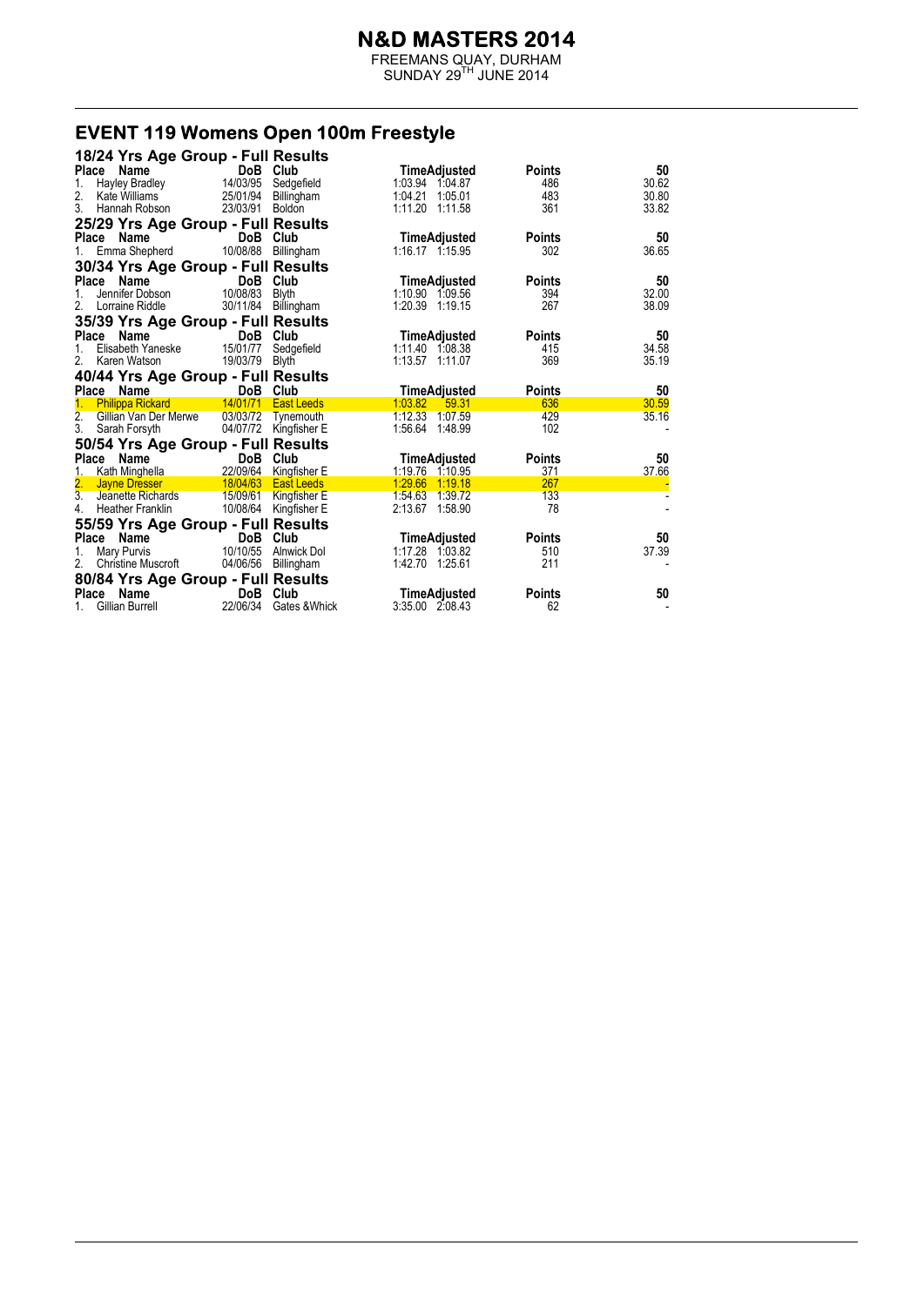FREEMANS QUAY, DURHAM  $SUNDAY 29<sup>TH</sup> JUNE 2014$ 

# EVENT 119 Womens Open 100m Freestyle

|                     | 18/24 Yrs Age Group - Full Results                  |            |                                              |                                  |                      |             |
|---------------------|-----------------------------------------------------|------------|----------------------------------------------|----------------------------------|----------------------|-------------|
| <b>Place</b>        | Name                                                |            | DoB Club                                     | TimeAdjusted                     | <b>Points</b>        | 50          |
| 1.                  | Hayley Bradley                                      | 14/03/95   | Sedgefield                                   | 1:03.94 1:04.87                  | 486                  | 30.62       |
| 2.                  | Kate Williams                                       | 25/01/94   | Billingham                                   | 1:04.21 1:05.01                  | 483                  | 30.80       |
| 3.                  | Hannah Robson                                       | 23/03/91   | Boldon                                       | 1:11.20 1:11.58                  | 361                  | 33.82       |
|                     | 25/29 Yrs Age Group - Full Results                  |            |                                              |                                  |                      |             |
| <b>Place</b>        | Name                                                | DoB        | Club                                         | <b>TimeAdjusted</b>              | <b>Points</b>        | 50          |
|                     | Emma Shepherd                                       | 10/08/88   | Billingham                                   | 1:16.17 1:15.95                  | 302                  | 36.65       |
|                     | 30/34 Yrs Age Group - Full Results                  |            |                                              |                                  |                      |             |
| Place               | Name                                                |            | DoB Club                                     | <b>TimeAdjusted</b>              | <b>Points</b>        | 50          |
|                     | Jennifer Dobson                                     | 10/08/83   | <b>Blyth</b>                                 | 1:10.90 1:09.56                  | 394                  | 32.00       |
| 2.                  | Lorraine Riddle                                     | 30/11/84   | Billingham                                   | 1:20.39 1:19.15                  | 267                  | 38.09       |
|                     | 35/39 Yrs Age Group - Full Results                  |            |                                              |                                  |                      |             |
|                     | Name<br>Place                                       |            | DoB Club                                     | TimeAdjusted                     | <b>Points</b>        | 50          |
| 1.                  | Elisabeth Yaneske                                   | 15/01/77   | Sedgefield                                   | 1:11.40 1:08.38                  | 415                  | 34.58       |
| 2.                  | Karen Watson                                        | 19/03/79   | <b>Blyth</b>                                 | 1:13.57 1:11.07                  | 369                  | 35.19       |
|                     | 40/44 Yrs Age Group - Full Results                  |            |                                              |                                  |                      |             |
|                     |                                                     |            |                                              |                                  |                      |             |
|                     |                                                     |            |                                              |                                  |                      |             |
|                     | Place Name                                          | 14/01/71   | DoB Club<br><b>East Leeds</b>                | TimeAdjusted<br>1:03.82<br>59.31 | <b>Points</b><br>636 | 50<br>30.59 |
| 2.                  | <b>Philippa Rickard</b><br>Gillian Van Der Merwe    | 03/03/72   | Tynemouth                                    | 1:12.33 1:07.59                  | 429                  | 35.16       |
| 3.                  | Sarah Forsyth                                       |            | 04/07/72 Kingfisher E                        | 1:56.64 1:48.99                  | 102                  |             |
|                     |                                                     |            |                                              |                                  |                      |             |
|                     | 50/54 Yrs Age Group - Full Results                  |            |                                              |                                  |                      |             |
|                     | Place Name                                          |            | DoB Club                                     | TimeAdjusted<br>1:19.76 1:10.95  | <b>Points</b><br>371 | 50<br>37.66 |
| 1.                  | Kath Minghella<br>Jayne Dresser                     |            | 22/09/64 Kingfisher E<br>18/04/63 East Leeds | 1:29.66 1:19.18                  | 267                  |             |
|                     | Jeanette Richards                                   | 15/09/61   | Kingfisher E                                 | 1:54.63 1:39.72                  | 133                  |             |
| $\frac{2}{3}$<br>4. | Heather Franklin                                    |            | 10/08/64 Kingfisher E                        | 2:13.67 1:58.90                  | 78                   |             |
|                     |                                                     |            |                                              |                                  |                      |             |
|                     | 55/59 Yrs Age Group - Full Results<br>Place<br>Name |            | DoB Club                                     | TimeAdjusted                     | <b>Points</b>        | 50          |
| 1.                  | Mary Purvis                                         | 10/10/55   | Alnwick Dol                                  | 1:17.28 1:03.82                  | 510                  | 37.39       |
| 2.                  | <b>Christine Muscroft</b>                           | 04/06/56   | Billingham                                   | 1:42.70 1:25.61                  | 211                  |             |
|                     |                                                     |            |                                              |                                  |                      |             |
| Place               | 80/84 Yrs Age Group - Full Results<br>Name          | <b>DoB</b> | Club                                         | TimeAdjusted                     | <b>Points</b>        | 50          |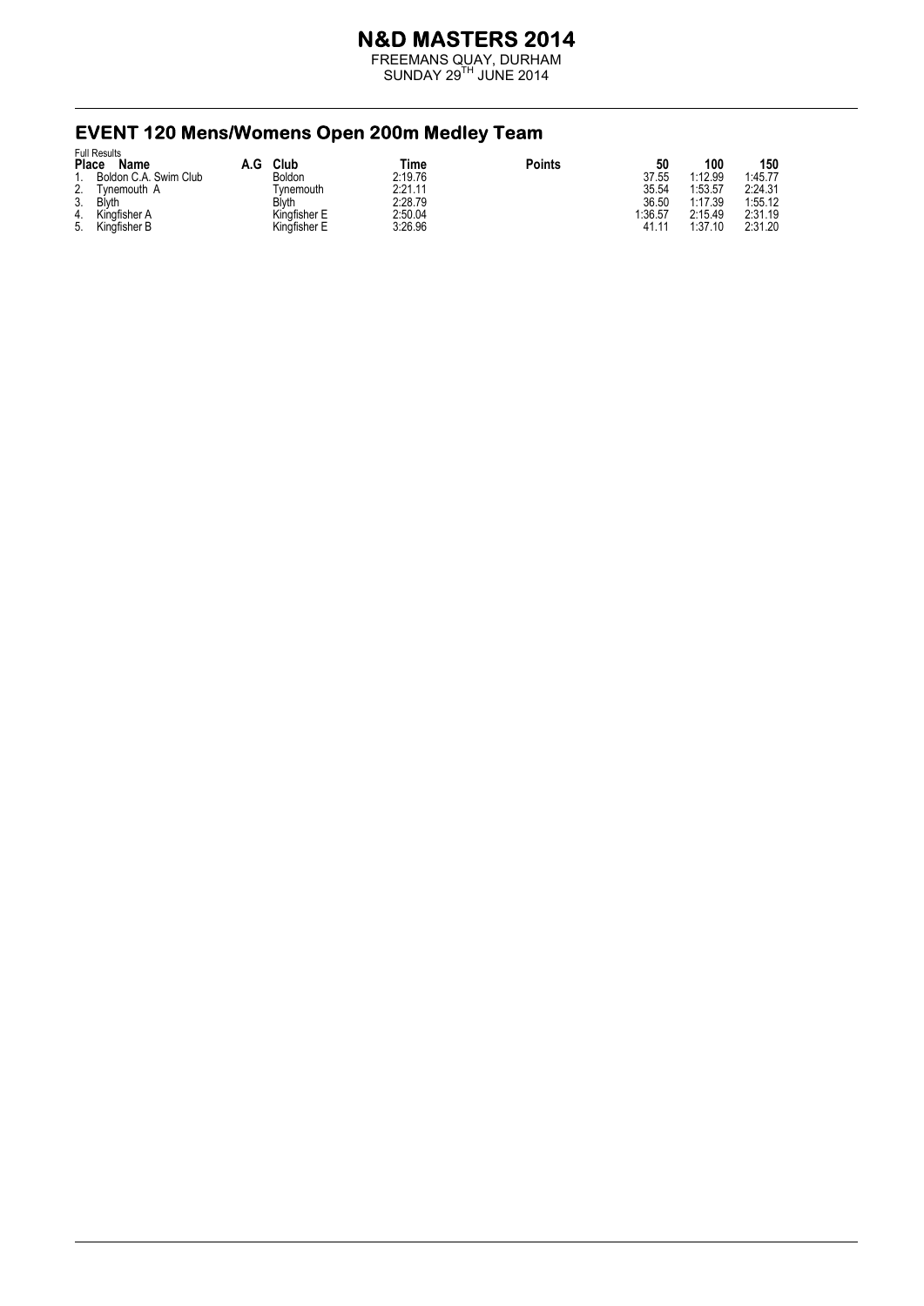FREEMANS QUAY, DURHAM  $SUNDAY 29<sup>TH</sup> JUNE 2014$ 

#### **EVENT 120 Mens/Womens Open 200m Medley Team** Full Results

|              | <b>FUIL RESULTS</b>   |     |              |         |               |         |         |         |
|--------------|-----------------------|-----|--------------|---------|---------------|---------|---------|---------|
| <b>Place</b> | Name                  | A.G | Club         | Time    | <b>Points</b> | 50      | 100     | 150     |
|              | Boldon C.A. Swim Club |     | Boldon       | 2:19.76 |               | 37.55   | 1:12.99 | 1:45.77 |
| 2.           | Tvnemouth A           |     | Tvnemouth    | 2:21.11 |               | 35.54   | 1:53.57 | 2:24.31 |
| 3.           | <b>Blyth</b>          |     | BÌyth        | 2:28.79 |               | 36.50   | 1:17.39 | 1:55.12 |
| 4.           | Kingfisher A          |     | Kinafisher E | 2:50.04 |               | 1:36.57 | 2:15.49 | 2:31.19 |
| 5.           | Kingfisher B          |     | Kingfisher E | 3:26.96 |               | 41.11   | 1:37.10 | 2:31.20 |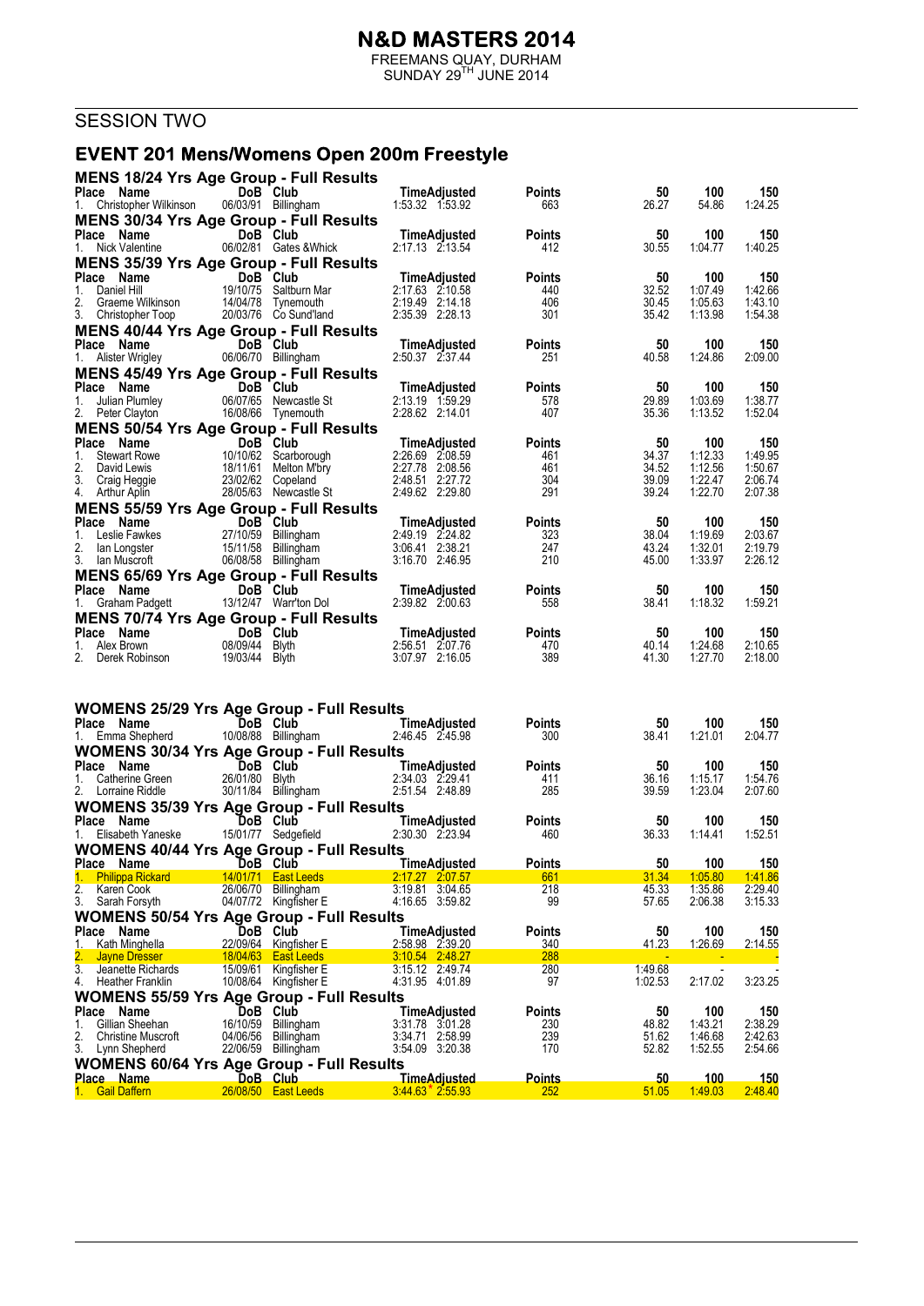FREEMANS QUAY, DURHAM  $SUNDAY 29<sup>TH</sup> JUNE 2014$ 

# **SESSION TWO**

#### EVENT 201 Mens/Womens Open 200m Freestyle

| <b>MENS 18/24 Yrs Age Group - Full Results</b>                             |                                 |                                                                                                                        |                                    |                      |                |                        |                    |
|----------------------------------------------------------------------------|---------------------------------|------------------------------------------------------------------------------------------------------------------------|------------------------------------|----------------------|----------------|------------------------|--------------------|
| Place Name                                                                 | DoB Club                        |                                                                                                                        | TimeAdjusted                       | <b>Points</b>        | 50             | 100                    | 150                |
| 1. Christopher Wilkinson<br><b>MENS 30/34 Yrs Age Group - Full Results</b> | 06/03/91 Billingham             |                                                                                                                        | 1:53.32 1:53.92                    | 663                  | 26.27          | 54.86                  | 1:24.25            |
| Place Name                                                                 | DoB Club                        |                                                                                                                        | TimeAdjusted                       | <b>Points</b>        | 50             | 100                    | 150                |
| 1. Nick Valentine                                                          |                                 | 06/02/81 Gates & Whick                                                                                                 | 2:17.13 2:13.54                    | 412                  | 30.55          | 1:04.77                | 1:40.25            |
| <b>MENS 35/39 Yrs Age Group - Full Results</b>                             |                                 |                                                                                                                        |                                    |                      |                |                        |                    |
| Place Name<br>1.<br>Daniel Hill                                            | DoB Club                        | 19/10/75 Saltburn Mar                                                                                                  | TimeAdjusted<br>2:17.63 2:10.58    | <b>Points</b><br>440 | 50<br>32.52    | 100<br>1:07.49         | 150<br>1:42.66     |
| Graeme Wilkinson<br>Christopher Toop<br>2.                                 |                                 | 14/04/78 Tynemouth                                                                                                     | 2:19.49 2:14.18                    | 406                  | 30.45          | 1:05.63                | 1:43.10            |
| 3. Christopher Toop                                                        |                                 | 20/03/76 Co Sund'land                                                                                                  | 2:35.39 2:28.13                    | 301                  | 35.42          | 1:13.98                | 1:54.38            |
| <b>MENS 40/44 Yrs Age Group - Full Results</b><br>Place Name               | DoB Club                        |                                                                                                                        | TimeAdjusted                       | <b>Points</b>        | 50             | 100                    | 150                |
| 1. Alister Wrigley                                                         | 06/06/70 Billingham             |                                                                                                                        | 2:50.37 2:37.44                    | 251                  | 40.58          | 1:24.86                | 2:09.00            |
| <b>MENS 45/49 Yrs Age Group - Full Results</b>                             |                                 |                                                                                                                        |                                    |                      |                |                        |                    |
| Place Name                                                                 | DoB Club                        |                                                                                                                        | TimeAdjusted                       | <b>Points</b>        | 50             | 100                    | 150                |
| 1.<br>2. Peter Clayton                                                     |                                 | 06/07/65 Newcastle St<br>16/08/66 Tynemouth                                                                            | 2:13.19 1.59.29<br>2:28.62 2:14.01 | 578<br>407           | 29.89<br>35.36 | 1:03.69<br>1:13.52     | 1:38.77<br>1:52.04 |
| <b>MENS 50/54 Yrs Age Group - Full Results</b>                             |                                 |                                                                                                                        |                                    |                      |                |                        |                    |
| Place Name                                                                 | DoB Club<br>10/10/62 Scarbo     |                                                                                                                        | TimeAdjusted                       | <b>Points</b>        | 50             | 100                    | 150                |
| 1.<br><b>Stewart Rowe</b><br>2.                                            |                                 |                                                                                                                        | 2:26.69 2:08.59<br>2:27.78 2:08.56 | 461<br>461           | 34.37<br>34.52 | 1:12.33<br>1:12.56     | 1:49.95<br>1:50.67 |
| David Lewis<br>3. Craig Heggie                                             |                                 |                                                                                                                        | 2:48.51 2:27.72                    | 304                  | 39.09          | 1:22.47                | 2:06.74            |
| 4. Arthur Aplin                                                            |                                 | 19/19/02 Scarborough<br>18/11/61 Melton M'bry<br>23/02/62 Copeland<br>28/05/63 Newcastle St<br><b>P. Groupe F. 111</b> | 2:49.62 2:29.80                    | 291                  | 39.24          | 1:22.70                | 2:07.38            |
| <b>MENS 55/59 Yrs Age Group - Full Results</b>                             |                                 |                                                                                                                        |                                    |                      |                |                        |                    |
| Place Name<br>1.<br>Leslie Fawkes                                          | DoB Club<br>27/10/59 Billingham |                                                                                                                        | TimeAdjusted<br>2:49.19 2:24.82    | <b>Points</b><br>323 | 50<br>38.04    | 100<br>1:19.69         | 150<br>2:03.67     |
| 2.<br>lan Longster                                                         | 15/11/58 Billingham             |                                                                                                                        | 3:06.41 2:38.21                    | 247                  | 43.24          | 1:32.01                | 2:19.79            |
| 3. Ian Muscroft                                                            | 06/08/58 Billingham             |                                                                                                                        | 3:16.70 2:46.95                    | 210                  | 45.00          | 1:33.97                | 2:26.12            |
| <b>MENS 65/69 Yrs Age Group - Full Results</b>                             |                                 |                                                                                                                        |                                    |                      |                |                        |                    |
| Place Name<br>1. Graham Padgett 13/12/47 Warr'ton Dol                      | DoB Club                        |                                                                                                                        | TimeAdjusted<br>2:39.82 2:00.63    | <b>Points</b><br>558 | 50<br>38.41    | 100<br>1:18.32         | 150<br>1:59.21     |
| <b>MENS 70/74 Yrs Age Group - Full Results</b>                             |                                 |                                                                                                                        |                                    |                      |                |                        |                    |
| Place Name<br>DoB Club                                                     |                                 |                                                                                                                        | TimeAdjusted                       | <b>Points</b>        | 50             | 100                    | 150                |
| 1. Alex Brown<br>2. Derek Robinson 19/03/44 Blyth                          | 08/09/44 Blyth                  |                                                                                                                        | 2:56.51 2:07.76<br>3:07.97 2:16.05 | 470<br>389           | 40.14<br>41.30 | 1:24.68<br>1:27.70     | 2:10.65<br>2:18.00 |
|                                                                            |                                 |                                                                                                                        |                                    |                      |                |                        |                    |
| <b>WOMENS 25/29 Yrs Age Group - Full Results</b><br>Place Name             |                                 |                                                                                                                        | TimeAdjusted                       | <b>Points</b>        | 50             | 100                    | 150                |
| 1. Emma Shepherd                                                           |                                 | $\frac{1000 \text{ CIUB}}{10/08/88}$ Billingham<br>4 Yre A $\sim$ 0                                                    | 2:46.45 2:45.98                    | 300                  | 38.41          | 1:21.01                | 2:04.77            |
| <b>WOMENS 30/34 Yrs Age Group - Full Results</b>                           |                                 |                                                                                                                        |                                    |                      |                |                        |                    |
| Place Name                                                                 | <b>Example 19 DoB</b> Club      | <b>1008 Club</b><br>26/01/80 Blyth 2:34.03 2:29.41<br>30/11/84 Billingham 2:51.54 2:49.00                              |                                    | <b>Points</b>        | 50             | 100                    | 150                |
| 1. Catherine Green<br>2. Lorraine Riddle                                   |                                 |                                                                                                                        |                                    | 411<br>285           | 36.16<br>39.59 | 1:15.17<br>1:23.04     | 1:54.76<br>2:07.60 |
| <b>WOMENS 35/39 Yrs Age Group - Full Results</b>                           |                                 |                                                                                                                        |                                    |                      |                |                        |                    |
| Place Name                                                                 | <b>Example 19 DoB</b> Club      |                                                                                                                        | TimeAdjusted                       | <b>Points</b>        | 50             | 100                    | 150                |
| 1. Elisabeth Yaneske                                                       |                                 | 15/01/77 Sedgefield                                                                                                    | 2:30.30 2:23.94                    | 460                  | 36.33          | 1:14.41                | 1:52.51            |
| <b>WOMENS 40/44 Yrs Age Group - Full Results</b>                           |                                 |                                                                                                                        |                                    |                      |                |                        |                    |
| Place Name<br>1. Philippa Rickard                                          |                                 | <b>Example 15 Transformation Club Club TimeAdjusted</b><br>14/01/71 East Leeds                                         | 2.17.27 2.07.57                    | <b>Points</b><br>661 | 50<br>31.34    | <u> 100</u><br>1:05.80 | 150<br>1.41.86     |
| 2.<br>Karen Cook                                                           | 26/06/70 Billingham             |                                                                                                                        | 3:19.81 3:04.65                    | 218                  | 45.33          | 1:35.86                | 2:29.40            |
| 3.<br>Sarah Forsyth                                                        |                                 | 04/07/72 Kingfisher E                                                                                                  | 4:16.65 3:59.82                    | 99                   | 57.65          | 2:06.38                | 3:15.33            |
| <b>WOMENS 50/54 Yrs Age Group - Full Results</b><br>Place Name             | DoB Club                        |                                                                                                                        | <b>TimeAdjusted</b>                | <b>Points</b>        | 50             | 100                    | 150                |
| Kath Minghella<br>1.                                                       |                                 | 22/09/64 Kingfisher E                                                                                                  | 2:58.98 2:39.20                    | 340                  | <u>41.23</u>   | 1:26.69                | 2:14.55            |
| 2.<br><b>Jayne Dresser</b>                                                 |                                 | 18/04/63 East Leeds                                                                                                    | 3:10.54 2:48.27<br>3:15.12 2:49.74 | 288                  | 1:49.68        |                        |                    |
| 3.<br>Jeanette Richards<br>4.<br><b>Heather Franklin</b>                   |                                 | 15/09/61 Kingfisher E<br>10/08/64 Kingfisher E                                                                         | 4:31.95 4:01.89                    | 280<br>97            | 1:02.53        | 2:17.02                | 3:23.25            |
| <b>WOMENS 55/59 Yrs Age Group - Full Results</b>                           |                                 |                                                                                                                        |                                    |                      |                |                        |                    |
| Place Name                                                                 | DoB Club                        |                                                                                                                        | TimeAdjusted                       | <b>Points</b>        | 50             | 100                    | 150                |
| Gillian Sheehan<br>1.<br>2.<br><b>Christine Muscroft</b>                   | 16/10/59 Billingham<br>04/06/56 | Billingham                                                                                                             | 3:31.78 3:01.28<br>3:34.71 2:58.99 | 230<br>239           | 48.82<br>51.62 | 1:43.21<br>1:46.68     | 2:38.29<br>2:42.63 |
| 3.<br>Lynn Shepherd                                                        | 22/06/59 Billingham             |                                                                                                                        | 3:54.09 3:20.38                    | 170                  | 52.82          | 1:52.55                | 2:54.66            |
| <b>WOMENS 60/64 Yrs Age Group - Full Results</b>                           |                                 |                                                                                                                        |                                    |                      |                |                        |                    |
| <u>Place Name</u>                                                          | DoB Club                        |                                                                                                                        | <b>TimeAdjusted</b>                | <b>Points</b>        | 50             | 100                    | <u> 150</u>        |
| <b>Gail Daffern</b><br>1.                                                  |                                 | 26/08/50 East Leeds                                                                                                    | $3.44.63$ $*$ 2.55.93              | 252                  | 51.05          | 1:49.03                | 2:48.40            |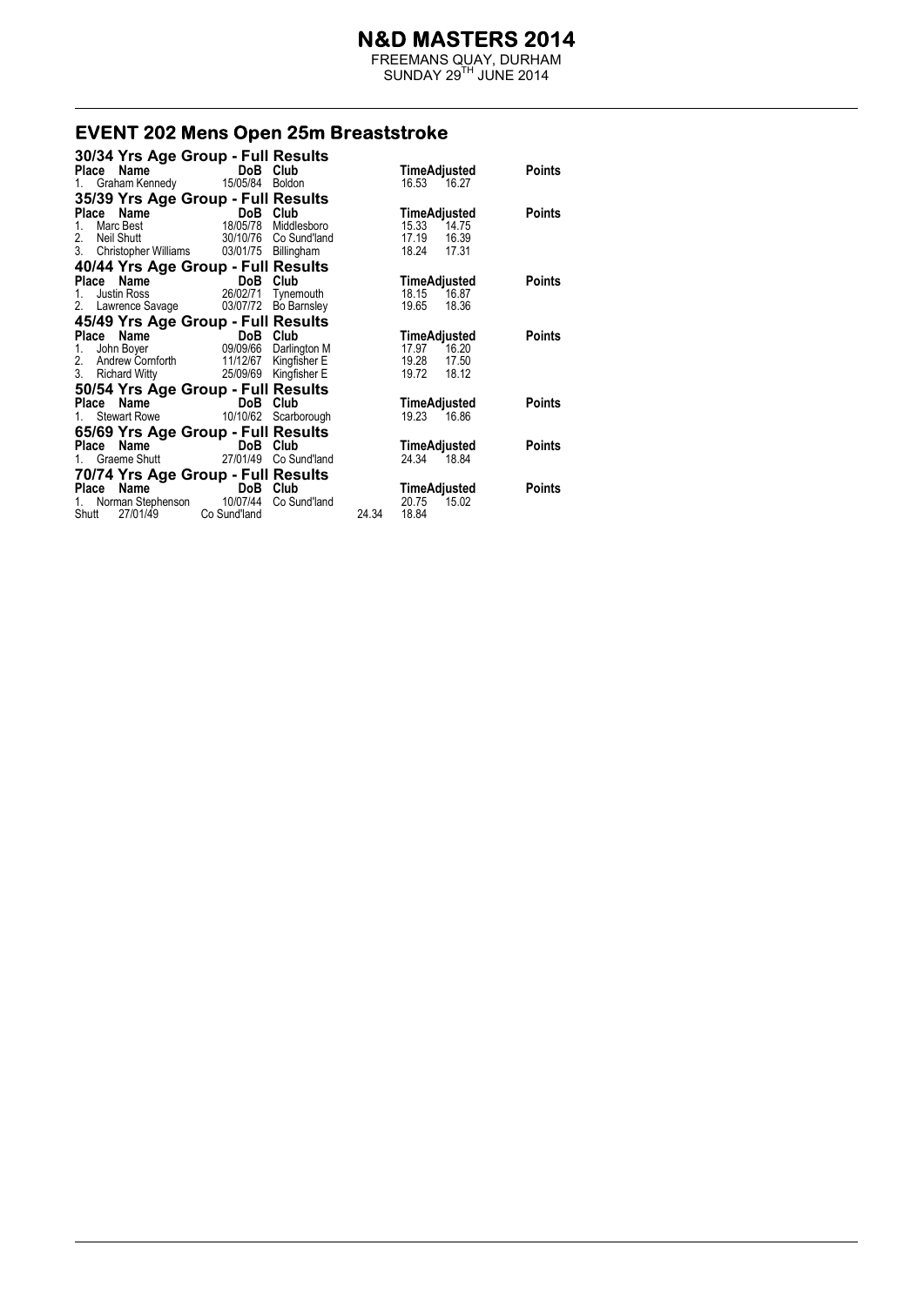FREEMANS QUAY, DURHAM  $SUNDAY 29<sup>TH</sup> JUNE 2014$ 

#### **EVENT 202 Mens Open 25m Breaststroke**

| 30/34 Yrs Age Group - Full Results          |                                   |                       |       |                |               |
|---------------------------------------------|-----------------------------------|-----------------------|-------|----------------|---------------|
| Place Name                                  | DoB Club                          |                       |       | TimeAdjusted   | Points        |
| 1. Graham Kennedy                           | 15/05/84 Boldon                   |                       |       | 16.53 16.27    |               |
| 35/39 Yrs Age Group - Full Results          |                                   |                       |       |                |               |
| Place Name                                  | DoB Club                          |                       |       | TimeAdjusted   | Points        |
| Marc Best<br>$1_{-}$                        | 18/05/78                          | Middlesboro           |       | 15.33<br>14.75 |               |
| 2.<br>Neil Shutt                            |                                   | 30/10/76 Co Sund'land |       | 17.19<br>16.39 |               |
| 3. Christopher Williams 03/01/75 Billingham |                                   |                       |       | 18.24<br>17.31 |               |
| 40/44 Yrs Age Group - Full Results          |                                   |                       |       |                |               |
| Place Name                                  | DoB<br>in a shi                   | Club                  |       | TimeAdjusted   | <b>Points</b> |
| Justin Ross<br>$1_{-}$                      | 26/02/71                          | Tynemouth             |       | 18.15<br>16.87 |               |
| 2. Lawrence Savage 03/07/72 Bo Barnsley     |                                   |                       |       | 18.36<br>19.65 |               |
| 45/49 Yrs Age Group - Full Results          |                                   |                       |       |                |               |
| Place Name                                  | DoB Club<br>09/09/66 Darlington M |                       |       | TimeAdjusted   | Points        |
| John Boyer<br>1.                            |                                   |                       |       | 17.97<br>16.20 |               |
| 2. Andrew Cornforth 11/12/67 Kingfisher E   |                                   |                       |       | 19.28<br>17.50 |               |
| 3.<br>Richard Witty 25/09/69 Kingfisher E   |                                   |                       |       | 19.72<br>18.12 |               |
| 50/54 Yrs Age Group - Full Results          |                                   |                       |       |                |               |
| Place Name                                  | DoB                               | Club                  |       | TimeAdjusted   | Points        |
| Stewart Rowe 10/10/62 Scarborough<br>1.     |                                   |                       |       | 19.23<br>16.86 |               |
| 65/69 Yrs Age Group - Full Results          |                                   |                       |       |                |               |
| Place Name                                  | DoB Club                          |                       |       | TimeAdjusted   | Points        |
| Graeme Shutt 27/01/49<br>1.                 |                                   | Co Sund'land          |       | 24.34<br>18.84 |               |
| 70/74 Yrs Age Group - Full Results          |                                   |                       |       |                |               |
| Name<br>Place                               | DoB Club                          |                       |       | TimeAdjusted   | <b>Points</b> |
| Norman Stephenson 10/07/44<br>1.            |                                   | Co Sund'land          |       | 20.75<br>15.02 |               |
| 27/01/49<br>Shutt                           | Co Sund'land                      |                       | 24.34 | 18.84          |               |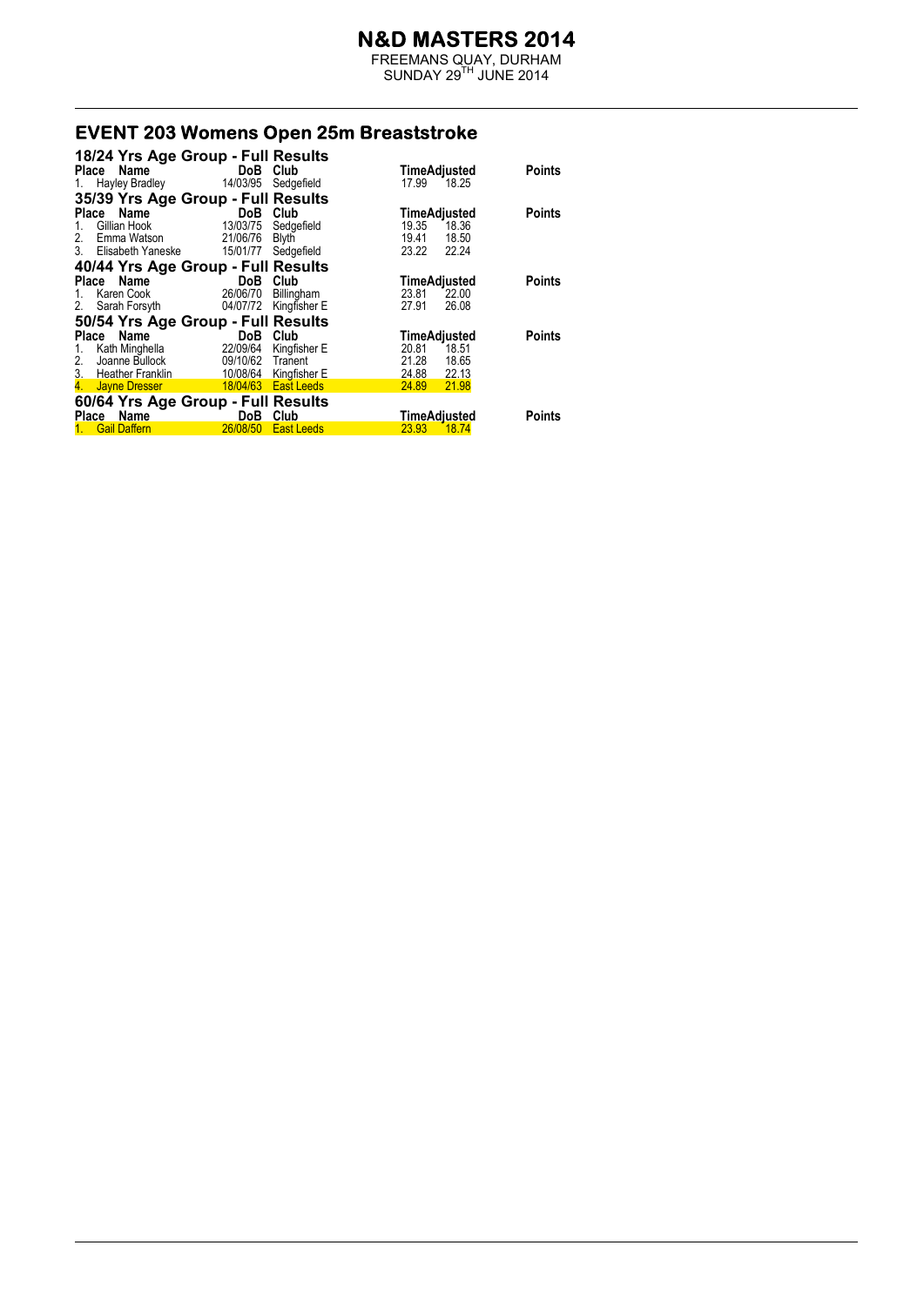FREEMANS QUAY, DURHAM  $SUNDAY 29<sup>TH</sup> JUNE 2014$ 

# **EVENT 203 Womens Open 25m Breaststroke**

| 18/24 Yrs Age Group - Full Results                                                                                          |            |                      |                       |               |
|-----------------------------------------------------------------------------------------------------------------------------|------------|----------------------|-----------------------|---------------|
| Place Name                                                                                                                  | <b>DoB</b> | Club                 | TimeAdjusted          | <b>Points</b> |
| <b>Hayley Bradley</b><br>1.                                                                                                 | 14/03/95   | Sedgefield           | 17.99<br>18.25        |               |
| 35/39 Yrs Age Group - Full Results                                                                                          |            |                      |                       |               |
| Name<br>Place                                                                                                               | DoB        | Club                 | TimeAdjusted          | <b>Points</b> |
| Gillian Hook<br>1.                                                                                                          | 13/03/75   | Sedgefield           | 19.35<br>18.36        |               |
| 2.<br>Emma Watson                                                                                                           | 21/06/76   | Blyth                | 19.41<br>18.50        |               |
| 3.<br>Elisabeth Yaneske                                                                                                     | 15/01/77   | Sedgefield           | 23.22<br>22.24        |               |
| 40/44 Yrs Age Group - Full Results                                                                                          |            |                      |                       |               |
| Place Name                                                                                                                  | DoB        | Club                 | TimeAdjusted          | <b>Points</b> |
| Karen Cook<br>1.                                                                                                            | 26/06/70   | Billingham           | 23.81<br>22.00        |               |
| 2.<br>Sarah Forsyth                                                                                                         | 04/07/72   | Kingfisher E         | 27.91<br>26.08        |               |
| 50/54 Yrs Age Group - Full Results                                                                                          |            |                      |                       |               |
| Place Name                                                                                                                  | DoB        | Club                 | TimeAdjusted          | <b>Points</b> |
| Kath Minghella<br>1.                                                                                                        | 22/09/64   | Kingfisher E         | 20.81<br>18.51        |               |
| Joanne Bullock<br>2.                                                                                                        | 09/10/62   | Tranent              | 18.65<br>21.28        |               |
| 3.<br><b>Heather Franklin</b>                                                                                               | 10/08/64   | Kingfisher E         | 24.88<br>22.13        |               |
| <b>Subset Service Service Service Service Service Service Service Service Service Service Service Service Service</b><br>4. |            | 18/04/63  East Leeds | 21.98<br><b>24.89</b> |               |
| 60/64 Yrs Age Group - Full Results                                                                                          |            |                      |                       |               |
| Place Name                                                                                                                  | DoB        | Club                 | TimeAdjusted          | <b>Points</b> |
| <b>Gail Daffern</b>                                                                                                         | 26/08/50   | <b>East Leeds</b>    | 23.93<br><b>18.74</b> |               |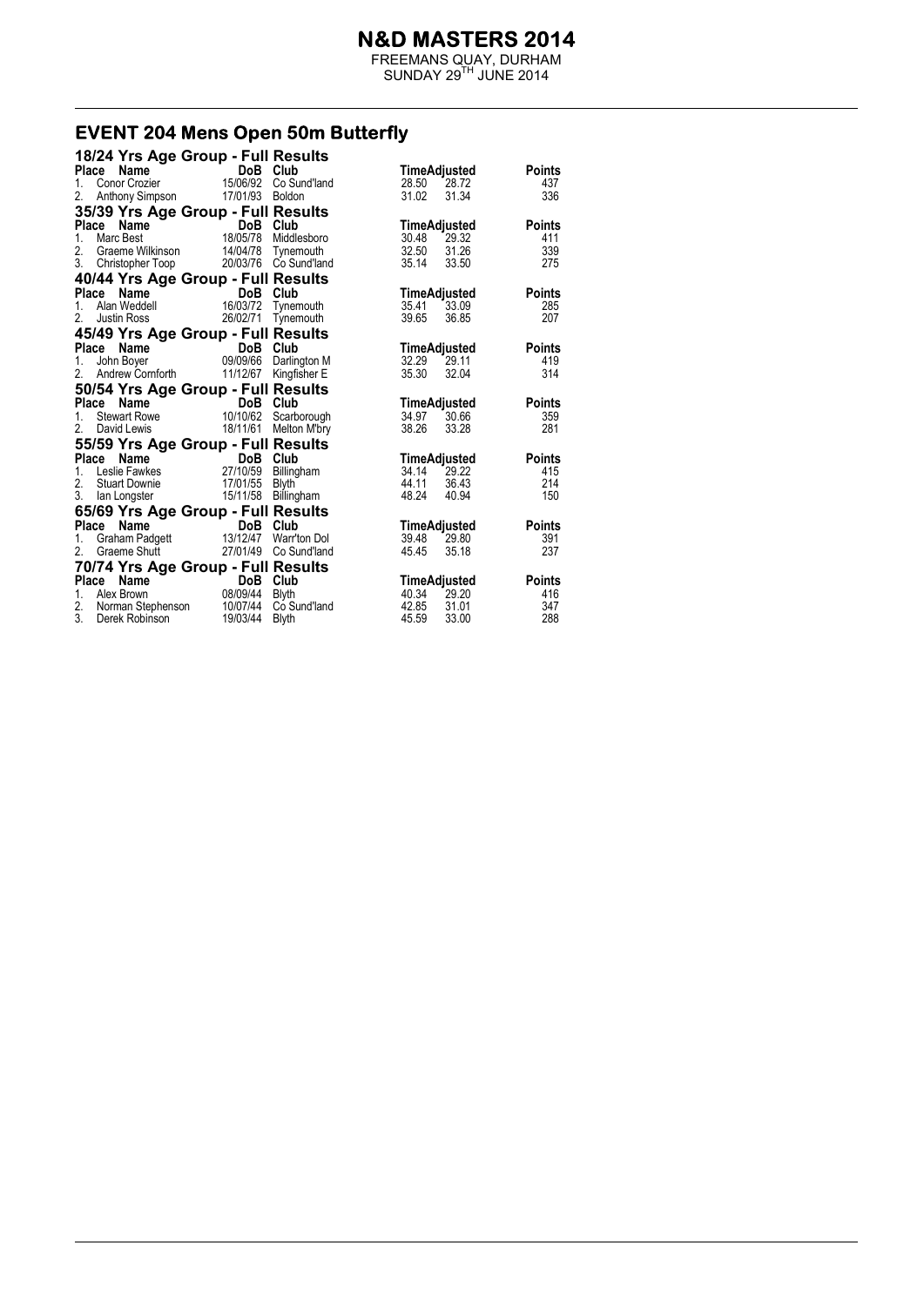FREEMANS QUAY, DURHAM  $SUNDAY 29<sup>TH</sup> JUNE 2014$ 

# **EVENT 204 Mens Open 50m Butterfly**<br>18/24 Yrs Age Group - Full Results

| 18/24 Yrs Age Group - Full Results<br>Place<br>Name<br>DoB Club<br>TimeAdjusted<br><b>DoB Club</b><br>15/06/92 Co Sund'land<br>Conor Crozier<br>28.50 28.72<br>1.<br>Anthony Simpson 17/01/93 Boldon<br>31.02<br>31.34<br>2. | <b>Points</b><br>437<br>336 |
|------------------------------------------------------------------------------------------------------------------------------------------------------------------------------------------------------------------------------|-----------------------------|
|                                                                                                                                                                                                                              |                             |
|                                                                                                                                                                                                                              |                             |
|                                                                                                                                                                                                                              |                             |
| 35/39 Yrs Age Group - Full Results                                                                                                                                                                                           |                             |
| Place<br>TimeAdjusted                                                                                                                                                                                                        | Points                      |
| <b>Name</b><br>C Best <b>DoB C Iub</b><br>18/05/78 Middlesboro<br>1.<br>Marc Best<br>30.48<br>29.32                                                                                                                          | 411                         |
| 2.<br>Graeme Wilkinson 14/04/78 Tynemouth<br>32.50<br>31.26                                                                                                                                                                  | 339                         |
| 3.<br>Christopher Toop 20/03/76 Co Sund'land<br>35.14<br>33.50                                                                                                                                                               | 275                         |
| 40/44 Yrs Age Group - Full Results                                                                                                                                                                                           |                             |
| Place<br>TimeAdjusted                                                                                                                                                                                                        | <b>Points</b>               |
| <b>Ce Name</b><br>Alan Weddell 16/03/72 Tynen<br>35.41<br>1.<br>Tynemouth<br>33.09                                                                                                                                           | 285                         |
| 39.65<br>2.<br>Justin Ross 26/02/71<br>Tynemouth<br>36.85                                                                                                                                                                    | 207                         |
| 45/49 Yrs Age Group - Full Results                                                                                                                                                                                           |                             |
| Place Name<br>TimeAdjusted                                                                                                                                                                                                   | Points                      |
| DoB Club<br>09/09/66 Darlington M<br>32.29<br>29.11<br>1.<br>John Boyer                                                                                                                                                      | 419                         |
| 2. Andrew Cornforth 11/12/67 Kingfisher E<br>35.30<br>32.04                                                                                                                                                                  | 314                         |
| 50/54 Yrs Age Group - Full Results                                                                                                                                                                                           |                             |
| DoB Club<br>Place<br>Name<br>TimeAdjusted                                                                                                                                                                                    | Points                      |
| 30.66<br>1.<br>34.97                                                                                                                                                                                                         | 359                         |
| 38.26<br>2.<br>18/11/61 Melton M'bry<br>33.28<br>David Lewis                                                                                                                                                                 | 281                         |
| 55/59 Yrs Age Group - Full Results                                                                                                                                                                                           |                             |
| Place<br>DoB Club<br>Name<br>an an California<br>TimeAdjusted                                                                                                                                                                | <b>Points</b>               |
| Leslie Fawkes 27/10/59 Billingham<br>34.14<br>$1_{-}$<br>29.22                                                                                                                                                               | 415                         |
| 2. Stuart Downie 17/01/55<br>44.11<br>36.43<br><b>Blyth</b>                                                                                                                                                                  | 214                         |
| 3. Ian Longster 15/11/58<br>48.24<br>Billingham<br>40.94                                                                                                                                                                     | 150                         |
| 65/69 Yrs Age Group - Full Results                                                                                                                                                                                           |                             |
| Place<br>Name<br>DoB Club<br>TimeAdjusted                                                                                                                                                                                    | <b>Points</b>               |
| DoB Club<br>13/12/47 Warr'ton Dol<br>1.<br>39.48<br>29.80                                                                                                                                                                    | 391                         |
| Graham Padgett 13/12/47 Warr'ton Dol<br>Graeme Shutt 27/01/49 Co Sund'land<br>2.<br>45.45<br>35.18                                                                                                                           | 237                         |
| 70/74 Yrs Age Group - Full Results                                                                                                                                                                                           |                             |
| Place Name<br>DoB Club                                                                                                                                                                                                       | <b>Points</b>               |
| DoB Club<br>08/09/44 Blyth<br>TimeAdjusted<br>40.34<br>29.20<br>1. Alex Brown                                                                                                                                                | 416                         |
| 2. Norman Stephenson 10/07/44 Co Sund'land<br>42.85<br>31.01                                                                                                                                                                 | 347                         |
| 3.<br>19/03/44<br>45.59<br>33.00<br>Derek Robinson<br>Blyth                                                                                                                                                                  | 288                         |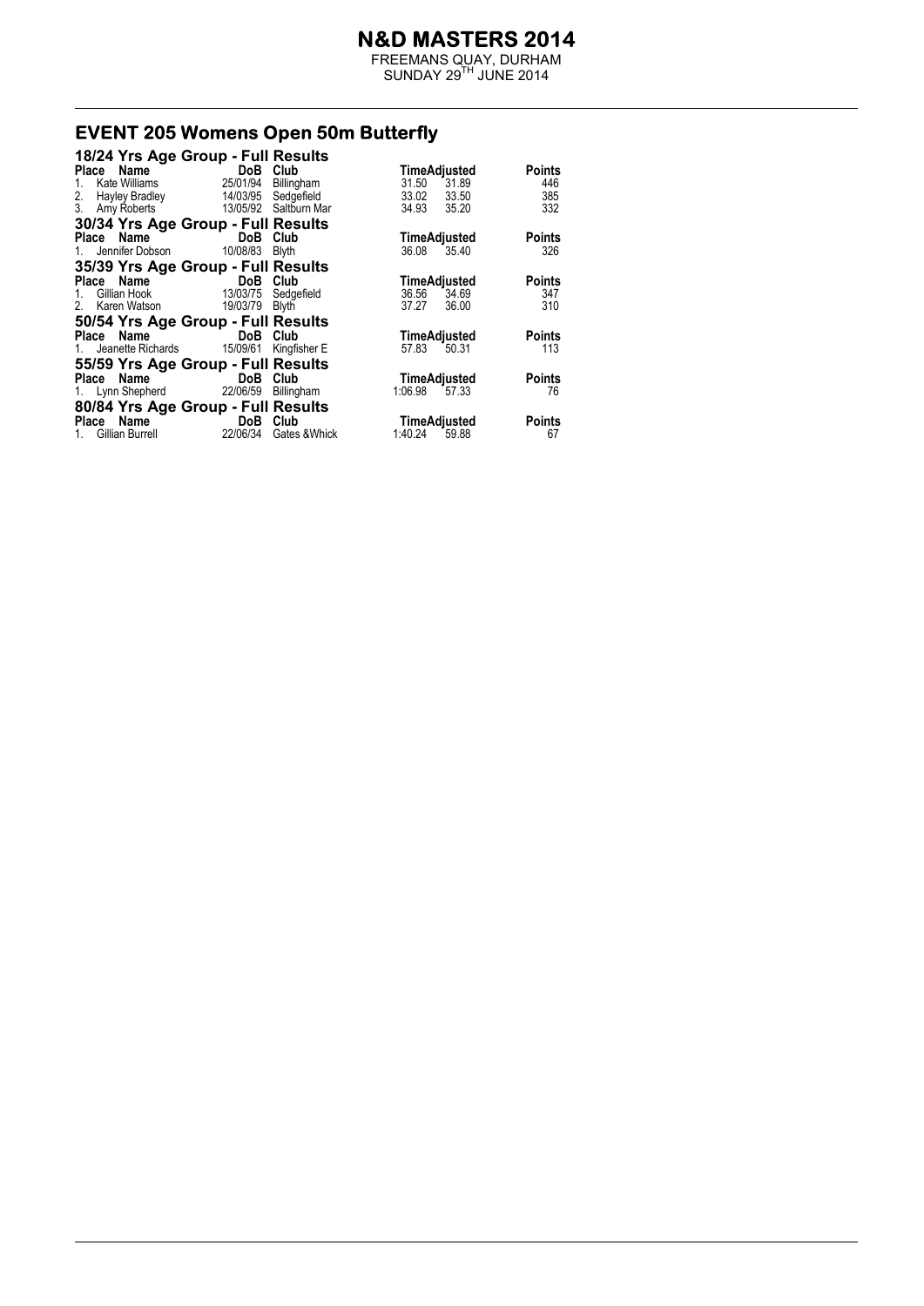FREEMANS QUAY, DURHAM  $SUNDAY 29<sup>TH</sup> JUNE 2014$ 

# **EVENT 205 Womens Open 50m Butterfly**

| 18/24 Yrs Age Group - Full Results         |                            |            |                  |               |
|--------------------------------------------|----------------------------|------------|------------------|---------------|
| Place Name                                 | DoB Club                   |            | TimeAdjusted     | <b>Points</b> |
| Kate Williams<br>1.                        | 25/01/94                   | Billingham | 31.50<br>31.89   | 446           |
| 2. Hayley Bradley 14/03/95 Sedgefield      |                            |            | 33.02 33.50      | 385           |
| 3. Amy Roberts 13/05/92 Saltburn Mar       |                            |            | 34.93 35.20      | 332           |
| 30/34 Yrs Age Group - Full Results         |                            |            |                  |               |
| Place Name DoB Club                        |                            |            | TimeAdjusted     | <b>Points</b> |
| 1. Jennifer Dobson 10/08/83 Blyth          |                            |            | 36.08 35.40      | 326           |
| 35/39 Yrs Age Group - Full Results         |                            |            |                  |               |
| Place Name DoB Club                        |                            |            | TimeAdjusted     | <b>Points</b> |
| Gillian Hook 13/03/75 Sedgefield           |                            |            | 36.56 34.69      | 347           |
| 2. Karen Watson 19/03/79 Blyth             |                            |            | 36.00<br>37.27   | 310           |
| 50/54 Yrs Age Group - Full Results         |                            |            |                  |               |
| Place Name DoB Club                        |                            |            | TimeAdjusted     | <b>Points</b> |
| 1. Jeanette Richards 15/09/61 Kingfisher E |                            |            | 57.83 50.31      | 113           |
| 55/59 Yrs Age Group - Full Results         |                            |            |                  |               |
| Place Name                                 | <b>Example 19 DoB</b> Club |            | TimeAdjusted     | <b>Points</b> |
| 1. Lynn Shepherd 22/06/59 Billingham       |                            |            | 1:06.98<br>57.33 | 76            |
| 80/84 Yrs Age Group - Full Results         |                            |            |                  |               |
| Place Name DoB Club                        |                            |            | TimeAdjusted     | <b>Points</b> |
| 1. Gillian Burrell 22/06/34 Gates & Whick  |                            |            | 1:40.24 59.88    | 67            |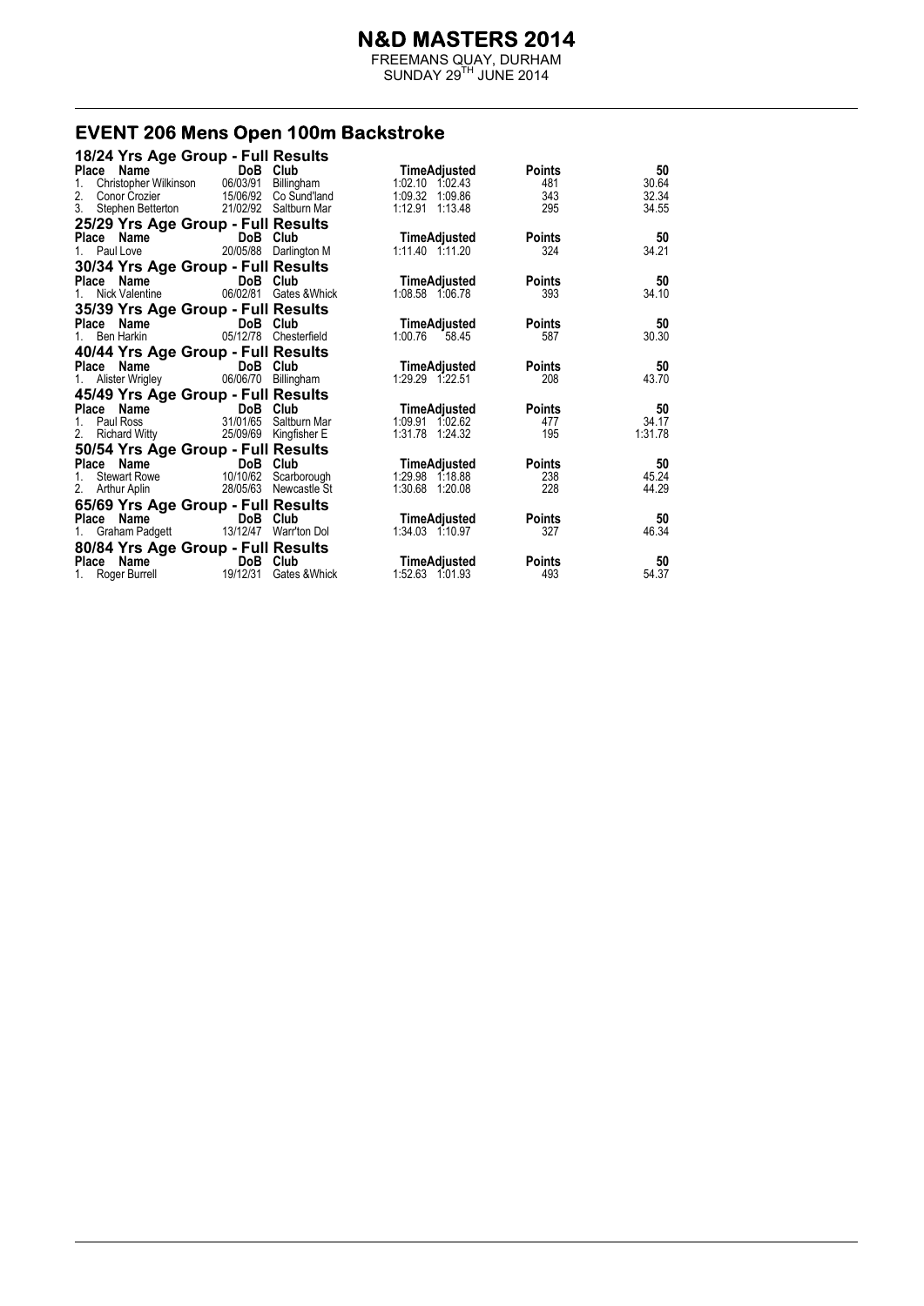FREEMANS QUAY, DURHAM  $SUNDAY 29<sup>TH</sup> JUNE 2014$ 

#### **EVENT 206 Mens Open 100m Backstroke**

| 18/24 Yrs Age Group - Full Results |                                           |                        |                  |               |         |
|------------------------------------|-------------------------------------------|------------------------|------------------|---------------|---------|
| Place Name                         | DoB Club                                  |                        | TimeAdjusted     | Points        | 50      |
| 1.                                 | Christopher Wilkinson 06/03/91 Billingham |                        | 1:02.10 1:02.43  | 481           | 30.64   |
| 2.<br>Conor Crozier                |                                           | 15/06/92 Co Sund'land  | 1:09.32 1:09.86  | 343           | 32.34   |
| 3. Stephen Betterton               |                                           | 21/02/92 Saltburn Mar  | 1:12.91 1:13.48  | 295           | 34.55   |
| 25/29 Yrs Age Group - Full Results |                                           |                        |                  |               |         |
| Place Name                         | DoB Club                                  |                        | TimeAdjusted     | <b>Points</b> | 50      |
| 1. Paul Love <b>Formula</b>        |                                           | 20/05/88 Darlington M  | 1:11.40 1:11.20  | 324           | 34.21   |
| 30/34 Yrs Age Group - Full Results |                                           |                        |                  |               |         |
| Place Name                         | DoB Club                                  |                        | TimeAdjusted     | <b>Points</b> | 50      |
| 1. Nick Valentine                  |                                           | 06/02/81 Gates & Whick | 1:08.58 1:06.78  | 393           | 34.10   |
| 35/39 Yrs Age Group - Full Results |                                           |                        |                  |               |         |
| Place Name                         | DoB Club                                  |                        | TimeAdjusted     | <b>Points</b> | 50      |
| Ben Harkin<br>1.                   |                                           | 05/12/78 Chesterfield  | 1:00.76<br>58.45 | 587           | 30.30   |
| 40/44 Yrs Age Group - Full Results |                                           |                        |                  |               |         |
| Place Name                         | DoB Club                                  |                        | TimeAdjusted     | <b>Points</b> | 50      |
| 1. Alister Wrigley                 | 06/06/70 Billingham                       |                        | 1:29.29 1:22.51  | 208           | 43.70   |
| 45/49 Yrs Age Group - Full Results |                                           |                        |                  |               |         |
| Place Name                         | <b>DoB</b> Club                           |                        | TimeAdjusted     | <b>Points</b> | 50      |
| 1. Paul Ross                       |                                           | 31/01/65 Saltburn Mar  | 1:09.91 1:02.62  | 477           | 34.17   |
| 2. Richard Witty                   |                                           | 25/09/69 Kingfisher E  | 1:31.78 1:24.32  | 195           | 1:31.78 |
| 50/54 Yrs Age Group - Full Results |                                           |                        |                  |               |         |
| Place Name                         | <b>Example 19 DoB</b> Club                |                        | TimeAdjusted     | <b>Points</b> | 50      |
| Stewart Rowe<br>1.                 | 10/10/62                                  | Scarborough            | 1:29.98 1:18.88  | 238           | 45.24   |
| 2. Arthur Aplin                    |                                           | 28/05/63 Newcastle St  | 1:30.68 1:20.08  | 228           | 44.29   |
| 65/69 Yrs Age Group - Full Results |                                           |                        |                  |               |         |
| Place Name                         | DoB Club                                  |                        | TimeAdjusted     | <b>Points</b> | 50      |
| 1. Graham Padgett                  |                                           | 13/12/47 Warr'ton Dol  | 1:34.03 1:10.97  | 327           | 46.34   |
| 80/84 Yrs Age Group - Full Results |                                           |                        |                  |               |         |
| Place Name                         | DoB Club                                  |                        | TimeAdjusted     | <b>Points</b> | 50      |
| 1. Roger Burrell                   | 19/12/31                                  | Gates & Whick          | 1:52.63 1:01.93  | 493           | 54.37   |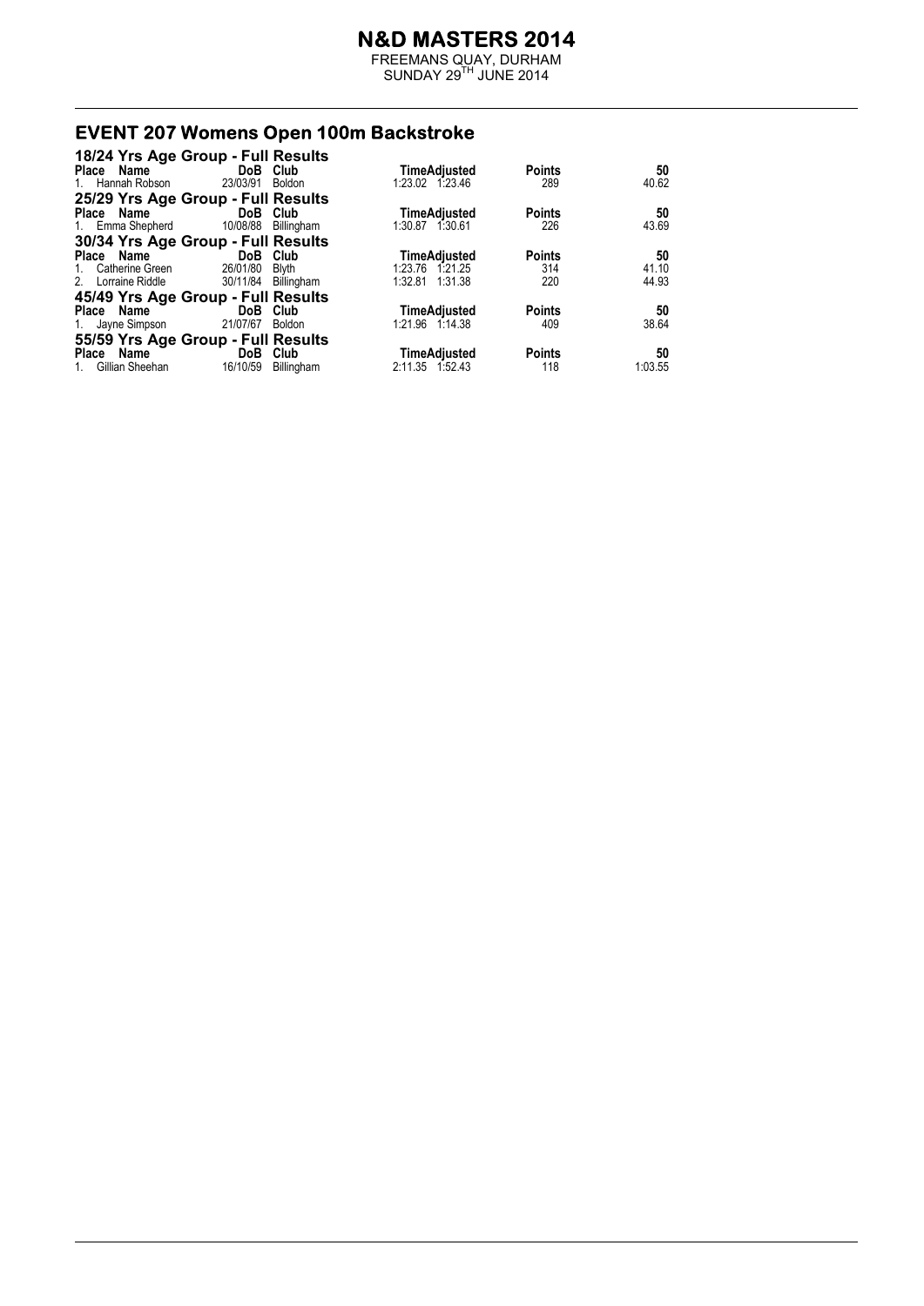FREEMANS QUAY, DURHAM  $SUNDAY 29<sup>TH</sup> JUNE 2014$ 

# **EVENT 207 Womens Open 100m Backstroke**

| 18/24 Yrs Age Group - Full Results |                     |              |                     |               |         |
|------------------------------------|---------------------|--------------|---------------------|---------------|---------|
| Place Name                         | DoB Club            |              | TimeAdjusted        | <b>Points</b> | 50      |
| 1. Hannah Robson                   | 23/03/91            | Boldon       | 1:23.02 1:23.46     | 289           | 40.62   |
| 25/29 Yrs Age Group - Full Results |                     |              |                     |               |         |
| Place Name                         | DoB Club            |              | TimeAdjusted        | <b>Points</b> | 50      |
| 1. Emma Shepherd                   | 10/08/88            | Billingham   | 1:30.87 1:30.61     | 226           | 43.69   |
| 30/34 Yrs Age Group - Full Results |                     |              |                     |               |         |
| Place Name                         | DoB Club            |              | <b>TimeAdjusted</b> | <b>Points</b> | 50      |
| Catherine Green<br>$1_{\ldots}$    | 26/01/80            | <b>Blyth</b> | 1:23.76 1:21.25     | 314           | 41.10   |
| 2. Lorraine Riddle                 | 30/11/84 Billingham |              | 1:32.81 1:31.38     | 220           | 44.93   |
| 45/49 Yrs Age Group - Full Results |                     |              |                     |               |         |
| Place Name                         | DoB Club            |              | TimeAdjusted        | <b>Points</b> | 50      |
| 1. Jayne Simpson                   | 21/07/67            | Boldon       | 1:21.96 1:14.38     | 409           | 38.64   |
| 55/59 Yrs Age Group - Full Results |                     |              |                     |               |         |
| Place Name                         | <b>DoB</b>          | Club         | TimeAdjusted        | <b>Points</b> | 50      |
| 1. Gillian Sheehan                 | 16/10/59            | Billingham   | 2:11.35 1.52.43     | 118           | 1:03.55 |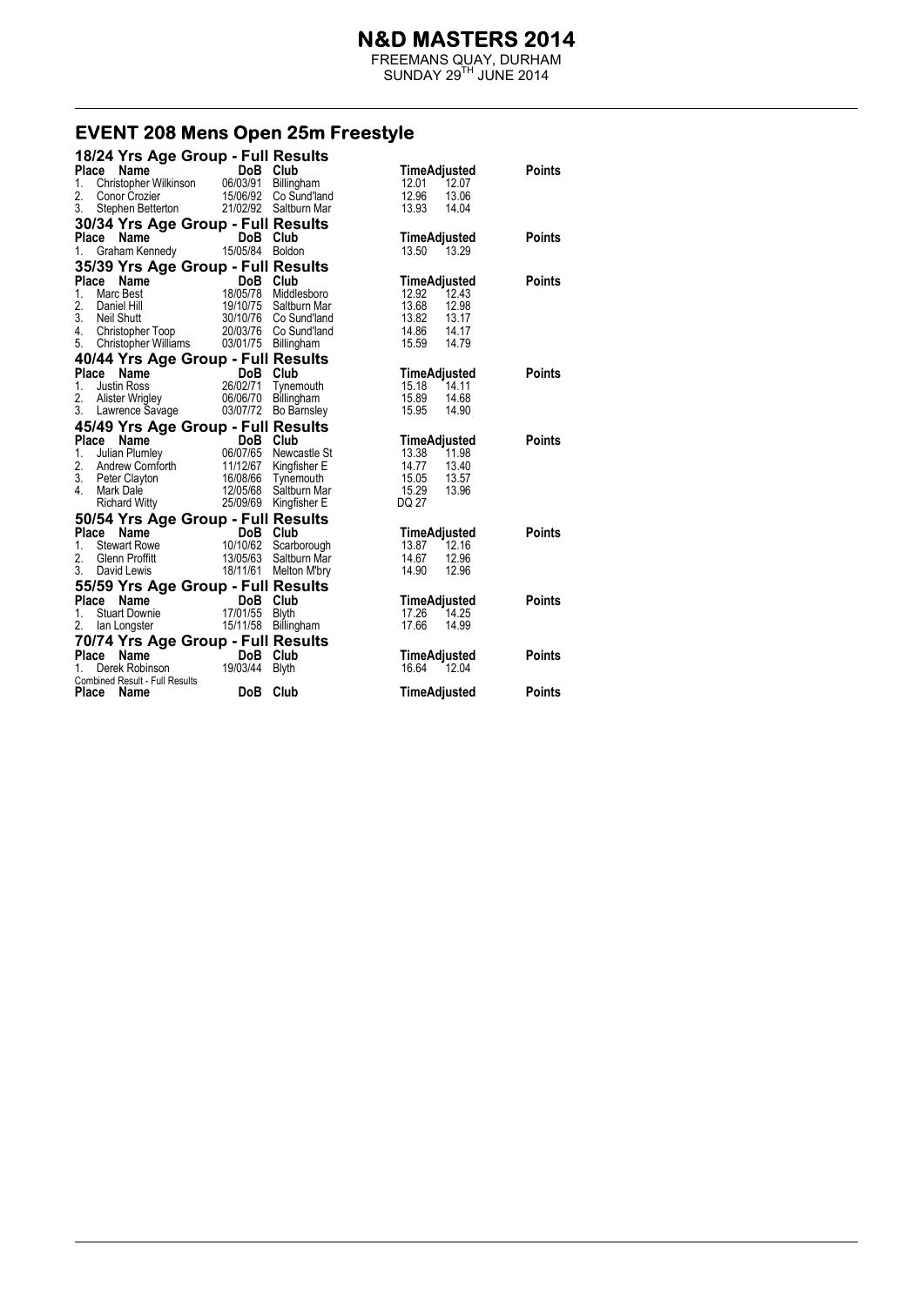FREEMANS QUAY, DURHAM  $SUNDAY 29<sup>TH</sup> JUNE 2014$ 

#### EVENT 208 Mens Open 25m Freestyle

| 18/24 Yrs Age Group - Full Results                    |                      |                                                |                                       |               |
|-------------------------------------------------------|----------------------|------------------------------------------------|---------------------------------------|---------------|
| Place<br>Name                                         | DoB Club             |                                                | <b>TimeAdjusted</b>                   | <b>Points</b> |
| Christopher Wilkinson 06/03/91<br>1.                  |                      | Billingham                                     | 12.01<br>12.07                        |               |
| 2.<br>Conor Crozier<br>3.                             |                      | 15/06/92 Co Sund'land                          | 12.96<br>13.06                        |               |
| Stephen Betterton                                     |                      | 21/02/92 Saltburn Mar                          | 13.93<br>14.04                        |               |
| 30/34 Yrs Age Group - Full Results                    |                      |                                                |                                       |               |
| Place Name                                            | DoB Club             |                                                | <b>TimeAdjusted</b><br>13.50 13.29    | <b>Points</b> |
| Graham Kennedy 15/05/84 Boldon<br>1.                  |                      |                                                |                                       |               |
| 35/39 Yrs Age Group - Full Results                    |                      |                                                |                                       |               |
| Place Name                                            | DoB Club<br>18/05/78 |                                                | <b>TimeAdjusted</b>                   | <b>Points</b> |
| 1.<br>Marc Best<br>2.                                 |                      | Middlesboro                                    | 12.92<br>12.43<br>13.68<br>12.98      |               |
| Daniel Hill<br>3.<br>Neil Shutt                       |                      | 19/10/75 Saltburn Mar<br>30/10/76 Co Sund'land | 13.82<br>13.17                        |               |
| 4. Christopher Toop 20/03/76 Co Sund'land             |                      |                                                | 14.86 14.17                           |               |
| Christopher Williams  03/01/75  Billingham<br>5.      |                      |                                                | 15.59<br>14.79                        |               |
| 40/44 Yrs Age Group - Full Results                    |                      |                                                |                                       |               |
| Place<br>Name                                         | DoB Club             |                                                | TimeAdjusted                          | <b>Points</b> |
| 1.<br><b>Justin Ross</b>                              |                      | DoB Club<br>26/02/71 Tynemouth                 | 15.18<br>14.11                        |               |
| 2.<br>Alister Wrigley                                 | 06/06/70             | Billingham                                     | 15.89<br>14.68                        |               |
| 3.<br>Lawrence Savage                                 | 03/07/72             | Bo Barnsley                                    | 15.95<br>14.90                        |               |
| 45/49 Yrs Age Group - Full Results                    |                      |                                                |                                       |               |
| Place<br>Name                                         | DoB Club             |                                                | TimeAdjusted                          | <b>Points</b> |
| 1.<br>Julian Plumley                                  | 06/07/65             | Newcastle St                                   | 11.98<br>13.38                        |               |
| 2.                                                    | 11/12/67             | Kingfisher E                                   | 14.77<br>13.40                        |               |
| Andrew Cornforth<br>Peter Clayton<br>3. Peter Clayton | 16/08/66             | Tynemouth                                      | 15.05<br>13.57                        |               |
| 4.<br>Mark Dale                                       | 12/05/68             | Saltburn Mar                                   | 15.29<br>13.96                        |               |
| <b>Richard Witty</b>                                  |                      | 25/09/69 Kingfisher E                          | DQ 27                                 |               |
| 50/54 Yrs Age Group - Full Results                    |                      |                                                |                                       |               |
| Place Name                                            | DoB Club             |                                                | TimeAdjusted                          | <b>Points</b> |
| 1.<br><b>Stewart Rowe</b>                             | 10/10/62             | Scarborough                                    | 13.87 12.16                           |               |
| 2.<br>Glenn Proffitt<br>3.<br>David Lewis             | 13/05/63             | Saltburn Mar<br>18/11/61 Melton M'bry          | 14.67<br>12.96<br>14.90<br>12.96      |               |
|                                                       |                      |                                                |                                       |               |
| 55/59 Yrs Age Group - Full Results<br>Place Name      | DoB Club             |                                                |                                       | <b>Points</b> |
| <b>Stuart Downie</b><br>1.                            | 17/01/55             | Blyth                                          | TimeAdjusted<br>17.26<br>14.25        |               |
| 2.<br>lan Longster                                    | 15/11/58             | Billingham                                     | 17.66<br>14.99                        |               |
|                                                       |                      |                                                |                                       |               |
| 70/74 Yrs Age Group - Full Results<br>Place<br>Name   | DoB Club             |                                                |                                       | <b>Points</b> |
| Derek Robinson<br>1.                                  | 19/03/44             | <b>Blyth</b>                                   | <b>TimeAdjusted</b><br>16.64<br>12.04 |               |
| Combined Result - Full Results                        |                      |                                                |                                       |               |
| Place<br>Name                                         | <b>DoB</b>           | Club                                           | TimeAdjusted                          | Points        |
|                                                       |                      |                                                |                                       |               |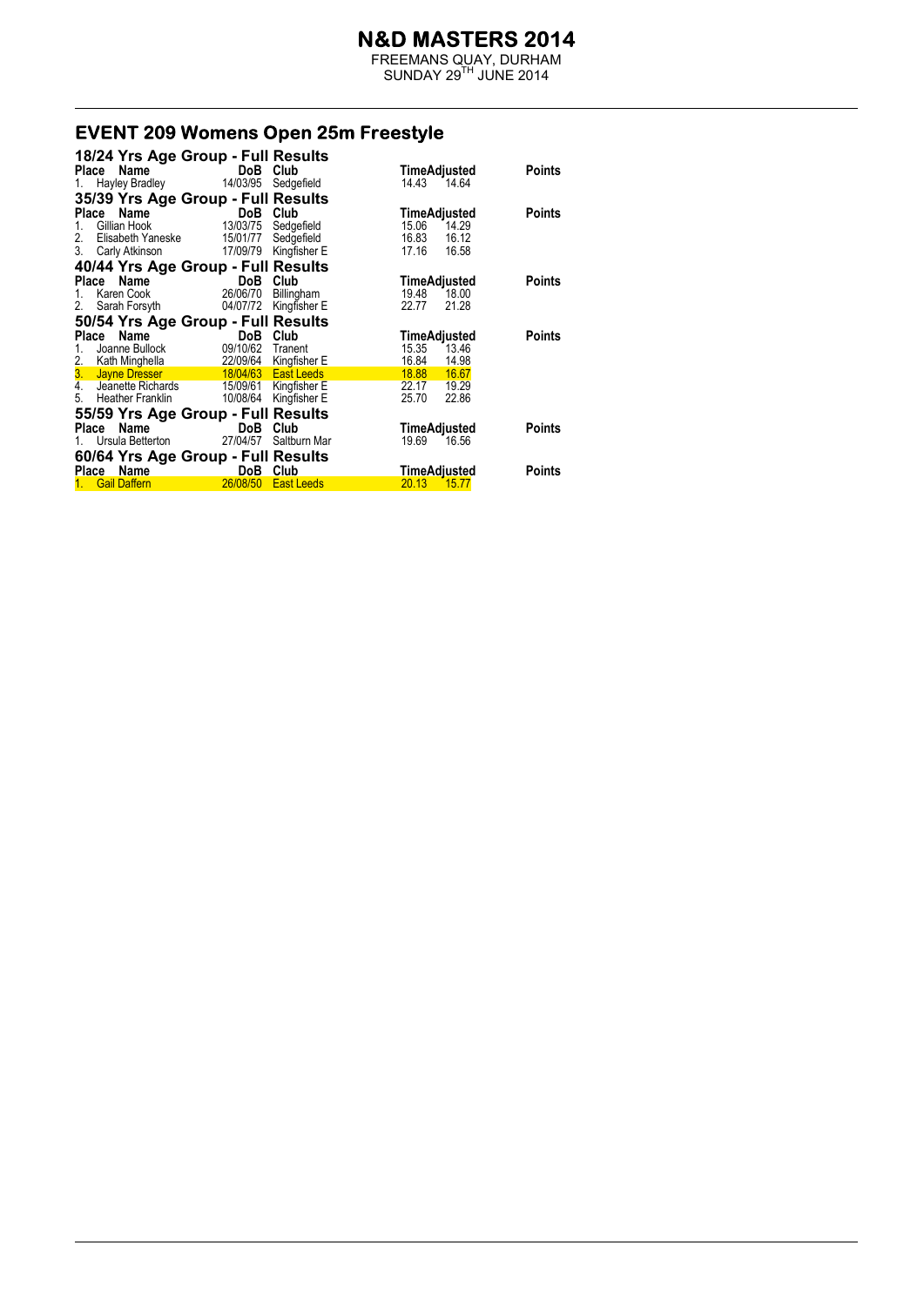FREEMANS QUAY, DURHAM  $SUNDAY 29<sup>TH</sup> JUNE 2014$ 

# **EVENT 209 Womens Open 25m Freestyle**

|         | 18/24 Yrs Age Group - Full Results                                                                                                     |                       |                           |                                |               |
|---------|----------------------------------------------------------------------------------------------------------------------------------------|-----------------------|---------------------------|--------------------------------|---------------|
|         | Place Name                                                                                                                             | DoB Club              |                           | TimeAdjusted                   | <b>Points</b> |
|         | 1. Hayley Bradley                                                                                                                      |                       | 14/03/95 Sedgefield       | 14.43 14.64                    |               |
|         | 35/39 Yrs Age Group - Full Results                                                                                                     |                       |                           |                                |               |
| Place   | Name                                                                                                                                   | DoB Club              |                           | <b>TimeAdjusted</b>            | <b>Points</b> |
| 1.      | Gillian Hook                                                                                                                           | 13/03/75              | Sedgefield                | 15.06<br>14.29                 |               |
|         | 2. Elisabeth Yaneske                                                                                                                   |                       | 15/01/77 Sedgefield       | 16.83<br>16.12                 |               |
|         | 3. Carly Atkinson 17/09/79 Kingfisher E                                                                                                |                       |                           | 17.16<br>16.58                 |               |
|         | 40/44 Yrs Age Group - Full Results                                                                                                     |                       |                           |                                |               |
|         | Place Name                                                                                                                             | DoB                   | Club                      | TimeAdjusted                   | Points        |
| $1_{-}$ | Karen Cook                                                                                                                             | 26/06/70              | Billingham                | 19.48<br>18.00                 |               |
|         | 2. Sarah Forsyth                                                                                                                       | 04/07/72              | Kingfisher E              | 22.77<br>21.28                 |               |
|         | 50/54 Yrs Age Group - Full Results                                                                                                     |                       |                           |                                |               |
|         | Place Name                                                                                                                             | DoB                   | Club                      |                                | <b>Points</b> |
|         | Joanne Bullock                                                                                                                         | 09/10/62              |                           | TimeAdjusted<br>15.35<br>13.46 |               |
| 1.      |                                                                                                                                        | 22/09/64 Kingfisher E | Tranent                   | 16.84<br>14.98                 |               |
|         | 2. Kath Minghella a 22/09/64 Kingfisher E<br><b>3. Jayne Dresser 18/04/63 East Leeds</b><br>4. Jeanette Richards 15/09/61 Kingfisher E |                       |                           | 18.88<br>16.67                 |               |
|         |                                                                                                                                        |                       |                           |                                |               |
|         |                                                                                                                                        |                       |                           |                                |               |
|         |                                                                                                                                        |                       |                           | 22.17<br>19.29                 |               |
| 5.      | Heather Franklin                                                                                                                       |                       | 10/08/64 Kingfisher E     | 25.70<br>22.86                 |               |
|         | 55/59 Yrs Age Group - Full Results                                                                                                     |                       |                           |                                |               |
|         | Place Name                                                                                                                             | DoB                   | Club                      | TimeAdjusted                   | <b>Points</b> |
|         | 1. Ursula Betterton 27/04/57                                                                                                           |                       | Saltburn Mar              | 19.69<br>16.56                 |               |
|         | 60/64 Yrs Age Group - Full Results                                                                                                     |                       |                           |                                |               |
|         | Place Name<br><b>Gail Daffern</b>                                                                                                      | DoB<br>26/08/50       | Club<br><b>East Leeds</b> | TimeAdjusted<br>20.13<br>15.77 | <b>Points</b> |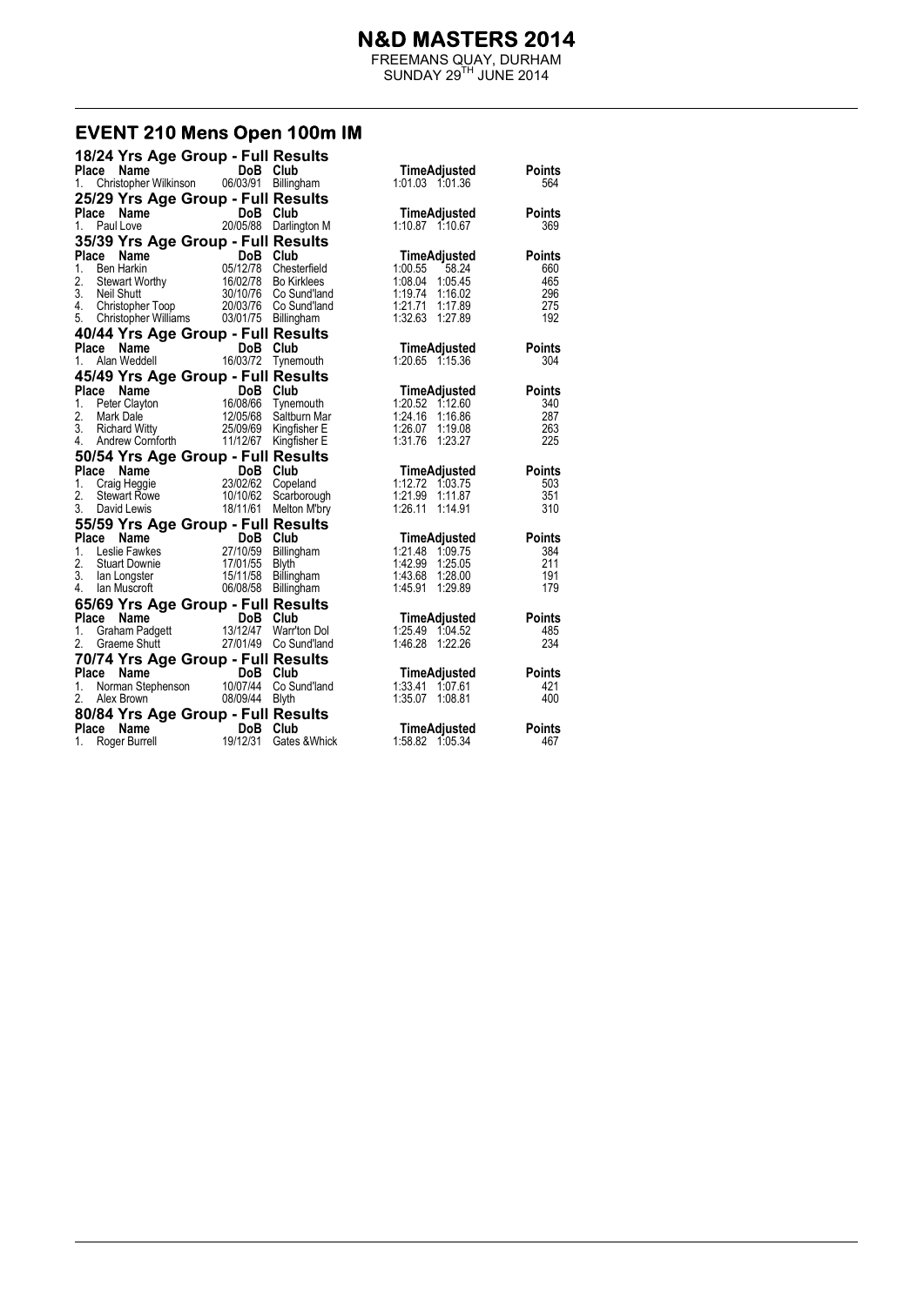FREEMANS QUAY, DURHAM  $SUNDAY 29<sup>TH</sup> JUNE 2014$ 

#### EVENT 210 Mens Open 100m IM

| 18/24 Yrs Age Group - Full Results                                                                                                                                              |                               |                                                                                  |                                    |               |
|---------------------------------------------------------------------------------------------------------------------------------------------------------------------------------|-------------------------------|----------------------------------------------------------------------------------|------------------------------------|---------------|
| Place<br>Name                                                                                                                                                                   | DoB Club                      |                                                                                  | TimeAdjusted                       | Points        |
| Christopher Wilkinson<br>1.                                                                                                                                                     | 06/03/91                      | Billingham                                                                       |                                    | 564           |
| 25/29 Yrs Age Group - Full Results                                                                                                                                              |                               |                                                                                  |                                    |               |
| Place Name                                                                                                                                                                      | DoB Club                      |                                                                                  | TimeAdjusted                       | <b>Points</b> |
| Paul Love<br>1.                                                                                                                                                                 |                               | 20/05/88 Darlington M                                                            | 1:10.87 1:10.67                    | 369           |
| 35/39 Yrs Age Group - Full Results                                                                                                                                              |                               |                                                                                  |                                    |               |
| Place<br>Name                                                                                                                                                                   | DoB                           | Club                                                                             | TimeAdjusted                       | <b>Points</b> |
| ce Name DoB Club<br>Ben Harkin 05/12/78 Chesterfield<br>Stewart Worthy 16/02/78 Bo Kirklees<br>Neil Shutt 30/10/76 Co Sund'land<br>Christopher Toop 20/03/76 Co Sund'land<br>1. |                               |                                                                                  | 1:00.55<br>58.24                   | 660           |
| 2.                                                                                                                                                                              |                               |                                                                                  | 1:08.04<br>1:05.45                 | 465           |
| 3.                                                                                                                                                                              |                               |                                                                                  | 1:19.74 1:16.02                    | 296           |
| 4.                                                                                                                                                                              |                               |                                                                                  | 1:21.71 1:17.89                    | 275           |
| 5.<br>Christopher Williams 03/01/75 Billingham                                                                                                                                  |                               |                                                                                  | 1:32.63 1:27.89                    | 192           |
| 40/44 Yrs Age Group - Full Results                                                                                                                                              |                               |                                                                                  |                                    |               |
| Place<br>Name                                                                                                                                                                   | DoB Club                      |                                                                                  | TimeAdjusted                       | <b>Points</b> |
| Alan Weddell<br>1.                                                                                                                                                              | 16/03/72                      | Tynemouth                                                                        | 1:20.65 1:15.36                    | 304           |
| 45/49 Yrs Age Group - Full Results                                                                                                                                              |                               |                                                                                  |                                    |               |
| Place<br>Name                                                                                                                                                                   |                               | DoB Club<br>16/08/66 Tynemouth<br>12/05/68 Saltburn Mar<br>25/09/69 Kingfisher E | <b>TimeAdjusted</b>                | <b>Points</b> |
| 1.<br>Peter Clayton                                                                                                                                                             |                               |                                                                                  | 1:20.52 1:12.60                    | 340           |
| 2.<br>Mark Dale                                                                                                                                                                 |                               |                                                                                  | 1:24.16 1:16.86                    | 287           |
| 3.<br><b>Richard Witty</b>                                                                                                                                                      |                               |                                                                                  | 1:26.07 1:19.08                    | 263           |
| 4.<br>Andrew Cornforth                                                                                                                                                          | 11/12/67                      | Kingfisher E                                                                     | 1:31.76 1:23.27                    | 225           |
| 50/54 Yrs Age Group - Full Results                                                                                                                                              |                               |                                                                                  |                                    |               |
| Place<br>Name                                                                                                                                                                   | DoB Club<br>23/02/62 Copeland |                                                                                  | <b>TimeAdjusted</b>                | Points        |
| 1.<br>Craig Heggie                                                                                                                                                              |                               |                                                                                  | 1:12.72 1:03.75                    | 503           |
| 2.<br><b>Stewart Rowe</b><br>3.                                                                                                                                                 | 10/10/62                      | Scarborough                                                                      | 1:21.99 1:11.87                    | 351<br>310    |
| David Lewis                                                                                                                                                                     |                               | 18/11/61 Melton M'bry                                                            | 1:26.11 1:14.91                    |               |
| 55/59 Yrs Age Group - Full Results                                                                                                                                              |                               |                                                                                  |                                    |               |
| Place<br>Name                                                                                                                                                                   | DoB Club                      |                                                                                  | TimeAdjusted                       | Points        |
| 1.<br>Leslie Fawkes<br>2.<br><b>Stuart Downie</b>                                                                                                                               | 27/10/59<br>17/01/55 Blyth    | Billingham                                                                       | 1:21.48 1.09.75<br>1:42.99 1:25.05 | 384<br>211    |
| 3.<br>lan Longster                                                                                                                                                              | 15/11/58                      | Billingham                                                                       | 1:43.68 1:28.00                    | 191           |
| 4.<br>lan Muscroft                                                                                                                                                              | 06/08/58 Billingham           |                                                                                  | 1:45.91<br>1:29.89                 | 179           |
| 65/69 Yrs Age Group - Full Results                                                                                                                                              |                               |                                                                                  |                                    |               |
| Place Name                                                                                                                                                                      | DoB Club                      |                                                                                  | TimeAdjusted                       | <b>Points</b> |
| Graham Padgett<br>1.                                                                                                                                                            | 13/12/47                      | Warr'ton Dol                                                                     | 1:25.49 1:04.52                    | 485           |
| 2.<br>Graeme Shutt                                                                                                                                                              |                               | 27/01/49 Co Sund'land                                                            | 1:46.28 1:22.26                    | 234           |
| 70/74 Yrs Age Group - Full Results                                                                                                                                              |                               |                                                                                  |                                    |               |
| Place<br>Name                                                                                                                                                                   | DoB Club                      |                                                                                  |                                    | <b>Points</b> |
| Norman Stephenson 10/07/44<br>1.                                                                                                                                                |                               | Co Sund'land                                                                     | TimeAdjusted<br>1:33.41 1:07.61    | 421           |
| 2.<br>Alex Brown                                                                                                                                                                | 08/09/44 Blyth                |                                                                                  | 1:35.07 1:08.81                    | 400           |
| 80/84 Yrs Age Group - Full Results                                                                                                                                              |                               |                                                                                  |                                    |               |
| Place<br>Name                                                                                                                                                                   | DoB Club                      |                                                                                  | TimeAdjusted                       | <b>Points</b> |
| Roger Burrell<br>1.                                                                                                                                                             | 19/12/31                      | Gates & Whick                                                                    | 1:58.82 1:05.34                    | 467           |
|                                                                                                                                                                                 |                               |                                                                                  |                                    |               |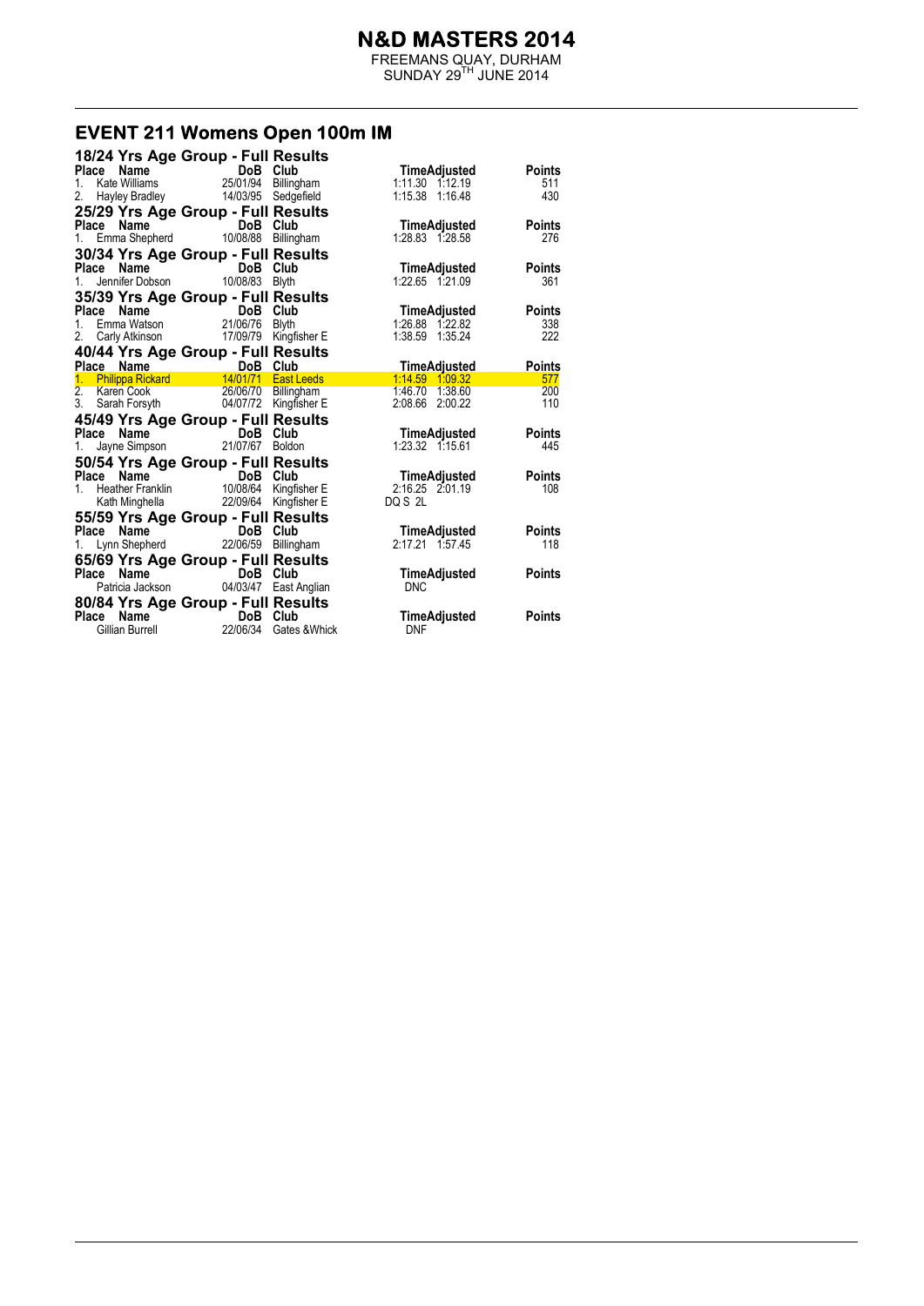FREEMANS QUAY, DURHAM  $SUNDAY 29<sup>TH</sup> JUNE 2014$ 

# **EVENT 211 Womens Open 100m IM**

| 18/24 Yrs Age Group - Full Results                                                                                                                                                             |                                                                                                                                                                                                                                      |               |                                    |               |
|------------------------------------------------------------------------------------------------------------------------------------------------------------------------------------------------|--------------------------------------------------------------------------------------------------------------------------------------------------------------------------------------------------------------------------------------|---------------|------------------------------------|---------------|
| Place<br>1.                                                                                                                                                                                    | <b>Ce Name Comment DoB Club</b><br>Kate Williams 25/01/94 Billingham<br>Hayley Bradley 14/03/95 Sedgefield                                                                                                                           |               | TimeAdjusted<br>1:11.30 1:12.19    | Points<br>511 |
| 2.                                                                                                                                                                                             |                                                                                                                                                                                                                                      |               | 1:15.38 1:16.48                    | 430           |
| 25/29 Yrs Age Group - Full Results                                                                                                                                                             |                                                                                                                                                                                                                                      |               |                                    |               |
| Place<br>1.                                                                                                                                                                                    | <b>Ce Name</b><br>Emma Shepherd 10/08/88 Billingham                                                                                                                                                                                  |               | TimeAdjusted<br>1:28.83 1:28.58    | Points<br>276 |
| 30/34 Yrs Age Group - Full Results                                                                                                                                                             |                                                                                                                                                                                                                                      |               |                                    |               |
| Place                                                                                                                                                                                          |                                                                                                                                                                                                                                      |               | TimeAdjusted                       | <b>Points</b> |
| 1 <sup>1</sup>                                                                                                                                                                                 | <b>Commentary Communism Communism Communism Communism Communism Communism Communism Communism Communism Communism Communism Communism Communism Communism Communism Communism Communism Communism Communism Communism Communism </b> |               | 1:22.65 1:21.09                    | 361           |
| 35/39 Yrs Age Group - Full Results                                                                                                                                                             |                                                                                                                                                                                                                                      |               |                                    |               |
| Place                                                                                                                                                                                          | DoB Club                                                                                                                                                                                                                             |               | TimeAdjusted                       | <b>Points</b> |
|                                                                                                                                                                                                |                                                                                                                                                                                                                                      |               | 1:26.88 1:22.82                    | 338           |
| 2. Carly Atkinson 17/09/79 Kingfisher E                                                                                                                                                        |                                                                                                                                                                                                                                      |               |                                    | 222           |
| 40/44 Yrs Age Group - Full Results                                                                                                                                                             |                                                                                                                                                                                                                                      |               |                                    |               |
|                                                                                                                                                                                                |                                                                                                                                                                                                                                      |               | <b>TimeAdjusted</b>                | <b>Points</b> |
|                                                                                                                                                                                                |                                                                                                                                                                                                                                      |               | 1:14.59 1.09.32                    | 577           |
| Place Name<br>1. Philippa Rickard<br>1. Philippa Rickard<br>2. Karen Cook<br>2. Sarah Forsyth<br>3. Sarah Forsyth<br>1. Philippa Rickard<br>2. Sarah Forsyth<br>2. Marginson Carl 2. Marginson |                                                                                                                                                                                                                                      |               | 1:46.70 1:38.60<br>2:08.66 2:00.22 | 200<br>110    |
|                                                                                                                                                                                                |                                                                                                                                                                                                                                      |               |                                    |               |
| 45/49 Yrs Age Group - Full Results<br>Place                                                                                                                                                    |                                                                                                                                                                                                                                      |               | TimeAdjusted                       | <b>Points</b> |
| 1.                                                                                                                                                                                             | <b>Ce Name</b><br>Jayne Simpson <b>Carry 21/07/67</b> Boldon                                                                                                                                                                         |               | 1:23.32 1:15.61                    | 445           |
| 50/54 Yrs Age Group - Full Results                                                                                                                                                             |                                                                                                                                                                                                                                      |               |                                    |               |
|                                                                                                                                                                                                |                                                                                                                                                                                                                                      |               | TimeAdjusted                       | <b>Points</b> |
| Place Name DoB Club<br>1. Heather Franklin 10/08/64 Kingfisher E<br>1. Kath Minghella 22/09/64 Kingfisher E                                                                                    |                                                                                                                                                                                                                                      |               | 2:16.25 2:01.19                    | 108           |
|                                                                                                                                                                                                |                                                                                                                                                                                                                                      |               | DQ S 2L                            |               |
| 55/59 Yrs Age Group - Full Results                                                                                                                                                             |                                                                                                                                                                                                                                      |               |                                    |               |
| Place<br>Name                                                                                                                                                                                  | <b>DoB</b> Club                                                                                                                                                                                                                      |               | TimeAdjusted                       | Points        |
| 1. Lynn Shepherd 22/06/59                                                                                                                                                                      |                                                                                                                                                                                                                                      | Billingham    | 2:17.21 1:57.45                    | 118           |
| 65/69 Yrs Age Group - Full Results                                                                                                                                                             |                                                                                                                                                                                                                                      |               |                                    |               |
| Place Name                                                                                                                                                                                     | DoB Club                                                                                                                                                                                                                             |               | TimeAdjusted                       | Points        |
|                                                                                                                                                                                                | Patricia Jackson 04/03/47 East Anglian                                                                                                                                                                                               |               | <b>DNC</b>                         |               |
| 80/84 Yrs Age Group - Full Results                                                                                                                                                             |                                                                                                                                                                                                                                      |               |                                    |               |
| Place                                                                                                                                                                                          | <b>Name</b><br>an Burrell <b>DoB</b><br>22/06/34                                                                                                                                                                                     | Club          | <b>TimeAdjusted</b>                | Points        |
| Gillian Burrell                                                                                                                                                                                |                                                                                                                                                                                                                                      | Gates & Whick | <b>DNF</b>                         |               |